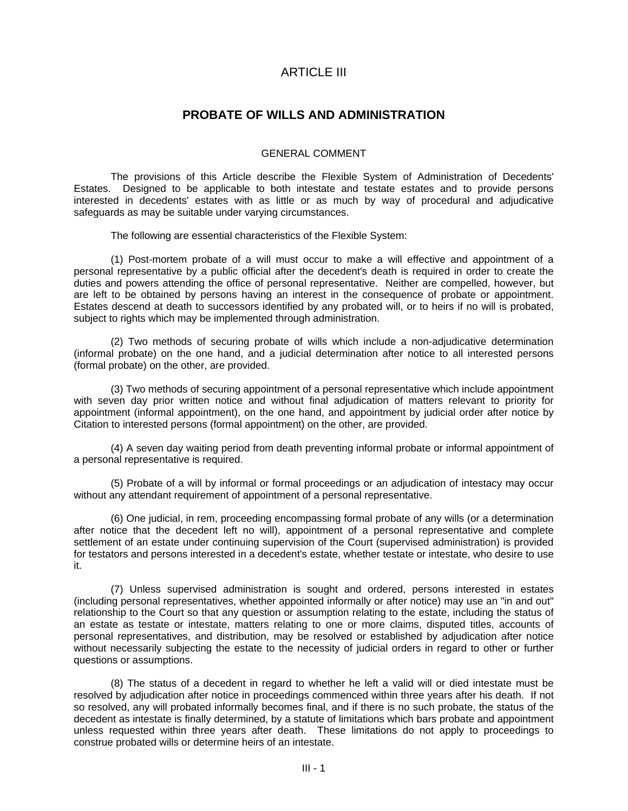## ARTICLE III

### **PROBATE OF WILLS AND ADMINISTRATION**

#### GENERAL COMMENT

 The provisions of this Article describe the Flexible System of Administration of Decedents' Estates. Designed to be applicable to both intestate and testate estates and to provide persons interested in decedents' estates with as little or as much by way of procedural and adjudicative safeguards as may be suitable under varying circumstances.

The following are essential characteristics of the Flexible System:

 (1) Post-mortem probate of a will must occur to make a will effective and appointment of a personal representative by a public official after the decedent's death is required in order to create the duties and powers attending the office of personal representative. Neither are compelled, however, but are left to be obtained by persons having an interest in the consequence of probate or appointment. Estates descend at death to successors identified by any probated will, or to heirs if no will is probated, subject to rights which may be implemented through administration.

 (2) Two methods of securing probate of wills which include a non-adjudicative determination (informal probate) on the one hand, and a judicial determination after notice to all interested persons (formal probate) on the other, are provided.

 (3) Two methods of securing appointment of a personal representative which include appointment with seven day prior written notice and without final adjudication of matters relevant to priority for appointment (informal appointment), on the one hand, and appointment by judicial order after notice by Citation to interested persons (formal appointment) on the other, are provided.

 (4) A seven day waiting period from death preventing informal probate or informal appointment of a personal representative is required.

 (5) Probate of a will by informal or formal proceedings or an adjudication of intestacy may occur without any attendant requirement of appointment of a personal representative.

 (6) One judicial, in rem, proceeding encompassing formal probate of any wills (or a determination after notice that the decedent left no will), appointment of a personal representative and complete settlement of an estate under continuing supervision of the Court (supervised administration) is provided for testators and persons interested in a decedent's estate, whether testate or intestate, who desire to use it.

 (7) Unless supervised administration is sought and ordered, persons interested in estates (including personal representatives, whether appointed informally or after notice) may use an "in and out" relationship to the Court so that any question or assumption relating to the estate, including the status of an estate as testate or intestate, matters relating to one or more claims, disputed titles, accounts of personal representatives, and distribution, may be resolved or established by adjudication after notice without necessarily subjecting the estate to the necessity of judicial orders in regard to other or further questions or assumptions.

 (8) The status of a decedent in regard to whether he left a valid will or died intestate must be resolved by adjudication after notice in proceedings commenced within three years after his death. If not so resolved, any will probated informally becomes final, and if there is no such probate, the status of the decedent as intestate is finally determined, by a statute of limitations which bars probate and appointment unless requested within three years after death. These limitations do not apply to proceedings to construe probated wills or determine heirs of an intestate.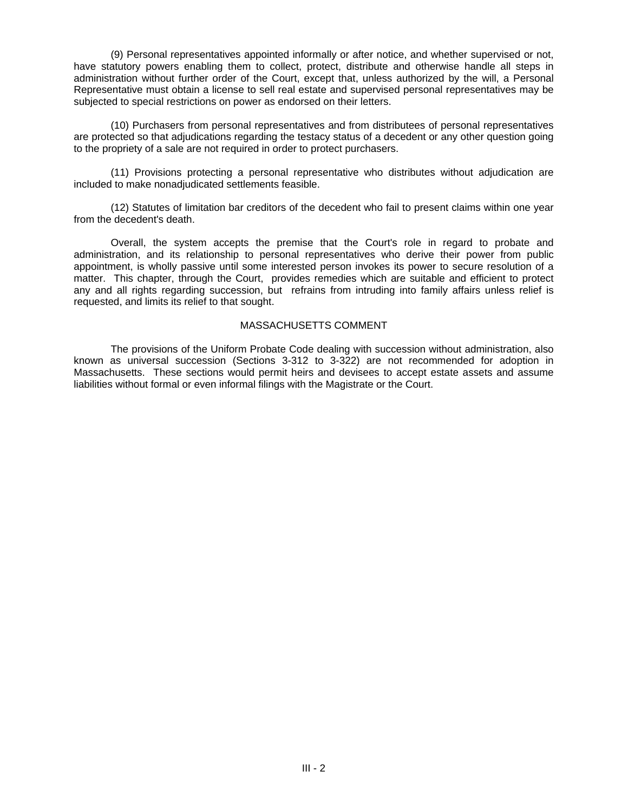(9) Personal representatives appointed informally or after notice, and whether supervised or not, have statutory powers enabling them to collect, protect, distribute and otherwise handle all steps in administration without further order of the Court, except that, unless authorized by the will, a Personal Representative must obtain a license to sell real estate and supervised personal representatives may be subjected to special restrictions on power as endorsed on their letters.

 (10) Purchasers from personal representatives and from distributees of personal representatives are protected so that adjudications regarding the testacy status of a decedent or any other question going to the propriety of a sale are not required in order to protect purchasers.

 (11) Provisions protecting a personal representative who distributes without adjudication are included to make nonadjudicated settlements feasible.

 (12) Statutes of limitation bar creditors of the decedent who fail to present claims within one year from the decedent's death.

 Overall, the system accepts the premise that the Court's role in regard to probate and administration, and its relationship to personal representatives who derive their power from public appointment, is wholly passive until some interested person invokes its power to secure resolution of a matter. This chapter, through the Court, provides remedies which are suitable and efficient to protect any and all rights regarding succession, but refrains from intruding into family affairs unless relief is requested, and limits its relief to that sought.

#### MASSACHUSETTS COMMENT

 The provisions of the Uniform Probate Code dealing with succession without administration, also known as universal succession (Sections 3-312 to 3-322) are not recommended for adoption in Massachusetts. These sections would permit heirs and devisees to accept estate assets and assume liabilities without formal or even informal filings with the Magistrate or the Court.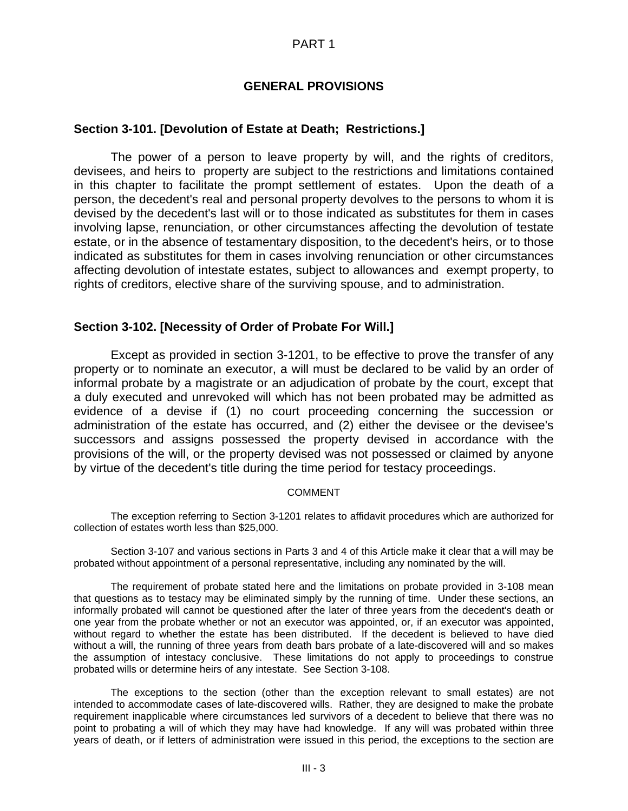# **GENERAL PROVISIONS**

## **Section 3-101. [Devolution of Estate at Death; Restrictions.]**

 The power of a person to leave property by will, and the rights of creditors, devisees, and heirs to property are subject to the restrictions and limitations contained in this chapter to facilitate the prompt settlement of estates. Upon the death of a person, the decedent's real and personal property devolves to the persons to whom it is devised by the decedent's last will or to those indicated as substitutes for them in cases involving lapse, renunciation, or other circumstances affecting the devolution of testate estate, or in the absence of testamentary disposition, to the decedent's heirs, or to those indicated as substitutes for them in cases involving renunciation or other circumstances affecting devolution of intestate estates, subject to allowances and exempt property, to rights of creditors, elective share of the surviving spouse, and to administration.

## **Section 3-102. [Necessity of Order of Probate For Will.]**

 Except as provided in section 3-1201, to be effective to prove the transfer of any property or to nominate an executor, a will must be declared to be valid by an order of informal probate by a magistrate or an adjudication of probate by the court, except that a duly executed and unrevoked will which has not been probated may be admitted as evidence of a devise if (1) no court proceeding concerning the succession or administration of the estate has occurred, and (2) either the devisee or the devisee's successors and assigns possessed the property devised in accordance with the provisions of the will, or the property devised was not possessed or claimed by anyone by virtue of the decedent's title during the time period for testacy proceedings.

### COMMENT

 The exception referring to Section 3-1201 relates to affidavit procedures which are authorized for collection of estates worth less than \$25,000.

 Section 3-107 and various sections in Parts 3 and 4 of this Article make it clear that a will may be probated without appointment of a personal representative, including any nominated by the will.

 The requirement of probate stated here and the limitations on probate provided in 3-108 mean that questions as to testacy may be eliminated simply by the running of time. Under these sections, an informally probated will cannot be questioned after the later of three years from the decedent's death or one year from the probate whether or not an executor was appointed, or, if an executor was appointed, without regard to whether the estate has been distributed. If the decedent is believed to have died without a will, the running of three years from death bars probate of a late-discovered will and so makes the assumption of intestacy conclusive. These limitations do not apply to proceedings to construe probated wills or determine heirs of any intestate. See Section 3-108.

 The exceptions to the section (other than the exception relevant to small estates) are not intended to accommodate cases of late-discovered wills. Rather, they are designed to make the probate requirement inapplicable where circumstances led survivors of a decedent to believe that there was no point to probating a will of which they may have had knowledge. If any will was probated within three years of death, or if letters of administration were issued in this period, the exceptions to the section are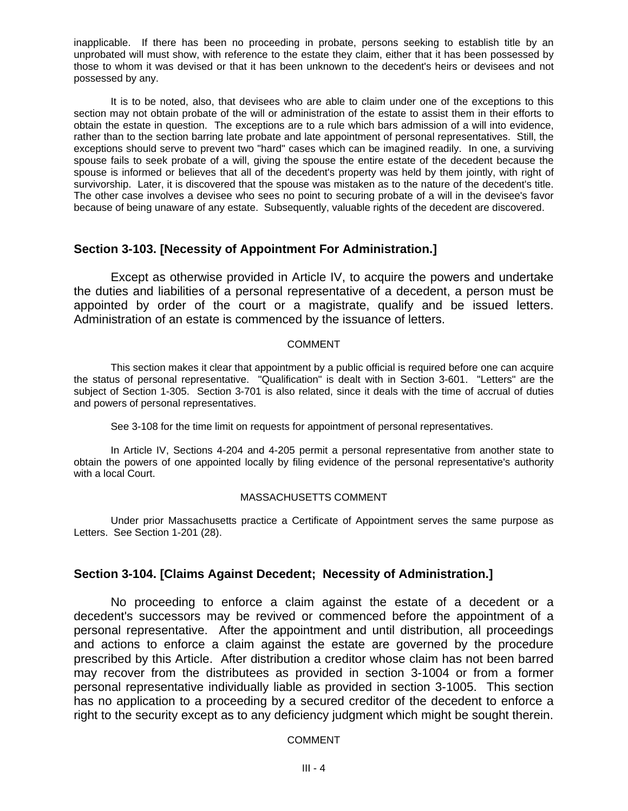inapplicable. If there has been no proceeding in probate, persons seeking to establish title by an unprobated will must show, with reference to the estate they claim, either that it has been possessed by those to whom it was devised or that it has been unknown to the decedent's heirs or devisees and not possessed by any.

 It is to be noted, also, that devisees who are able to claim under one of the exceptions to this section may not obtain probate of the will or administration of the estate to assist them in their efforts to obtain the estate in question. The exceptions are to a rule which bars admission of a will into evidence, rather than to the section barring late probate and late appointment of personal representatives. Still, the exceptions should serve to prevent two "hard" cases which can be imagined readily. In one, a surviving spouse fails to seek probate of a will, giving the spouse the entire estate of the decedent because the spouse is informed or believes that all of the decedent's property was held by them jointly, with right of survivorship. Later, it is discovered that the spouse was mistaken as to the nature of the decedent's title. The other case involves a devisee who sees no point to securing probate of a will in the devisee's favor because of being unaware of any estate. Subsequently, valuable rights of the decedent are discovered.

## **Section 3-103. [Necessity of Appointment For Administration.]**

 Except as otherwise provided in Article IV, to acquire the powers and undertake the duties and liabilities of a personal representative of a decedent, a person must be appointed by order of the court or a magistrate, qualify and be issued letters. Administration of an estate is commenced by the issuance of letters.

### COMMENT

 This section makes it clear that appointment by a public official is required before one can acquire the status of personal representative. "Qualification" is dealt with in Section 3-601. "Letters" are the subject of Section 1-305. Section 3-701 is also related, since it deals with the time of accrual of duties and powers of personal representatives.

See 3-108 for the time limit on requests for appointment of personal representatives.

 In Article IV, Sections 4-204 and 4-205 permit a personal representative from another state to obtain the powers of one appointed locally by filing evidence of the personal representative's authority with a local Court.

### MASSACHUSETTS COMMENT

 Under prior Massachusetts practice a Certificate of Appointment serves the same purpose as Letters. See Section 1-201 (28).

# **Section 3-104. [Claims Against Decedent; Necessity of Administration.]**

 No proceeding to enforce a claim against the estate of a decedent or a decedent's successors may be revived or commenced before the appointment of a personal representative. After the appointment and until distribution, all proceedings and actions to enforce a claim against the estate are governed by the procedure prescribed by this Article. After distribution a creditor whose claim has not been barred may recover from the distributees as provided in section 3-1004 or from a former personal representative individually liable as provided in section 3-1005. This section has no application to a proceeding by a secured creditor of the decedent to enforce a right to the security except as to any deficiency judgment which might be sought therein.

### COMMENT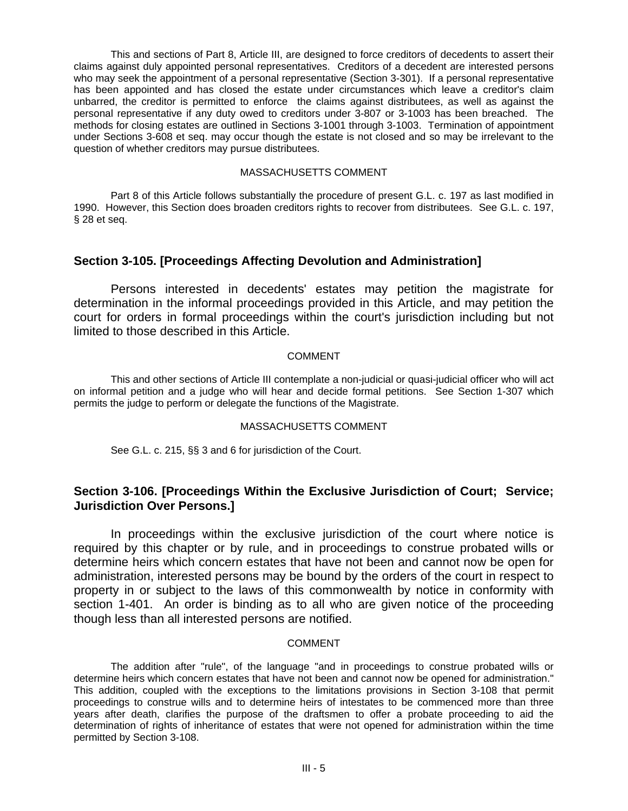This and sections of Part 8, Article III, are designed to force creditors of decedents to assert their claims against duly appointed personal representatives. Creditors of a decedent are interested persons who may seek the appointment of a personal representative (Section 3-301). If a personal representative has been appointed and has closed the estate under circumstances which leave a creditor's claim unbarred, the creditor is permitted to enforce the claims against distributees, as well as against the personal representative if any duty owed to creditors under 3-807 or 3-1003 has been breached. The methods for closing estates are outlined in Sections 3-1001 through 3-1003. Termination of appointment under Sections 3-608 et seq. may occur though the estate is not closed and so may be irrelevant to the question of whether creditors may pursue distributees.

#### MASSACHUSETTS COMMENT

 Part 8 of this Article follows substantially the procedure of present G.L. c. 197 as last modified in 1990. However, this Section does broaden creditors rights to recover from distributees. See G.L. c. 197, § 28 et seq.

## **Section 3-105. [Proceedings Affecting Devolution and Administration]**

 Persons interested in decedents' estates may petition the magistrate for determination in the informal proceedings provided in this Article, and may petition the court for orders in formal proceedings within the court's jurisdiction including but not limited to those described in this Article.

#### COMMENT

 This and other sections of Article III contemplate a non-judicial or quasi-judicial officer who will act on informal petition and a judge who will hear and decide formal petitions. See Section 1-307 which permits the judge to perform or delegate the functions of the Magistrate.

#### MASSACHUSETTS COMMENT

See G.L. c. 215, §§ 3 and 6 for jurisdiction of the Court.

## **Section 3-106. [Proceedings Within the Exclusive Jurisdiction of Court; Service; Jurisdiction Over Persons.]**

 In proceedings within the exclusive jurisdiction of the court where notice is required by this chapter or by rule, and in proceedings to construe probated wills or determine heirs which concern estates that have not been and cannot now be open for administration, interested persons may be bound by the orders of the court in respect to property in or subject to the laws of this commonwealth by notice in conformity with section 1-401. An order is binding as to all who are given notice of the proceeding though less than all interested persons are notified.

#### **COMMENT**

 The addition after "rule", of the language "and in proceedings to construe probated wills or determine heirs which concern estates that have not been and cannot now be opened for administration." This addition, coupled with the exceptions to the limitations provisions in Section 3-108 that permit proceedings to construe wills and to determine heirs of intestates to be commenced more than three years after death, clarifies the purpose of the draftsmen to offer a probate proceeding to aid the determination of rights of inheritance of estates that were not opened for administration within the time permitted by Section 3-108.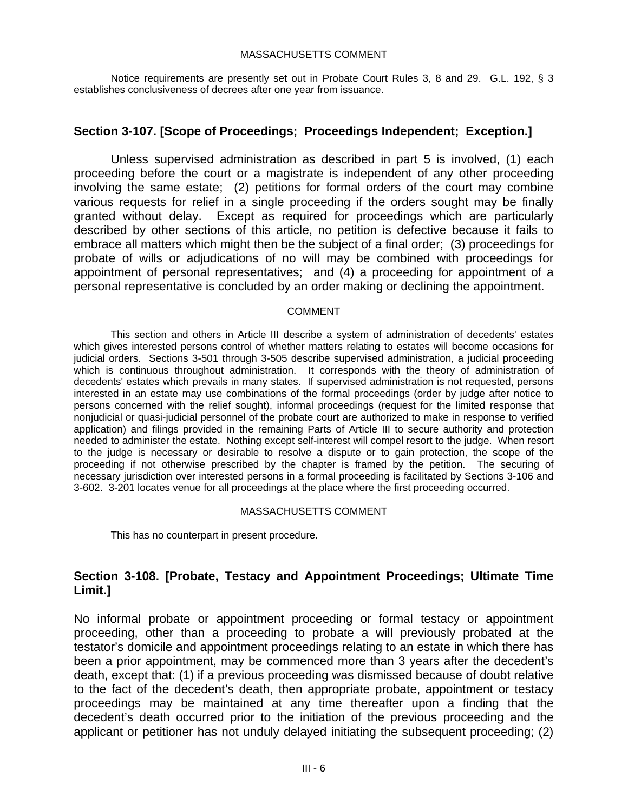#### MASSACHUSETTS COMMENT

 Notice requirements are presently set out in Probate Court Rules 3, 8 and 29. G.L. 192, § 3 establishes conclusiveness of decrees after one year from issuance.

## **Section 3-107. [Scope of Proceedings; Proceedings Independent; Exception.]**

 Unless supervised administration as described in part 5 is involved, (1) each proceeding before the court or a magistrate is independent of any other proceeding involving the same estate; (2) petitions for formal orders of the court may combine various requests for relief in a single proceeding if the orders sought may be finally granted without delay. Except as required for proceedings which are particularly described by other sections of this article, no petition is defective because it fails to embrace all matters which might then be the subject of a final order; (3) proceedings for probate of wills or adjudications of no will may be combined with proceedings for appointment of personal representatives; and (4) a proceeding for appointment of a personal representative is concluded by an order making or declining the appointment.

### COMMENT

 This section and others in Article III describe a system of administration of decedents' estates which gives interested persons control of whether matters relating to estates will become occasions for judicial orders. Sections 3-501 through 3-505 describe supervised administration, a judicial proceeding which is continuous throughout administration. It corresponds with the theory of administration of decedents' estates which prevails in many states. If supervised administration is not requested, persons interested in an estate may use combinations of the formal proceedings (order by judge after notice to persons concerned with the relief sought), informal proceedings (request for the limited response that nonjudicial or quasi-judicial personnel of the probate court are authorized to make in response to verified application) and filings provided in the remaining Parts of Article III to secure authority and protection needed to administer the estate. Nothing except self-interest will compel resort to the judge. When resort to the judge is necessary or desirable to resolve a dispute or to gain protection, the scope of the proceeding if not otherwise prescribed by the chapter is framed by the petition. The securing of necessary jurisdiction over interested persons in a formal proceeding is facilitated by Sections 3-106 and 3-602. 3-201 locates venue for all proceedings at the place where the first proceeding occurred.

#### MASSACHUSETTS COMMENT

This has no counterpart in present procedure.

# **Section 3-108. [Probate, Testacy and Appointment Proceedings; Ultimate Time Limit.]**

No informal probate or appointment proceeding or formal testacy or appointment proceeding, other than a proceeding to probate a will previously probated at the testator's domicile and appointment proceedings relating to an estate in which there has been a prior appointment, may be commenced more than 3 years after the decedent's death, except that: (1) if a previous proceeding was dismissed because of doubt relative to the fact of the decedent's death, then appropriate probate, appointment or testacy proceedings may be maintained at any time thereafter upon a finding that the decedent's death occurred prior to the initiation of the previous proceeding and the applicant or petitioner has not unduly delayed initiating the subsequent proceeding; (2)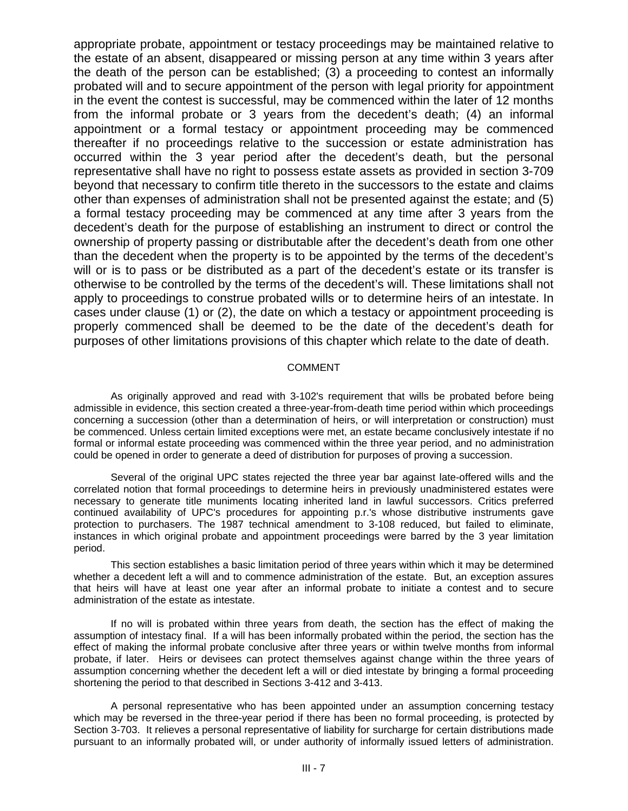appropriate probate, appointment or testacy proceedings may be maintained relative to the estate of an absent, disappeared or missing person at any time within 3 years after the death of the person can be established; (3) a proceeding to contest an informally probated will and to secure appointment of the person with legal priority for appointment in the event the contest is successful, may be commenced within the later of 12 months from the informal probate or 3 years from the decedent's death; (4) an informal appointment or a formal testacy or appointment proceeding may be commenced thereafter if no proceedings relative to the succession or estate administration has occurred within the 3 year period after the decedent's death, but the personal representative shall have no right to possess estate assets as provided in section 3-709 beyond that necessary to confirm title thereto in the successors to the estate and claims other than expenses of administration shall not be presented against the estate; and (5) a formal testacy proceeding may be commenced at any time after 3 years from the decedent's death for the purpose of establishing an instrument to direct or control the ownership of property passing or distributable after the decedent's death from one other than the decedent when the property is to be appointed by the terms of the decedent's will or is to pass or be distributed as a part of the decedent's estate or its transfer is otherwise to be controlled by the terms of the decedent's will. These limitations shall not apply to proceedings to construe probated wills or to determine heirs of an intestate. In cases under clause (1) or (2), the date on which a testacy or appointment proceeding is properly commenced shall be deemed to be the date of the decedent's death for purposes of other limitations provisions of this chapter which relate to the date of death.

#### COMMENT

 As originally approved and read with 3-102's requirement that wills be probated before being admissible in evidence, this section created a three-year-from-death time period within which proceedings concerning a succession (other than a determination of heirs, or will interpretation or construction) must be commenced. Unless certain limited exceptions were met, an estate became conclusively intestate if no formal or informal estate proceeding was commenced within the three year period, and no administration could be opened in order to generate a deed of distribution for purposes of proving a succession.

 Several of the original UPC states rejected the three year bar against late-offered wills and the correlated notion that formal proceedings to determine heirs in previously unadministered estates were necessary to generate title muniments locating inherited land in lawful successors. Critics preferred continued availability of UPC's procedures for appointing p.r.'s whose distributive instruments gave protection to purchasers. The 1987 technical amendment to 3-108 reduced, but failed to eliminate, instances in which original probate and appointment proceedings were barred by the 3 year limitation period.

 This section establishes a basic limitation period of three years within which it may be determined whether a decedent left a will and to commence administration of the estate. But, an exception assures that heirs will have at least one year after an informal probate to initiate a contest and to secure administration of the estate as intestate.

 If no will is probated within three years from death, the section has the effect of making the assumption of intestacy final. If a will has been informally probated within the period, the section has the effect of making the informal probate conclusive after three years or within twelve months from informal probate, if later. Heirs or devisees can protect themselves against change within the three years of assumption concerning whether the decedent left a will or died intestate by bringing a formal proceeding shortening the period to that described in Sections 3-412 and 3-413.

 A personal representative who has been appointed under an assumption concerning testacy which may be reversed in the three-year period if there has been no formal proceeding, is protected by Section 3-703. It relieves a personal representative of liability for surcharge for certain distributions made pursuant to an informally probated will, or under authority of informally issued letters of administration.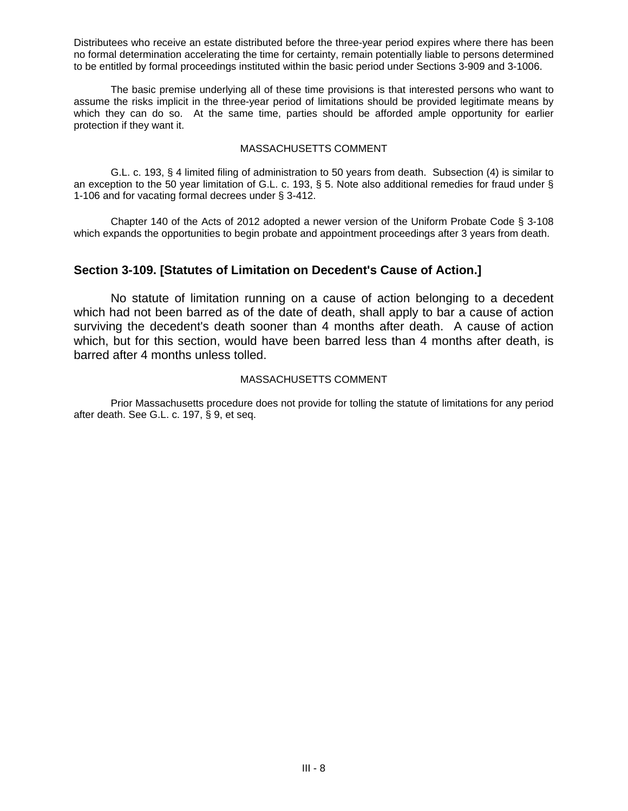Distributees who receive an estate distributed before the three-year period expires where there has been no formal determination accelerating the time for certainty, remain potentially liable to persons determined to be entitled by formal proceedings instituted within the basic period under Sections 3-909 and 3-1006.

 The basic premise underlying all of these time provisions is that interested persons who want to assume the risks implicit in the three-year period of limitations should be provided legitimate means by which they can do so. At the same time, parties should be afforded ample opportunity for earlier protection if they want it.

#### MASSACHUSETTS COMMENT

 G.L. c. 193, § 4 limited filing of administration to 50 years from death. Subsection (4) is similar to an exception to the 50 year limitation of G.L. c. 193, § 5. Note also additional remedies for fraud under § 1-106 and for vacating formal decrees under § 3-412.

Chapter 140 of the Acts of 2012 adopted a newer version of the Uniform Probate Code § 3-108 which expands the opportunities to begin probate and appointment proceedings after 3 years from death.

## **Section 3-109. [Statutes of Limitation on Decedent's Cause of Action.]**

 No statute of limitation running on a cause of action belonging to a decedent which had not been barred as of the date of death, shall apply to bar a cause of action surviving the decedent's death sooner than 4 months after death. A cause of action which, but for this section, would have been barred less than 4 months after death, is barred after 4 months unless tolled.

### MASSACHUSETTS COMMENT

 Prior Massachusetts procedure does not provide for tolling the statute of limitations for any period after death. See G.L. c. 197, § 9, et seq.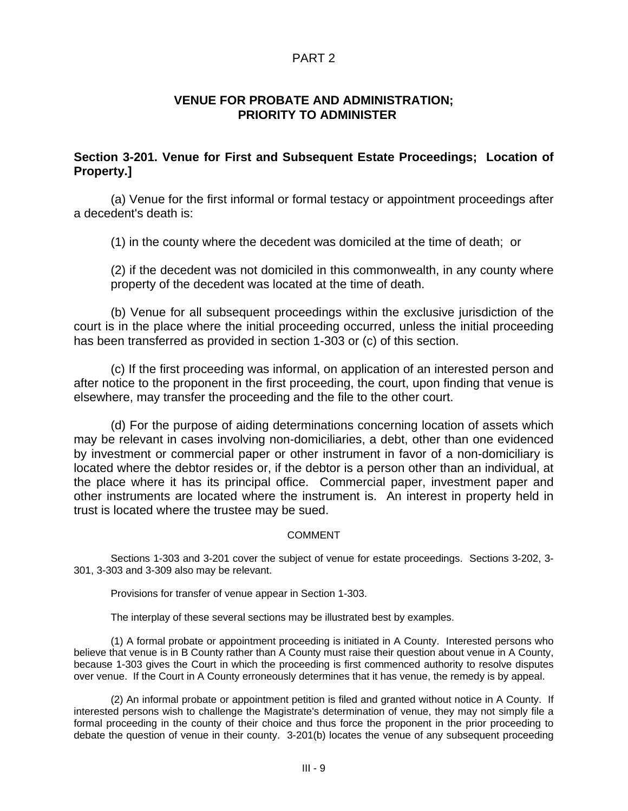## PART 2

# **VENUE FOR PROBATE AND ADMINISTRATION; PRIORITY TO ADMINISTER**

# **Section 3-201. Venue for First and Subsequent Estate Proceedings; Location of Property.]**

 (a) Venue for the first informal or formal testacy or appointment proceedings after a decedent's death is:

(1) in the county where the decedent was domiciled at the time of death; or

(2) if the decedent was not domiciled in this commonwealth, in any county where property of the decedent was located at the time of death.

 (b) Venue for all subsequent proceedings within the exclusive jurisdiction of the court is in the place where the initial proceeding occurred, unless the initial proceeding has been transferred as provided in section 1-303 or (c) of this section.

 (c) If the first proceeding was informal, on application of an interested person and after notice to the proponent in the first proceeding, the court, upon finding that venue is elsewhere, may transfer the proceeding and the file to the other court.

 (d) For the purpose of aiding determinations concerning location of assets which may be relevant in cases involving non-domiciliaries, a debt, other than one evidenced by investment or commercial paper or other instrument in favor of a non-domiciliary is located where the debtor resides or, if the debtor is a person other than an individual, at the place where it has its principal office. Commercial paper, investment paper and other instruments are located where the instrument is. An interest in property held in trust is located where the trustee may be sued.

## **COMMENT**

 Sections 1-303 and 3-201 cover the subject of venue for estate proceedings. Sections 3-202, 3- 301, 3-303 and 3-309 also may be relevant.

Provisions for transfer of venue appear in Section 1-303.

The interplay of these several sections may be illustrated best by examples.

 (1) A formal probate or appointment proceeding is initiated in A County. Interested persons who believe that venue is in B County rather than A County must raise their question about venue in A County, because 1-303 gives the Court in which the proceeding is first commenced authority to resolve disputes over venue. If the Court in A County erroneously determines that it has venue, the remedy is by appeal.

 (2) An informal probate or appointment petition is filed and granted without notice in A County. If interested persons wish to challenge the Magistrate's determination of venue, they may not simply file a formal proceeding in the county of their choice and thus force the proponent in the prior proceeding to debate the question of venue in their county. 3-201(b) locates the venue of any subsequent proceeding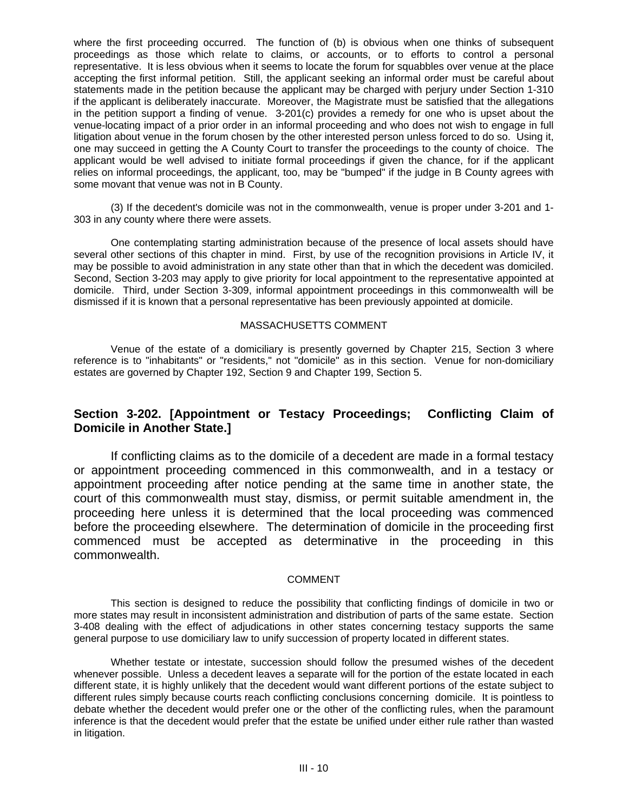where the first proceeding occurred. The function of (b) is obvious when one thinks of subsequent proceedings as those which relate to claims, or accounts, or to efforts to control a personal representative. It is less obvious when it seems to locate the forum for squabbles over venue at the place accepting the first informal petition. Still, the applicant seeking an informal order must be careful about statements made in the petition because the applicant may be charged with perjury under Section 1-310 if the applicant is deliberately inaccurate. Moreover, the Magistrate must be satisfied that the allegations in the petition support a finding of venue. 3-201(c) provides a remedy for one who is upset about the venue-locating impact of a prior order in an informal proceeding and who does not wish to engage in full litigation about venue in the forum chosen by the other interested person unless forced to do so. Using it, one may succeed in getting the A County Court to transfer the proceedings to the county of choice. The applicant would be well advised to initiate formal proceedings if given the chance, for if the applicant relies on informal proceedings, the applicant, too, may be "bumped" if the judge in B County agrees with some movant that venue was not in B County.

 (3) If the decedent's domicile was not in the commonwealth, venue is proper under 3-201 and 1- 303 in any county where there were assets.

 One contemplating starting administration because of the presence of local assets should have several other sections of this chapter in mind. First, by use of the recognition provisions in Article IV, it may be possible to avoid administration in any state other than that in which the decedent was domiciled. Second, Section 3-203 may apply to give priority for local appointment to the representative appointed at domicile. Third, under Section 3-309, informal appointment proceedings in this commonwealth will be dismissed if it is known that a personal representative has been previously appointed at domicile.

#### MASSACHUSETTS COMMENT

 Venue of the estate of a domiciliary is presently governed by Chapter 215, Section 3 where reference is to "inhabitants" or "residents," not "domicile" as in this section. Venue for non-domiciliary estates are governed by Chapter 192, Section 9 and Chapter 199, Section 5.

## **Section 3-202. [Appointment or Testacy Proceedings; Conflicting Claim of Domicile in Another State.]**

 If conflicting claims as to the domicile of a decedent are made in a formal testacy or appointment proceeding commenced in this commonwealth, and in a testacy or appointment proceeding after notice pending at the same time in another state, the court of this commonwealth must stay, dismiss, or permit suitable amendment in, the proceeding here unless it is determined that the local proceeding was commenced before the proceeding elsewhere. The determination of domicile in the proceeding first commenced must be accepted as determinative in the proceeding in this commonwealth.

#### COMMENT

 This section is designed to reduce the possibility that conflicting findings of domicile in two or more states may result in inconsistent administration and distribution of parts of the same estate. Section 3-408 dealing with the effect of adjudications in other states concerning testacy supports the same general purpose to use domiciliary law to unify succession of property located in different states.

 Whether testate or intestate, succession should follow the presumed wishes of the decedent whenever possible. Unless a decedent leaves a separate will for the portion of the estate located in each different state, it is highly unlikely that the decedent would want different portions of the estate subject to different rules simply because courts reach conflicting conclusions concerning domicile. It is pointless to debate whether the decedent would prefer one or the other of the conflicting rules, when the paramount inference is that the decedent would prefer that the estate be unified under either rule rather than wasted in litigation.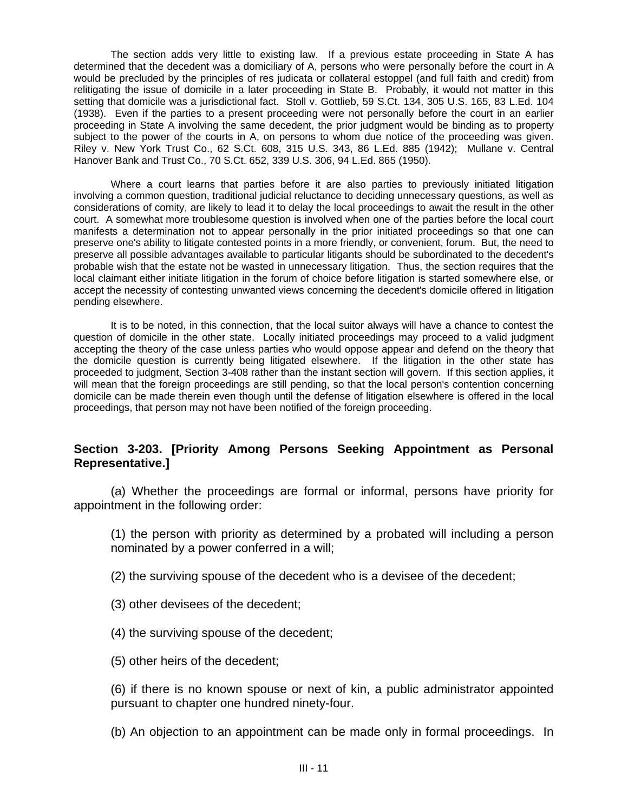The section adds very little to existing law. If a previous estate proceeding in State A has determined that the decedent was a domiciliary of A, persons who were personally before the court in A would be precluded by the principles of res judicata or collateral estoppel (and full faith and credit) from relitigating the issue of domicile in a later proceeding in State B. Probably, it would not matter in this setting that domicile was a jurisdictional fact. Stoll v. Gottlieb, 59 S.Ct. 134, 305 U.S. 165, 83 L.Ed. 104 (1938). Even if the parties to a present proceeding were not personally before the court in an earlier proceeding in State A involving the same decedent, the prior judgment would be binding as to property subject to the power of the courts in A, on persons to whom due notice of the proceeding was given. Riley v. New York Trust Co., 62 S.Ct. 608, 315 U.S. 343, 86 L.Ed. 885 (1942); Mullane v. Central Hanover Bank and Trust Co., 70 S.Ct. 652, 339 U.S. 306, 94 L.Ed. 865 (1950).

 Where a court learns that parties before it are also parties to previously initiated litigation involving a common question, traditional judicial reluctance to deciding unnecessary questions, as well as considerations of comity, are likely to lead it to delay the local proceedings to await the result in the other court. A somewhat more troublesome question is involved when one of the parties before the local court manifests a determination not to appear personally in the prior initiated proceedings so that one can preserve one's ability to litigate contested points in a more friendly, or convenient, forum. But, the need to preserve all possible advantages available to particular litigants should be subordinated to the decedent's probable wish that the estate not be wasted in unnecessary litigation. Thus, the section requires that the local claimant either initiate litigation in the forum of choice before litigation is started somewhere else, or accept the necessity of contesting unwanted views concerning the decedent's domicile offered in litigation pending elsewhere.

 It is to be noted, in this connection, that the local suitor always will have a chance to contest the question of domicile in the other state. Locally initiated proceedings may proceed to a valid judgment accepting the theory of the case unless parties who would oppose appear and defend on the theory that the domicile question is currently being litigated elsewhere. If the litigation in the other state has proceeded to judgment, Section 3-408 rather than the instant section will govern. If this section applies, it will mean that the foreign proceedings are still pending, so that the local person's contention concerning domicile can be made therein even though until the defense of litigation elsewhere is offered in the local proceedings, that person may not have been notified of the foreign proceeding.

# **Section 3-203. [Priority Among Persons Seeking Appointment as Personal Representative.]**

 (a) Whether the proceedings are formal or informal, persons have priority for appointment in the following order:

(1) the person with priority as determined by a probated will including a person nominated by a power conferred in a will;

(2) the surviving spouse of the decedent who is a devisee of the decedent;

- (3) other devisees of the decedent;
- (4) the surviving spouse of the decedent;
- (5) other heirs of the decedent;

(6) if there is no known spouse or next of kin, a public administrator appointed pursuant to chapter one hundred ninety-four.

(b) An objection to an appointment can be made only in formal proceedings. In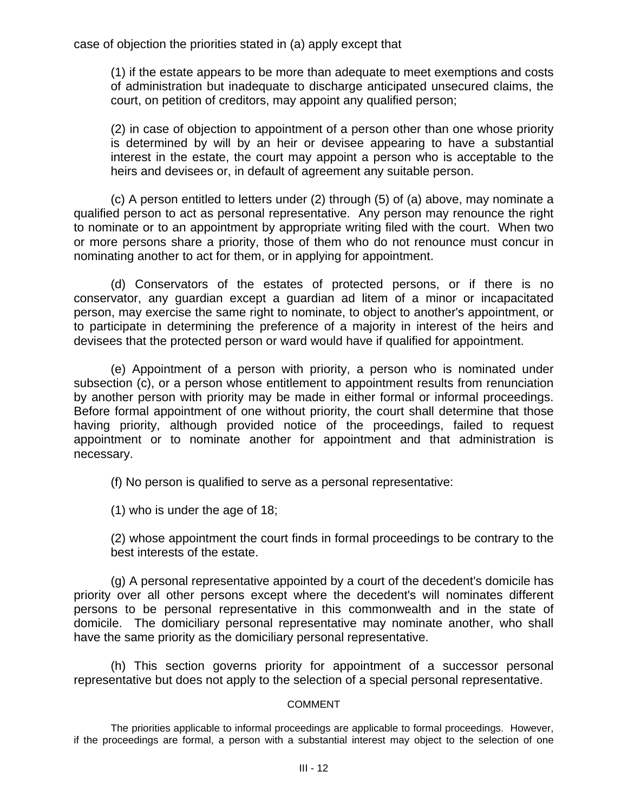case of objection the priorities stated in (a) apply except that

(1) if the estate appears to be more than adequate to meet exemptions and costs of administration but inadequate to discharge anticipated unsecured claims, the court, on petition of creditors, may appoint any qualified person;

(2) in case of objection to appointment of a person other than one whose priority is determined by will by an heir or devisee appearing to have a substantial interest in the estate, the court may appoint a person who is acceptable to the heirs and devisees or, in default of agreement any suitable person.

 (c) A person entitled to letters under (2) through (5) of (a) above, may nominate a qualified person to act as personal representative. Any person may renounce the right to nominate or to an appointment by appropriate writing filed with the court. When two or more persons share a priority, those of them who do not renounce must concur in nominating another to act for them, or in applying for appointment.

 (d) Conservators of the estates of protected persons, or if there is no conservator, any guardian except a guardian ad litem of a minor or incapacitated person, may exercise the same right to nominate, to object to another's appointment, or to participate in determining the preference of a majority in interest of the heirs and devisees that the protected person or ward would have if qualified for appointment.

 (e) Appointment of a person with priority, a person who is nominated under subsection (c), or a person whose entitlement to appointment results from renunciation by another person with priority may be made in either formal or informal proceedings. Before formal appointment of one without priority, the court shall determine that those having priority, although provided notice of the proceedings, failed to request appointment or to nominate another for appointment and that administration is necessary.

(f) No person is qualified to serve as a personal representative:

(1) who is under the age of 18;

(2) whose appointment the court finds in formal proceedings to be contrary to the best interests of the estate.

 (g) A personal representative appointed by a court of the decedent's domicile has priority over all other persons except where the decedent's will nominates different persons to be personal representative in this commonwealth and in the state of domicile. The domiciliary personal representative may nominate another, who shall have the same priority as the domiciliary personal representative.

 (h) This section governs priority for appointment of a successor personal representative but does not apply to the selection of a special personal representative.

## COMMENT

The priorities applicable to informal proceedings are applicable to formal proceedings. However, if the proceedings are formal, a person with a substantial interest may object to the selection of one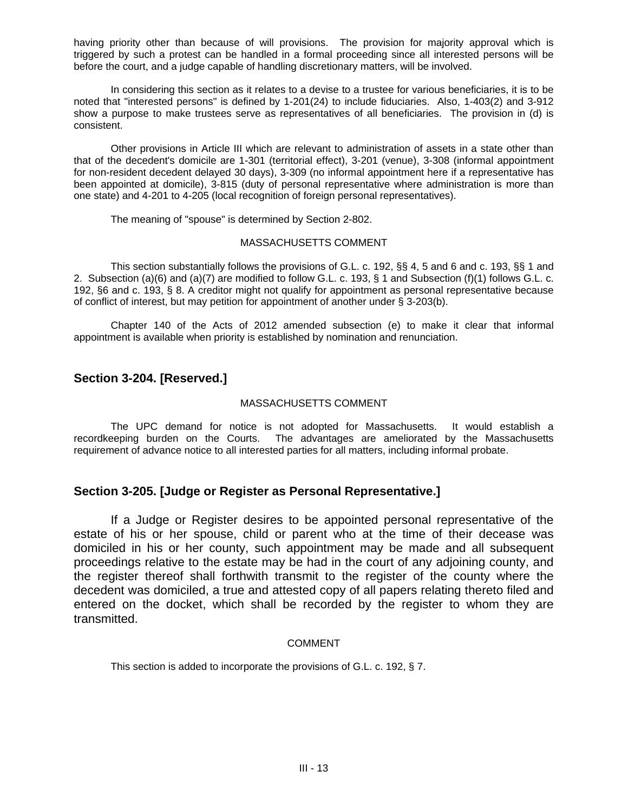having priority other than because of will provisions. The provision for majority approval which is triggered by such a protest can be handled in a formal proceeding since all interested persons will be before the court, and a judge capable of handling discretionary matters, will be involved.

 In considering this section as it relates to a devise to a trustee for various beneficiaries, it is to be noted that "interested persons" is defined by 1-201(24) to include fiduciaries. Also, 1-403(2) and 3-912 show a purpose to make trustees serve as representatives of all beneficiaries. The provision in (d) is consistent.

 Other provisions in Article III which are relevant to administration of assets in a state other than that of the decedent's domicile are 1-301 (territorial effect), 3-201 (venue), 3-308 (informal appointment for non-resident decedent delayed 30 days), 3-309 (no informal appointment here if a representative has been appointed at domicile), 3-815 (duty of personal representative where administration is more than one state) and 4-201 to 4-205 (local recognition of foreign personal representatives).

The meaning of "spouse" is determined by Section 2-802.

### MASSACHUSETTS COMMENT

 This section substantially follows the provisions of G.L. c. 192, §§ 4, 5 and 6 and c. 193, §§ 1 and 2. Subsection (a)(6) and (a)(7) are modified to follow G.L. c. 193, § 1 and Subsection (f)(1) follows G.L. c. 192, §6 and c. 193, § 8. A creditor might not qualify for appointment as personal representative because of conflict of interest, but may petition for appointment of another under § 3-203(b).

 Chapter 140 of the Acts of 2012 amended subsection (e) to make it clear that informal appointment is available when priority is established by nomination and renunciation.

## **Section 3-204. [Reserved.]**

### MASSACHUSETTS COMMENT

 The UPC demand for notice is not adopted for Massachusetts. It would establish a recordkeeping burden on the Courts. The advantages are ameliorated by the Massachusetts requirement of advance notice to all interested parties for all matters, including informal probate.

## **Section 3-205. [Judge or Register as Personal Representative.]**

 If a Judge or Register desires to be appointed personal representative of the estate of his or her spouse, child or parent who at the time of their decease was domiciled in his or her county, such appointment may be made and all subsequent proceedings relative to the estate may be had in the court of any adjoining county, and the register thereof shall forthwith transmit to the register of the county where the decedent was domiciled, a true and attested copy of all papers relating thereto filed and entered on the docket, which shall be recorded by the register to whom they are transmitted.

### COMMENT

This section is added to incorporate the provisions of G.L. c. 192, § 7.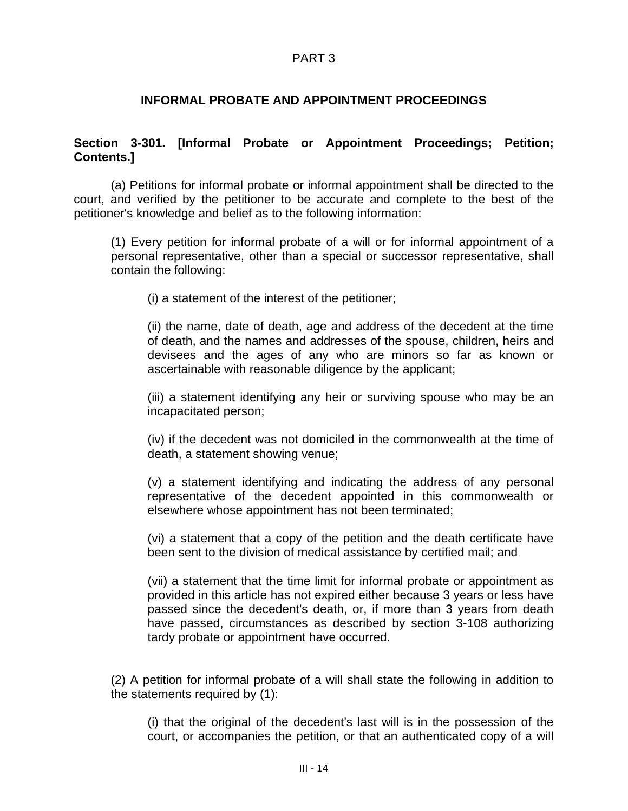## PART 3

# **INFORMAL PROBATE AND APPOINTMENT PROCEEDINGS**

## **Section 3-301. [Informal Probate or Appointment Proceedings; Petition; Contents.]**

 (a) Petitions for informal probate or informal appointment shall be directed to the court, and verified by the petitioner to be accurate and complete to the best of the petitioner's knowledge and belief as to the following information:

(1) Every petition for informal probate of a will or for informal appointment of a personal representative, other than a special or successor representative, shall contain the following:

(i) a statement of the interest of the petitioner;

(ii) the name, date of death, age and address of the decedent at the time of death, and the names and addresses of the spouse, children, heirs and devisees and the ages of any who are minors so far as known or ascertainable with reasonable diligence by the applicant;

(iii) a statement identifying any heir or surviving spouse who may be an incapacitated person;

(iv) if the decedent was not domiciled in the commonwealth at the time of death, a statement showing venue;

(v) a statement identifying and indicating the address of any personal representative of the decedent appointed in this commonwealth or elsewhere whose appointment has not been terminated;

(vi) a statement that a copy of the petition and the death certificate have been sent to the division of medical assistance by certified mail; and

(vii) a statement that the time limit for informal probate or appointment as provided in this article has not expired either because 3 years or less have passed since the decedent's death, or, if more than 3 years from death have passed, circumstances as described by section 3-108 authorizing tardy probate or appointment have occurred.

(2) A petition for informal probate of a will shall state the following in addition to the statements required by (1):

(i) that the original of the decedent's last will is in the possession of the court, or accompanies the petition, or that an authenticated copy of a will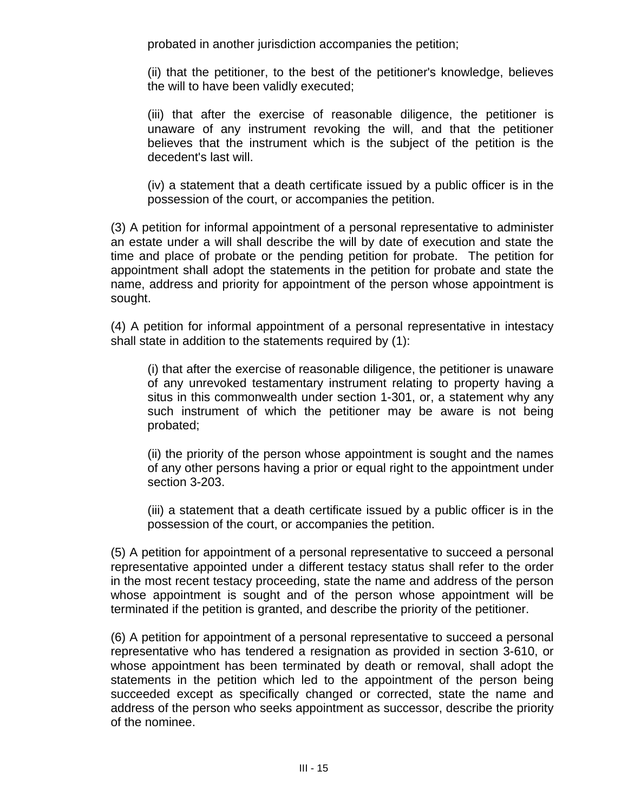probated in another jurisdiction accompanies the petition;

(ii) that the petitioner, to the best of the petitioner's knowledge, believes the will to have been validly executed;

(iii) that after the exercise of reasonable diligence, the petitioner is unaware of any instrument revoking the will, and that the petitioner believes that the instrument which is the subject of the petition is the decedent's last will.

(iv) a statement that a death certificate issued by a public officer is in the possession of the court, or accompanies the petition.

(3) A petition for informal appointment of a personal representative to administer an estate under a will shall describe the will by date of execution and state the time and place of probate or the pending petition for probate. The petition for appointment shall adopt the statements in the petition for probate and state the name, address and priority for appointment of the person whose appointment is sought.

(4) A petition for informal appointment of a personal representative in intestacy shall state in addition to the statements required by (1):

(i) that after the exercise of reasonable diligence, the petitioner is unaware of any unrevoked testamentary instrument relating to property having a situs in this commonwealth under section 1-301, or, a statement why any such instrument of which the petitioner may be aware is not being probated;

(ii) the priority of the person whose appointment is sought and the names of any other persons having a prior or equal right to the appointment under section 3-203.

(iii) a statement that a death certificate issued by a public officer is in the possession of the court, or accompanies the petition.

(5) A petition for appointment of a personal representative to succeed a personal representative appointed under a different testacy status shall refer to the order in the most recent testacy proceeding, state the name and address of the person whose appointment is sought and of the person whose appointment will be terminated if the petition is granted, and describe the priority of the petitioner.

(6) A petition for appointment of a personal representative to succeed a personal representative who has tendered a resignation as provided in section 3-610, or whose appointment has been terminated by death or removal, shall adopt the statements in the petition which led to the appointment of the person being succeeded except as specifically changed or corrected, state the name and address of the person who seeks appointment as successor, describe the priority of the nominee.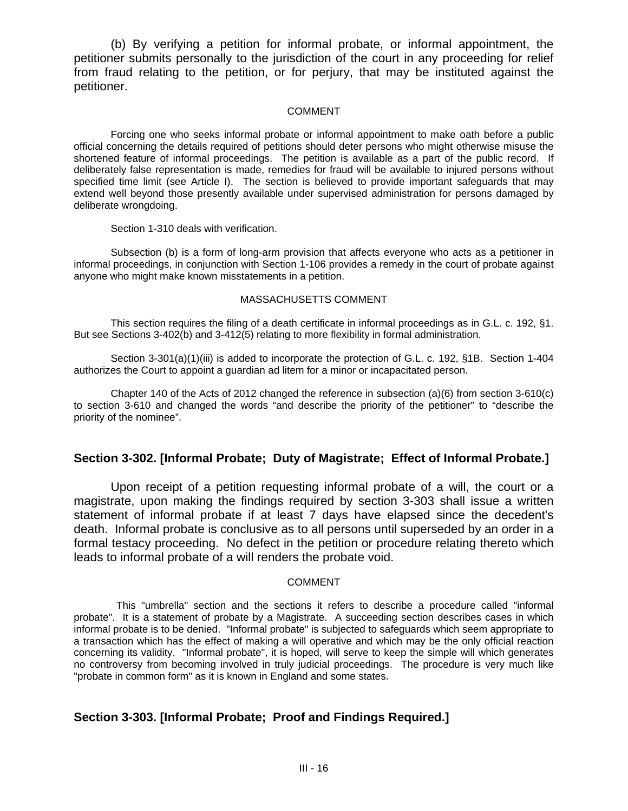(b) By verifying a petition for informal probate, or informal appointment, the petitioner submits personally to the jurisdiction of the court in any proceeding for relief from fraud relating to the petition, or for perjury, that may be instituted against the petitioner.

### COMMENT

 Forcing one who seeks informal probate or informal appointment to make oath before a public official concerning the details required of petitions should deter persons who might otherwise misuse the shortened feature of informal proceedings. The petition is available as a part of the public record. If deliberately false representation is made, remedies for fraud will be available to injured persons without specified time limit (see Article I). The section is believed to provide important safeguards that may extend well beyond those presently available under supervised administration for persons damaged by deliberate wrongdoing.

Section 1-310 deals with verification.

 Subsection (b) is a form of long-arm provision that affects everyone who acts as a petitioner in informal proceedings, in conjunction with Section 1-106 provides a remedy in the court of probate against anyone who might make known misstatements in a petition.

### MASSACHUSETTS COMMENT

 This section requires the filing of a death certificate in informal proceedings as in G.L. c. 192, §1. But see Sections 3-402(b) and 3-412(5) relating to more flexibility in formal administration.

 Section 3-301(a)(1)(iii) is added to incorporate the protection of G.L. c. 192, §1B. Section 1-404 authorizes the Court to appoint a guardian ad litem for a minor or incapacitated person.

 Chapter 140 of the Acts of 2012 changed the reference in subsection (a)(6) from section 3-610(c) to section 3-610 and changed the words "and describe the priority of the petitioner" to "describe the priority of the nominee".

## **Section 3-302. [Informal Probate; Duty of Magistrate; Effect of Informal Probate.]**

 Upon receipt of a petition requesting informal probate of a will, the court or a magistrate, upon making the findings required by section 3-303 shall issue a written statement of informal probate if at least 7 days have elapsed since the decedent's death. Informal probate is conclusive as to all persons until superseded by an order in a formal testacy proceeding. No defect in the petition or procedure relating thereto which leads to informal probate of a will renders the probate void.

### COMMENT

 This "umbrella" section and the sections it refers to describe a procedure called "informal probate". It is a statement of probate by a Magistrate. A succeeding section describes cases in which informal probate is to be denied. "Informal probate" is subjected to safeguards which seem appropriate to a transaction which has the effect of making a will operative and which may be the only official reaction concerning its validity. "Informal probate", it is hoped, will serve to keep the simple will which generates no controversy from becoming involved in truly judicial proceedings. The procedure is very much like "probate in common form" as it is known in England and some states.

# **Section 3-303. [Informal Probate; Proof and Findings Required.]**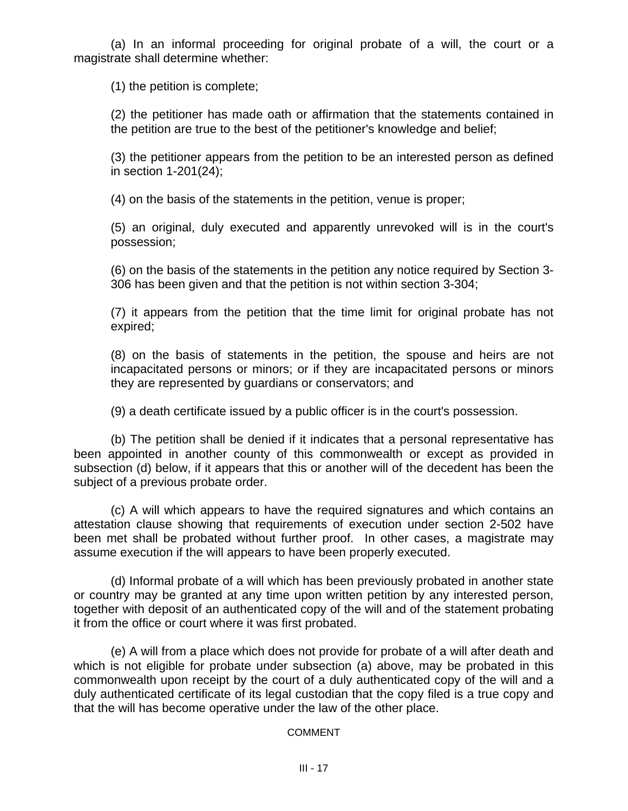(a) In an informal proceeding for original probate of a will, the court or a magistrate shall determine whether:

(1) the petition is complete;

(2) the petitioner has made oath or affirmation that the statements contained in the petition are true to the best of the petitioner's knowledge and belief;

(3) the petitioner appears from the petition to be an interested person as defined in section 1-201(24);

(4) on the basis of the statements in the petition, venue is proper;

(5) an original, duly executed and apparently unrevoked will is in the court's possession;

(6) on the basis of the statements in the petition any notice required by Section 3- 306 has been given and that the petition is not within section 3-304;

(7) it appears from the petition that the time limit for original probate has not expired;

(8) on the basis of statements in the petition, the spouse and heirs are not incapacitated persons or minors; or if they are incapacitated persons or minors they are represented by guardians or conservators; and

(9) a death certificate issued by a public officer is in the court's possession.

 (b) The petition shall be denied if it indicates that a personal representative has been appointed in another county of this commonwealth or except as provided in subsection (d) below, if it appears that this or another will of the decedent has been the subject of a previous probate order.

 (c) A will which appears to have the required signatures and which contains an attestation clause showing that requirements of execution under section 2-502 have been met shall be probated without further proof. In other cases, a magistrate may assume execution if the will appears to have been properly executed.

 (d) Informal probate of a will which has been previously probated in another state or country may be granted at any time upon written petition by any interested person, together with deposit of an authenticated copy of the will and of the statement probating it from the office or court where it was first probated.

 (e) A will from a place which does not provide for probate of a will after death and which is not eligible for probate under subsection (a) above, may be probated in this commonwealth upon receipt by the court of a duly authenticated copy of the will and a duly authenticated certificate of its legal custodian that the copy filed is a true copy and that the will has become operative under the law of the other place.

### COMMENT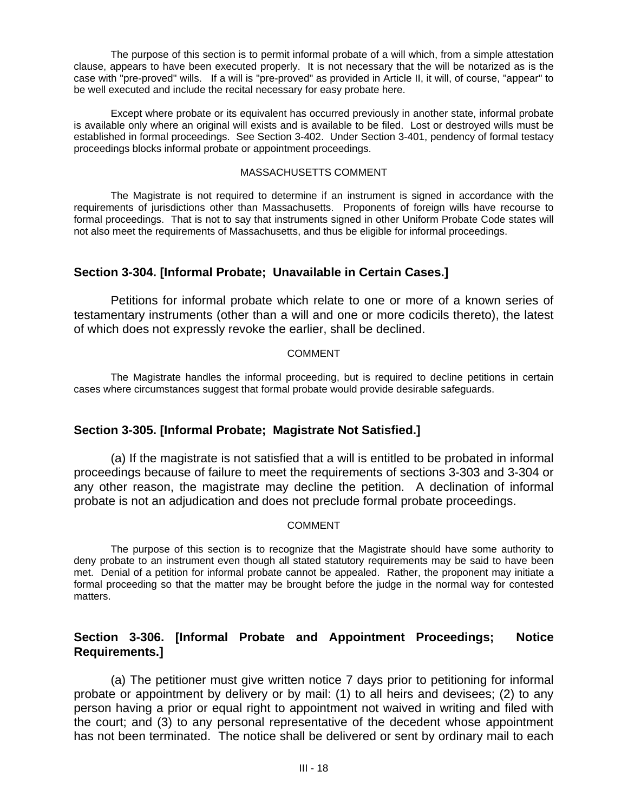The purpose of this section is to permit informal probate of a will which, from a simple attestation clause, appears to have been executed properly. It is not necessary that the will be notarized as is the case with "pre-proved" wills. If a will is "pre-proved" as provided in Article II, it will, of course, "appear" to be well executed and include the recital necessary for easy probate here.

 Except where probate or its equivalent has occurred previously in another state, informal probate is available only where an original will exists and is available to be filed. Lost or destroyed wills must be established in formal proceedings. See Section 3-402. Under Section 3-401, pendency of formal testacy proceedings blocks informal probate or appointment proceedings.

### MASSACHUSETTS COMMENT

 The Magistrate is not required to determine if an instrument is signed in accordance with the requirements of jurisdictions other than Massachusetts. Proponents of foreign wills have recourse to formal proceedings. That is not to say that instruments signed in other Uniform Probate Code states will not also meet the requirements of Massachusetts, and thus be eligible for informal proceedings.

## **Section 3-304. [Informal Probate; Unavailable in Certain Cases.]**

 Petitions for informal probate which relate to one or more of a known series of testamentary instruments (other than a will and one or more codicils thereto), the latest of which does not expressly revoke the earlier, shall be declined.

### COMMENT

 The Magistrate handles the informal proceeding, but is required to decline petitions in certain cases where circumstances suggest that formal probate would provide desirable safeguards.

# **Section 3-305. [Informal Probate; Magistrate Not Satisfied.]**

 (a) If the magistrate is not satisfied that a will is entitled to be probated in informal proceedings because of failure to meet the requirements of sections 3-303 and 3-304 or any other reason, the magistrate may decline the petition. A declination of informal probate is not an adjudication and does not preclude formal probate proceedings.

### COMMENT

 The purpose of this section is to recognize that the Magistrate should have some authority to deny probate to an instrument even though all stated statutory requirements may be said to have been met. Denial of a petition for informal probate cannot be appealed. Rather, the proponent may initiate a formal proceeding so that the matter may be brought before the judge in the normal way for contested matters.

## **Section 3-306. [Informal Probate and Appointment Proceedings; Notice Requirements.]**

 (a) The petitioner must give written notice 7 days prior to petitioning for informal probate or appointment by delivery or by mail: (1) to all heirs and devisees; (2) to any person having a prior or equal right to appointment not waived in writing and filed with the court; and (3) to any personal representative of the decedent whose appointment has not been terminated. The notice shall be delivered or sent by ordinary mail to each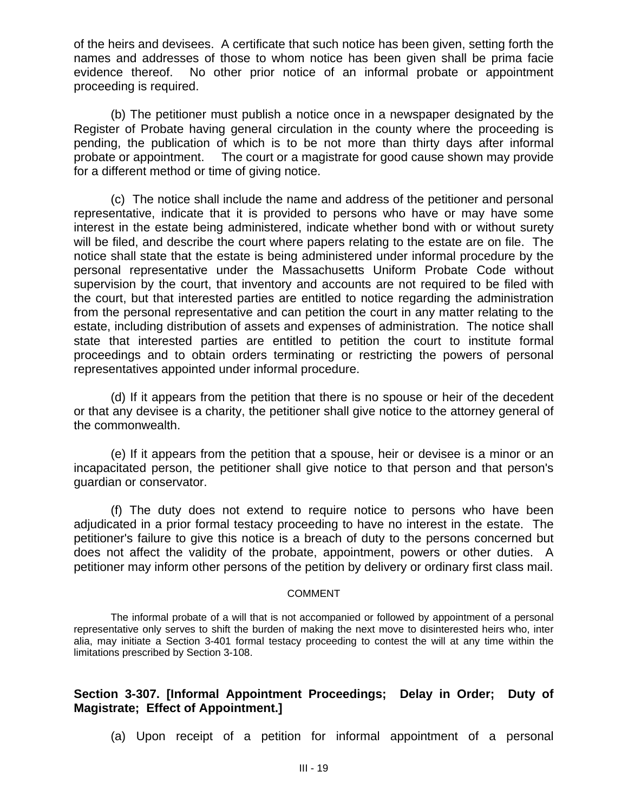of the heirs and devisees. A certificate that such notice has been given, setting forth the names and addresses of those to whom notice has been given shall be prima facie evidence thereof. No other prior notice of an informal probate or appointment proceeding is required.

 (b) The petitioner must publish a notice once in a newspaper designated by the Register of Probate having general circulation in the county where the proceeding is pending, the publication of which is to be not more than thirty days after informal probate or appointment. The court or a magistrate for good cause shown may provide for a different method or time of giving notice.

 (c) The notice shall include the name and address of the petitioner and personal representative, indicate that it is provided to persons who have or may have some interest in the estate being administered, indicate whether bond with or without surety will be filed, and describe the court where papers relating to the estate are on file. The notice shall state that the estate is being administered under informal procedure by the personal representative under the Massachusetts Uniform Probate Code without supervision by the court, that inventory and accounts are not required to be filed with the court, but that interested parties are entitled to notice regarding the administration from the personal representative and can petition the court in any matter relating to the estate, including distribution of assets and expenses of administration. The notice shall state that interested parties are entitled to petition the court to institute formal proceedings and to obtain orders terminating or restricting the powers of personal representatives appointed under informal procedure.

 (d) If it appears from the petition that there is no spouse or heir of the decedent or that any devisee is a charity, the petitioner shall give notice to the attorney general of the commonwealth.

 (e) If it appears from the petition that a spouse, heir or devisee is a minor or an incapacitated person, the petitioner shall give notice to that person and that person's guardian or conservator.

 (f) The duty does not extend to require notice to persons who have been adjudicated in a prior formal testacy proceeding to have no interest in the estate. The petitioner's failure to give this notice is a breach of duty to the persons concerned but does not affect the validity of the probate, appointment, powers or other duties. A petitioner may inform other persons of the petition by delivery or ordinary first class mail.

### COMMENT

 The informal probate of a will that is not accompanied or followed by appointment of a personal representative only serves to shift the burden of making the next move to disinterested heirs who, inter alia, may initiate a Section 3-401 formal testacy proceeding to contest the will at any time within the limitations prescribed by Section 3-108.

## **Section 3-307. [Informal Appointment Proceedings; Delay in Order; Duty of Magistrate; Effect of Appointment.]**

(a) Upon receipt of a petition for informal appointment of a personal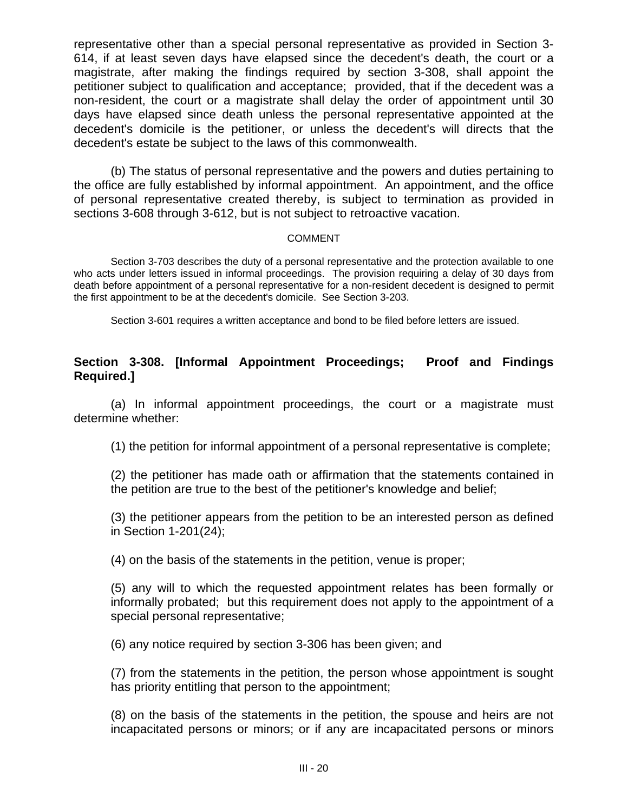representative other than a special personal representative as provided in Section 3- 614, if at least seven days have elapsed since the decedent's death, the court or a magistrate, after making the findings required by section 3-308, shall appoint the petitioner subject to qualification and acceptance; provided, that if the decedent was a non-resident, the court or a magistrate shall delay the order of appointment until 30 days have elapsed since death unless the personal representative appointed at the decedent's domicile is the petitioner, or unless the decedent's will directs that the decedent's estate be subject to the laws of this commonwealth.

 (b) The status of personal representative and the powers and duties pertaining to the office are fully established by informal appointment. An appointment, and the office of personal representative created thereby, is subject to termination as provided in sections 3-608 through 3-612, but is not subject to retroactive vacation.

### COMMENT

 Section 3-703 describes the duty of a personal representative and the protection available to one who acts under letters issued in informal proceedings. The provision requiring a delay of 30 days from death before appointment of a personal representative for a non-resident decedent is designed to permit the first appointment to be at the decedent's domicile. See Section 3-203.

Section 3-601 requires a written acceptance and bond to be filed before letters are issued.

# **Section 3-308. [Informal Appointment Proceedings; Proof and Findings Required.]**

 (a) In informal appointment proceedings, the court or a magistrate must determine whether:

(1) the petition for informal appointment of a personal representative is complete;

(2) the petitioner has made oath or affirmation that the statements contained in the petition are true to the best of the petitioner's knowledge and belief;

(3) the petitioner appears from the petition to be an interested person as defined in Section 1-201(24);

(4) on the basis of the statements in the petition, venue is proper;

(5) any will to which the requested appointment relates has been formally or informally probated; but this requirement does not apply to the appointment of a special personal representative;

(6) any notice required by section 3-306 has been given; and

(7) from the statements in the petition, the person whose appointment is sought has priority entitling that person to the appointment;

(8) on the basis of the statements in the petition, the spouse and heirs are not incapacitated persons or minors; or if any are incapacitated persons or minors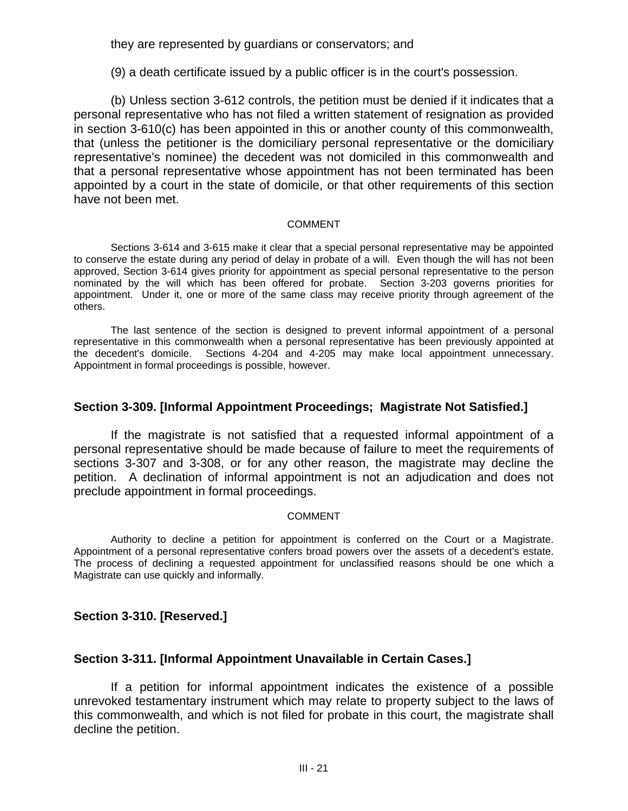they are represented by guardians or conservators; and

(9) a death certificate issued by a public officer is in the court's possession.

 (b) Unless section 3-612 controls, the petition must be denied if it indicates that a personal representative who has not filed a written statement of resignation as provided in section 3-610(c) has been appointed in this or another county of this commonwealth, that (unless the petitioner is the domiciliary personal representative or the domiciliary representative's nominee) the decedent was not domiciled in this commonwealth and that a personal representative whose appointment has not been terminated has been appointed by a court in the state of domicile, or that other requirements of this section have not been met.

### COMMENT

 Sections 3-614 and 3-615 make it clear that a special personal representative may be appointed to conserve the estate during any period of delay in probate of a will. Even though the will has not been approved, Section 3-614 gives priority for appointment as special personal representative to the person nominated by the will which has been offered for probate. Section 3-203 governs priorities for appointment. Under it, one or more of the same class may receive priority through agreement of the others.

 The last sentence of the section is designed to prevent informal appointment of a personal representative in this commonwealth when a personal representative has been previously appointed at the decedent's domicile. Sections 4-204 and 4-205 may make local appointment unnecessary. Appointment in formal proceedings is possible, however.

## **Section 3-309. [Informal Appointment Proceedings; Magistrate Not Satisfied.]**

 If the magistrate is not satisfied that a requested informal appointment of a personal representative should be made because of failure to meet the requirements of sections 3-307 and 3-308, or for any other reason, the magistrate may decline the petition. A declination of informal appointment is not an adjudication and does not preclude appointment in formal proceedings.

### COMMENT

 Authority to decline a petition for appointment is conferred on the Court or a Magistrate. Appointment of a personal representative confers broad powers over the assets of a decedent's estate. The process of declining a requested appointment for unclassified reasons should be one which a Magistrate can use quickly and informally.

# **Section 3-310. [Reserved.]**

## **Section 3-311. [Informal Appointment Unavailable in Certain Cases.]**

 If a petition for informal appointment indicates the existence of a possible unrevoked testamentary instrument which may relate to property subject to the laws of this commonwealth, and which is not filed for probate in this court, the magistrate shall decline the petition.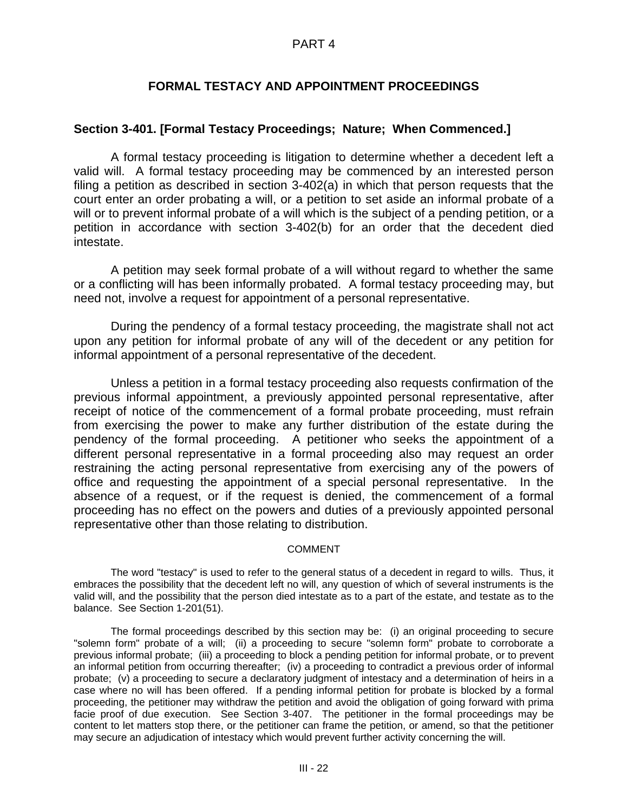# **FORMAL TESTACY AND APPOINTMENT PROCEEDINGS**

## **Section 3-401. [Formal Testacy Proceedings; Nature; When Commenced.]**

 A formal testacy proceeding is litigation to determine whether a decedent left a valid will. A formal testacy proceeding may be commenced by an interested person filing a petition as described in section 3-402(a) in which that person requests that the court enter an order probating a will, or a petition to set aside an informal probate of a will or to prevent informal probate of a will which is the subject of a pending petition, or a petition in accordance with section 3-402(b) for an order that the decedent died intestate.

 A petition may seek formal probate of a will without regard to whether the same or a conflicting will has been informally probated. A formal testacy proceeding may, but need not, involve a request for appointment of a personal representative.

 During the pendency of a formal testacy proceeding, the magistrate shall not act upon any petition for informal probate of any will of the decedent or any petition for informal appointment of a personal representative of the decedent.

 Unless a petition in a formal testacy proceeding also requests confirmation of the previous informal appointment, a previously appointed personal representative, after receipt of notice of the commencement of a formal probate proceeding, must refrain from exercising the power to make any further distribution of the estate during the pendency of the formal proceeding. A petitioner who seeks the appointment of a different personal representative in a formal proceeding also may request an order restraining the acting personal representative from exercising any of the powers of office and requesting the appointment of a special personal representative. In the absence of a request, or if the request is denied, the commencement of a formal proceeding has no effect on the powers and duties of a previously appointed personal representative other than those relating to distribution.

### COMMENT

 The word "testacy" is used to refer to the general status of a decedent in regard to wills. Thus, it embraces the possibility that the decedent left no will, any question of which of several instruments is the valid will, and the possibility that the person died intestate as to a part of the estate, and testate as to the balance. See Section 1-201(51).

 The formal proceedings described by this section may be: (i) an original proceeding to secure "solemn form" probate of a will; (ii) a proceeding to secure "solemn form" probate to corroborate a previous informal probate; (iii) a proceeding to block a pending petition for informal probate, or to prevent an informal petition from occurring thereafter; (iv) a proceeding to contradict a previous order of informal probate; (v) a proceeding to secure a declaratory judgment of intestacy and a determination of heirs in a case where no will has been offered. If a pending informal petition for probate is blocked by a formal proceeding, the petitioner may withdraw the petition and avoid the obligation of going forward with prima facie proof of due execution. See Section 3-407. The petitioner in the formal proceedings may be content to let matters stop there, or the petitioner can frame the petition, or amend, so that the petitioner may secure an adjudication of intestacy which would prevent further activity concerning the will.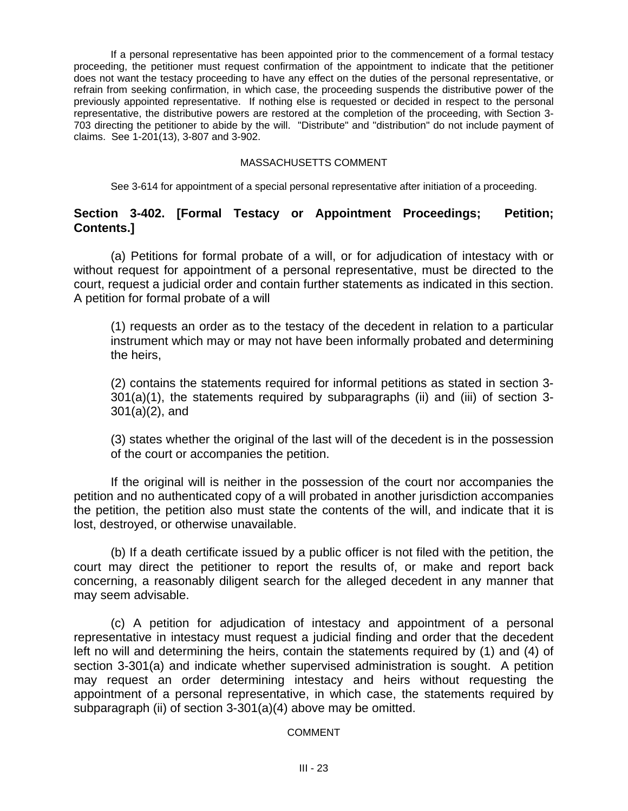If a personal representative has been appointed prior to the commencement of a formal testacy proceeding, the petitioner must request confirmation of the appointment to indicate that the petitioner does not want the testacy proceeding to have any effect on the duties of the personal representative, or refrain from seeking confirmation, in which case, the proceeding suspends the distributive power of the previously appointed representative. If nothing else is requested or decided in respect to the personal representative, the distributive powers are restored at the completion of the proceeding, with Section 3- 703 directing the petitioner to abide by the will. "Distribute" and "distribution" do not include payment of claims. See 1-201(13), 3-807 and 3-902.

### MASSACHUSETTS COMMENT

See 3-614 for appointment of a special personal representative after initiation of a proceeding.

## **Section 3-402. [Formal Testacy or Appointment Proceedings; Petition; Contents.]**

 (a) Petitions for formal probate of a will, or for adjudication of intestacy with or without request for appointment of a personal representative, must be directed to the court, request a judicial order and contain further statements as indicated in this section. A petition for formal probate of a will

(1) requests an order as to the testacy of the decedent in relation to a particular instrument which may or may not have been informally probated and determining the heirs,

(2) contains the statements required for informal petitions as stated in section 3- 301(a)(1), the statements required by subparagraphs (ii) and (iii) of section 3- 301(a)(2), and

(3) states whether the original of the last will of the decedent is in the possession of the court or accompanies the petition.

 If the original will is neither in the possession of the court nor accompanies the petition and no authenticated copy of a will probated in another jurisdiction accompanies the petition, the petition also must state the contents of the will, and indicate that it is lost, destroyed, or otherwise unavailable.

 (b) If a death certificate issued by a public officer is not filed with the petition, the court may direct the petitioner to report the results of, or make and report back concerning, a reasonably diligent search for the alleged decedent in any manner that may seem advisable.

 (c) A petition for adjudication of intestacy and appointment of a personal representative in intestacy must request a judicial finding and order that the decedent left no will and determining the heirs, contain the statements required by (1) and (4) of section 3-301(a) and indicate whether supervised administration is sought. A petition may request an order determining intestacy and heirs without requesting the appointment of a personal representative, in which case, the statements required by subparagraph (ii) of section 3-301(a)(4) above may be omitted.

## COMMENT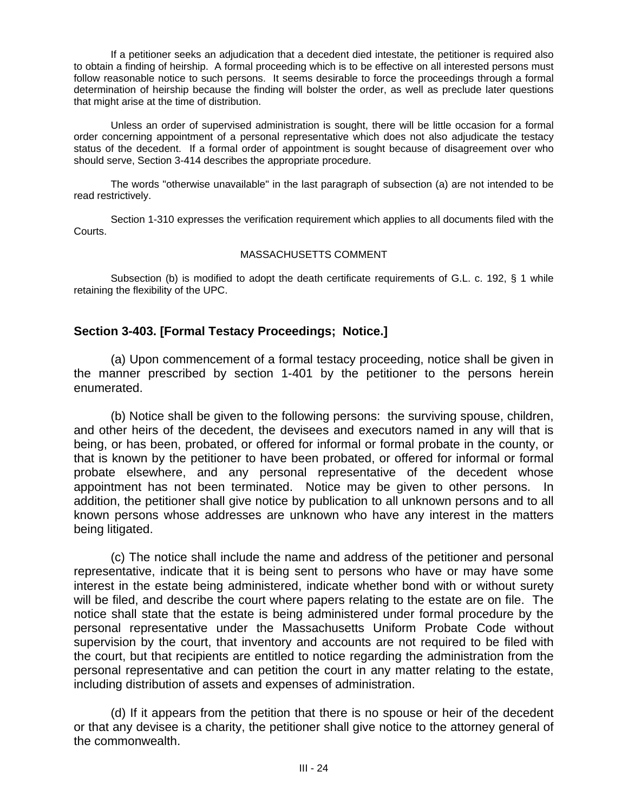If a petitioner seeks an adjudication that a decedent died intestate, the petitioner is required also to obtain a finding of heirship. A formal proceeding which is to be effective on all interested persons must follow reasonable notice to such persons. It seems desirable to force the proceedings through a formal determination of heirship because the finding will bolster the order, as well as preclude later questions that might arise at the time of distribution.

 Unless an order of supervised administration is sought, there will be little occasion for a formal order concerning appointment of a personal representative which does not also adjudicate the testacy status of the decedent. If a formal order of appointment is sought because of disagreement over who should serve, Section 3-414 describes the appropriate procedure.

 The words "otherwise unavailable" in the last paragraph of subsection (a) are not intended to be read restrictively.

 Section 1-310 expresses the verification requirement which applies to all documents filed with the Courts.

### MASSACHUSETTS COMMENT

 Subsection (b) is modified to adopt the death certificate requirements of G.L. c. 192, § 1 while retaining the flexibility of the UPC.

## **Section 3-403. [Formal Testacy Proceedings; Notice.]**

 (a) Upon commencement of a formal testacy proceeding, notice shall be given in the manner prescribed by section 1-401 by the petitioner to the persons herein enumerated.

 (b) Notice shall be given to the following persons: the surviving spouse, children, and other heirs of the decedent, the devisees and executors named in any will that is being, or has been, probated, or offered for informal or formal probate in the county, or that is known by the petitioner to have been probated, or offered for informal or formal probate elsewhere, and any personal representative of the decedent whose appointment has not been terminated. Notice may be given to other persons. In addition, the petitioner shall give notice by publication to all unknown persons and to all known persons whose addresses are unknown who have any interest in the matters being litigated.

 (c) The notice shall include the name and address of the petitioner and personal representative, indicate that it is being sent to persons who have or may have some interest in the estate being administered, indicate whether bond with or without surety will be filed, and describe the court where papers relating to the estate are on file. The notice shall state that the estate is being administered under formal procedure by the personal representative under the Massachusetts Uniform Probate Code without supervision by the court, that inventory and accounts are not required to be filed with the court, but that recipients are entitled to notice regarding the administration from the personal representative and can petition the court in any matter relating to the estate, including distribution of assets and expenses of administration.

 (d) If it appears from the petition that there is no spouse or heir of the decedent or that any devisee is a charity, the petitioner shall give notice to the attorney general of the commonwealth.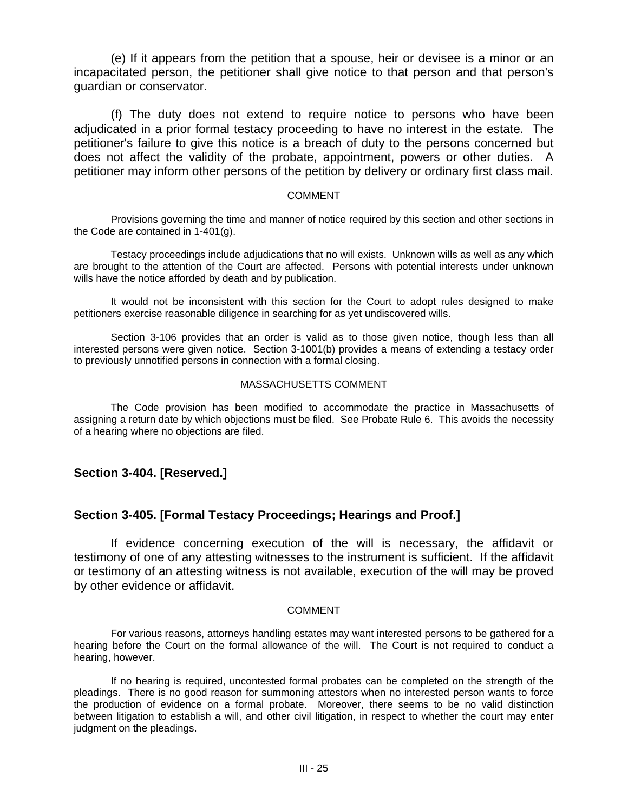(e) If it appears from the petition that a spouse, heir or devisee is a minor or an incapacitated person, the petitioner shall give notice to that person and that person's guardian or conservator.

 (f) The duty does not extend to require notice to persons who have been adjudicated in a prior formal testacy proceeding to have no interest in the estate. The petitioner's failure to give this notice is a breach of duty to the persons concerned but does not affect the validity of the probate, appointment, powers or other duties. A petitioner may inform other persons of the petition by delivery or ordinary first class mail.

### COMMENT

 Provisions governing the time and manner of notice required by this section and other sections in the Code are contained in 1-401(g).

 Testacy proceedings include adjudications that no will exists. Unknown wills as well as any which are brought to the attention of the Court are affected. Persons with potential interests under unknown wills have the notice afforded by death and by publication.

 It would not be inconsistent with this section for the Court to adopt rules designed to make petitioners exercise reasonable diligence in searching for as yet undiscovered wills.

 Section 3-106 provides that an order is valid as to those given notice, though less than all interested persons were given notice. Section 3-1001(b) provides a means of extending a testacy order to previously unnotified persons in connection with a formal closing.

### MASSACHUSETTS COMMENT

 The Code provision has been modified to accommodate the practice in Massachusetts of assigning a return date by which objections must be filed. See Probate Rule 6. This avoids the necessity of a hearing where no objections are filed.

# **Section 3-404. [Reserved.]**

# **Section 3-405. [Formal Testacy Proceedings; Hearings and Proof.]**

 If evidence concerning execution of the will is necessary, the affidavit or testimony of one of any attesting witnesses to the instrument is sufficient. If the affidavit or testimony of an attesting witness is not available, execution of the will may be proved by other evidence or affidavit.

#### COMMENT

 For various reasons, attorneys handling estates may want interested persons to be gathered for a hearing before the Court on the formal allowance of the will. The Court is not required to conduct a hearing, however.

 If no hearing is required, uncontested formal probates can be completed on the strength of the pleadings. There is no good reason for summoning attestors when no interested person wants to force the production of evidence on a formal probate. Moreover, there seems to be no valid distinction between litigation to establish a will, and other civil litigation, in respect to whether the court may enter judgment on the pleadings.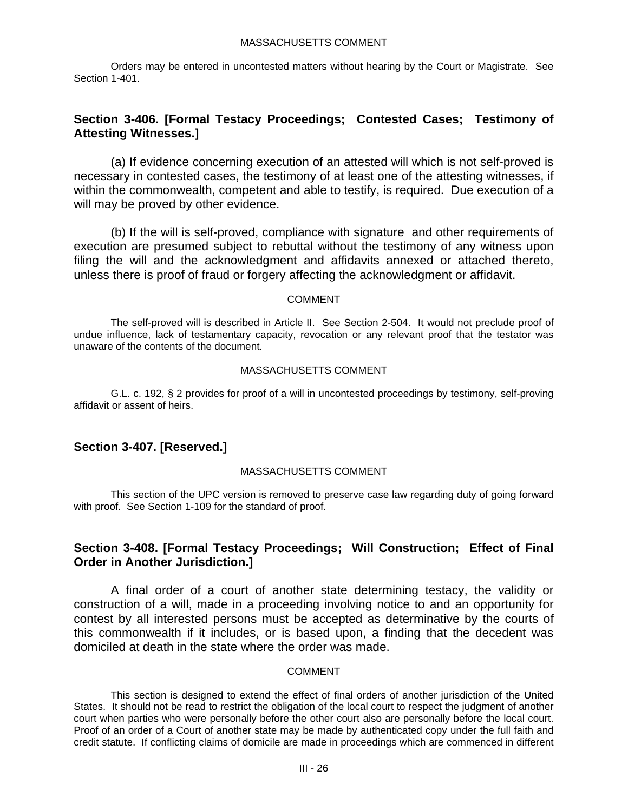#### MASSACHUSETTS COMMENT

 Orders may be entered in uncontested matters without hearing by the Court or Magistrate. See Section 1-401.

# **Section 3-406. [Formal Testacy Proceedings; Contested Cases; Testimony of Attesting Witnesses.]**

 (a) If evidence concerning execution of an attested will which is not self-proved is necessary in contested cases, the testimony of at least one of the attesting witnesses, if within the commonwealth, competent and able to testify, is required. Due execution of a will may be proved by other evidence.

 (b) If the will is self-proved, compliance with signature and other requirements of execution are presumed subject to rebuttal without the testimony of any witness upon filing the will and the acknowledgment and affidavits annexed or attached thereto, unless there is proof of fraud or forgery affecting the acknowledgment or affidavit.

### COMMENT

 The self-proved will is described in Article II. See Section 2-504. It would not preclude proof of undue influence, lack of testamentary capacity, revocation or any relevant proof that the testator was unaware of the contents of the document.

### MASSACHUSETTS COMMENT

 G.L. c. 192, § 2 provides for proof of a will in uncontested proceedings by testimony, self-proving affidavit or assent of heirs.

# **Section 3-407. [Reserved.]**

### MASSACHUSETTS COMMENT

 This section of the UPC version is removed to preserve case law regarding duty of going forward with proof. See Section 1-109 for the standard of proof.

# **Section 3-408. [Formal Testacy Proceedings; Will Construction; Effect of Final Order in Another Jurisdiction.]**

 A final order of a court of another state determining testacy, the validity or construction of a will, made in a proceeding involving notice to and an opportunity for contest by all interested persons must be accepted as determinative by the courts of this commonwealth if it includes, or is based upon, a finding that the decedent was domiciled at death in the state where the order was made.

#### COMMENT

 This section is designed to extend the effect of final orders of another jurisdiction of the United States. It should not be read to restrict the obligation of the local court to respect the judgment of another court when parties who were personally before the other court also are personally before the local court. Proof of an order of a Court of another state may be made by authenticated copy under the full faith and credit statute. If conflicting claims of domicile are made in proceedings which are commenced in different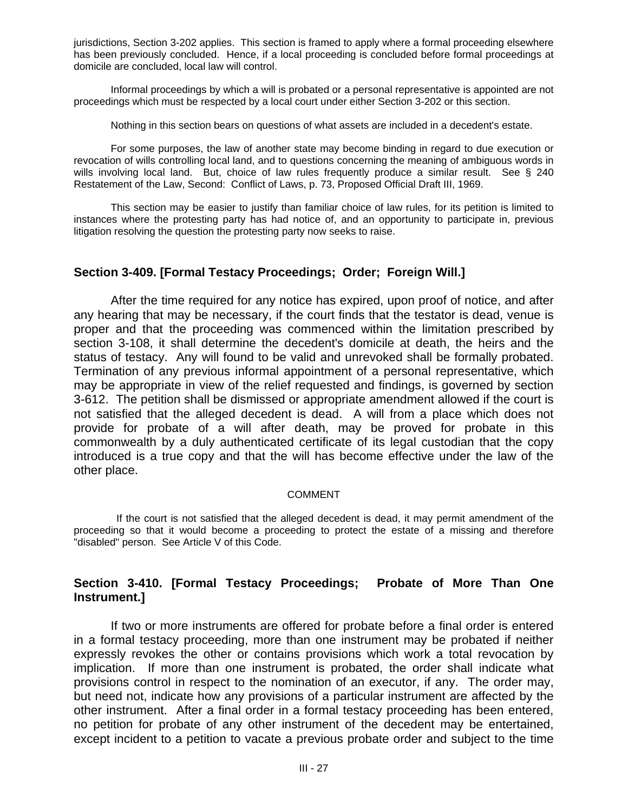jurisdictions, Section 3-202 applies. This section is framed to apply where a formal proceeding elsewhere has been previously concluded. Hence, if a local proceeding is concluded before formal proceedings at domicile are concluded, local law will control.

 Informal proceedings by which a will is probated or a personal representative is appointed are not proceedings which must be respected by a local court under either Section 3-202 or this section.

Nothing in this section bears on questions of what assets are included in a decedent's estate.

 For some purposes, the law of another state may become binding in regard to due execution or revocation of wills controlling local land, and to questions concerning the meaning of ambiguous words in wills involving local land. But, choice of law rules frequently produce a similar result. See § 240 Restatement of the Law, Second: Conflict of Laws, p. 73, Proposed Official Draft III, 1969.

 This section may be easier to justify than familiar choice of law rules, for its petition is limited to instances where the protesting party has had notice of, and an opportunity to participate in, previous litigation resolving the question the protesting party now seeks to raise.

# **Section 3-409. [Formal Testacy Proceedings; Order; Foreign Will.]**

 After the time required for any notice has expired, upon proof of notice, and after any hearing that may be necessary, if the court finds that the testator is dead, venue is proper and that the proceeding was commenced within the limitation prescribed by section 3-108, it shall determine the decedent's domicile at death, the heirs and the status of testacy. Any will found to be valid and unrevoked shall be formally probated. Termination of any previous informal appointment of a personal representative, which may be appropriate in view of the relief requested and findings, is governed by section 3-612. The petition shall be dismissed or appropriate amendment allowed if the court is not satisfied that the alleged decedent is dead. A will from a place which does not provide for probate of a will after death, may be proved for probate in this commonwealth by a duly authenticated certificate of its legal custodian that the copy introduced is a true copy and that the will has become effective under the law of the other place.

### COMMENT

 If the court is not satisfied that the alleged decedent is dead, it may permit amendment of the proceeding so that it would become a proceeding to protect the estate of a missing and therefore "disabled" person. See Article V of this Code.

# **Section 3-410. [Formal Testacy Proceedings; Probate of More Than One Instrument.]**

 If two or more instruments are offered for probate before a final order is entered in a formal testacy proceeding, more than one instrument may be probated if neither expressly revokes the other or contains provisions which work a total revocation by implication. If more than one instrument is probated, the order shall indicate what provisions control in respect to the nomination of an executor, if any. The order may, but need not, indicate how any provisions of a particular instrument are affected by the other instrument. After a final order in a formal testacy proceeding has been entered, no petition for probate of any other instrument of the decedent may be entertained, except incident to a petition to vacate a previous probate order and subject to the time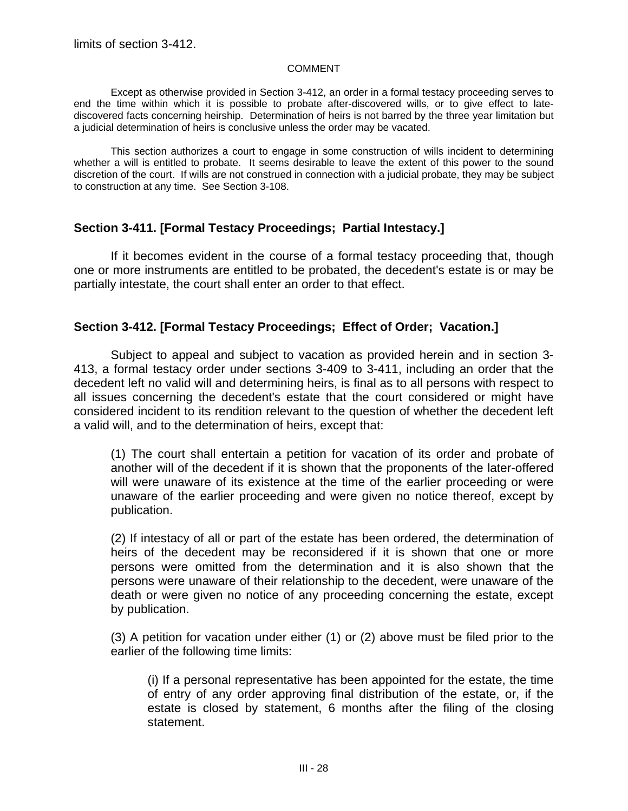### COMMENT

 Except as otherwise provided in Section 3-412, an order in a formal testacy proceeding serves to end the time within which it is possible to probate after-discovered wills, or to give effect to latediscovered facts concerning heirship. Determination of heirs is not barred by the three year limitation but a judicial determination of heirs is conclusive unless the order may be vacated.

 This section authorizes a court to engage in some construction of wills incident to determining whether a will is entitled to probate. It seems desirable to leave the extent of this power to the sound discretion of the court. If wills are not construed in connection with a judicial probate, they may be subject to construction at any time. See Section 3-108.

# **Section 3-411. [Formal Testacy Proceedings; Partial Intestacy.]**

 If it becomes evident in the course of a formal testacy proceeding that, though one or more instruments are entitled to be probated, the decedent's estate is or may be partially intestate, the court shall enter an order to that effect.

# **Section 3-412. [Formal Testacy Proceedings; Effect of Order; Vacation.]**

 Subject to appeal and subject to vacation as provided herein and in section 3- 413, a formal testacy order under sections 3-409 to 3-411, including an order that the decedent left no valid will and determining heirs, is final as to all persons with respect to all issues concerning the decedent's estate that the court considered or might have considered incident to its rendition relevant to the question of whether the decedent left a valid will, and to the determination of heirs, except that:

(1) The court shall entertain a petition for vacation of its order and probate of another will of the decedent if it is shown that the proponents of the later-offered will were unaware of its existence at the time of the earlier proceeding or were unaware of the earlier proceeding and were given no notice thereof, except by publication.

(2) If intestacy of all or part of the estate has been ordered, the determination of heirs of the decedent may be reconsidered if it is shown that one or more persons were omitted from the determination and it is also shown that the persons were unaware of their relationship to the decedent, were unaware of the death or were given no notice of any proceeding concerning the estate, except by publication.

(3) A petition for vacation under either (1) or (2) above must be filed prior to the earlier of the following time limits:

(i) If a personal representative has been appointed for the estate, the time of entry of any order approving final distribution of the estate, or, if the estate is closed by statement, 6 months after the filing of the closing statement.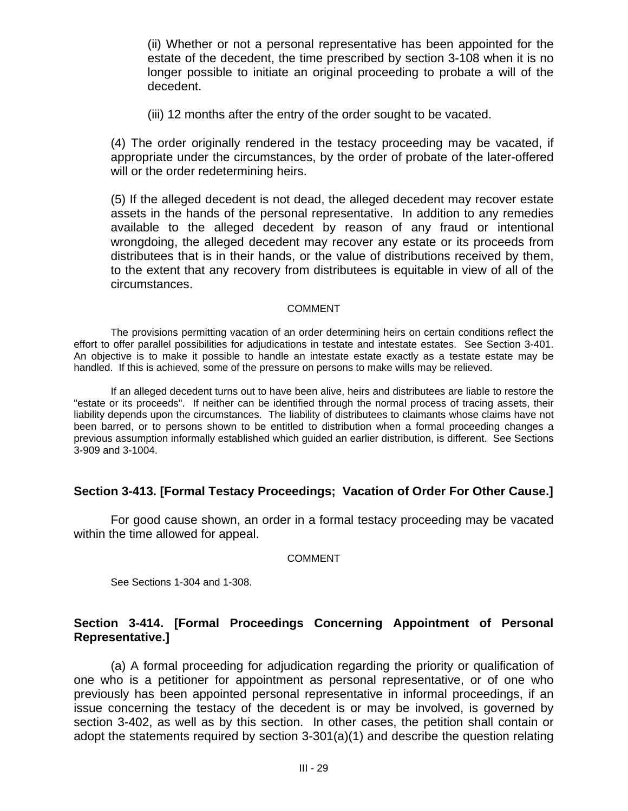(ii) Whether or not a personal representative has been appointed for the estate of the decedent, the time prescribed by section 3-108 when it is no longer possible to initiate an original proceeding to probate a will of the decedent.

(iii) 12 months after the entry of the order sought to be vacated.

(4) The order originally rendered in the testacy proceeding may be vacated, if appropriate under the circumstances, by the order of probate of the later-offered will or the order redetermining heirs.

(5) If the alleged decedent is not dead, the alleged decedent may recover estate assets in the hands of the personal representative. In addition to any remedies available to the alleged decedent by reason of any fraud or intentional wrongdoing, the alleged decedent may recover any estate or its proceeds from distributees that is in their hands, or the value of distributions received by them, to the extent that any recovery from distributees is equitable in view of all of the circumstances.

#### COMMENT

 The provisions permitting vacation of an order determining heirs on certain conditions reflect the effort to offer parallel possibilities for adjudications in testate and intestate estates. See Section 3-401. An objective is to make it possible to handle an intestate estate exactly as a testate estate may be handled. If this is achieved, some of the pressure on persons to make wills may be relieved.

 If an alleged decedent turns out to have been alive, heirs and distributees are liable to restore the "estate or its proceeds". If neither can be identified through the normal process of tracing assets, their liability depends upon the circumstances. The liability of distributees to claimants whose claims have not been barred, or to persons shown to be entitled to distribution when a formal proceeding changes a previous assumption informally established which guided an earlier distribution, is different. See Sections 3-909 and 3-1004.

## **Section 3-413. [Formal Testacy Proceedings; Vacation of Order For Other Cause.]**

 For good cause shown, an order in a formal testacy proceeding may be vacated within the time allowed for appeal.

### COMMENT

See Sections 1-304 and 1-308.

# **Section 3-414. [Formal Proceedings Concerning Appointment of Personal Representative.]**

 (a) A formal proceeding for adjudication regarding the priority or qualification of one who is a petitioner for appointment as personal representative, or of one who previously has been appointed personal representative in informal proceedings, if an issue concerning the testacy of the decedent is or may be involved, is governed by section 3-402, as well as by this section. In other cases, the petition shall contain or adopt the statements required by section 3-301(a)(1) and describe the question relating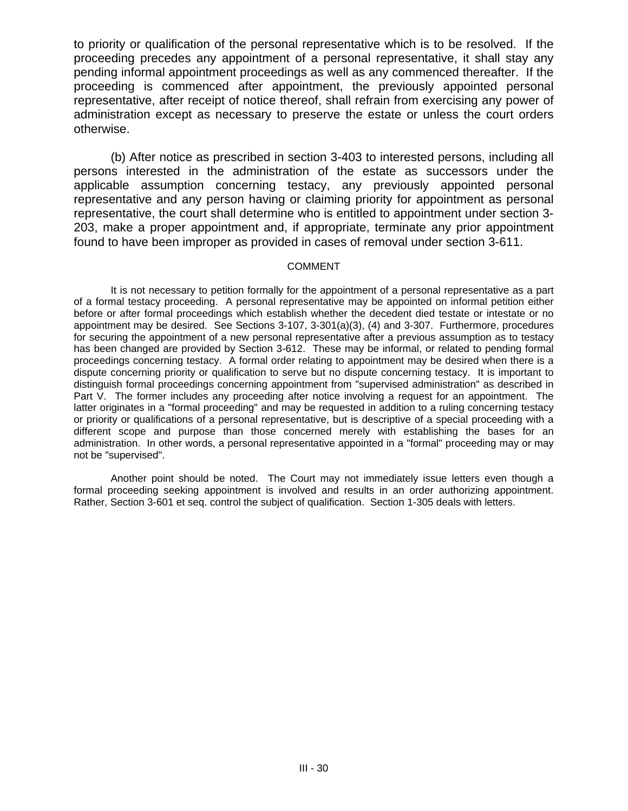to priority or qualification of the personal representative which is to be resolved. If the proceeding precedes any appointment of a personal representative, it shall stay any pending informal appointment proceedings as well as any commenced thereafter. If the proceeding is commenced after appointment, the previously appointed personal representative, after receipt of notice thereof, shall refrain from exercising any power of administration except as necessary to preserve the estate or unless the court orders otherwise.

 (b) After notice as prescribed in section 3-403 to interested persons, including all persons interested in the administration of the estate as successors under the applicable assumption concerning testacy, any previously appointed personal representative and any person having or claiming priority for appointment as personal representative, the court shall determine who is entitled to appointment under section 3- 203, make a proper appointment and, if appropriate, terminate any prior appointment found to have been improper as provided in cases of removal under section 3-611.

### COMMENT

 It is not necessary to petition formally for the appointment of a personal representative as a part of a formal testacy proceeding. A personal representative may be appointed on informal petition either before or after formal proceedings which establish whether the decedent died testate or intestate or no appointment may be desired. See Sections 3-107, 3-301(a)(3), (4) and 3-307. Furthermore, procedures for securing the appointment of a new personal representative after a previous assumption as to testacy has been changed are provided by Section 3-612. These may be informal, or related to pending formal proceedings concerning testacy. A formal order relating to appointment may be desired when there is a dispute concerning priority or qualification to serve but no dispute concerning testacy. It is important to distinguish formal proceedings concerning appointment from "supervised administration" as described in Part V. The former includes any proceeding after notice involving a request for an appointment. The latter originates in a "formal proceeding" and may be requested in addition to a ruling concerning testacy or priority or qualifications of a personal representative, but is descriptive of a special proceeding with a different scope and purpose than those concerned merely with establishing the bases for an administration. In other words, a personal representative appointed in a "formal" proceeding may or may not be "supervised".

 Another point should be noted. The Court may not immediately issue letters even though a formal proceeding seeking appointment is involved and results in an order authorizing appointment. Rather, Section 3-601 et seq. control the subject of qualification. Section 1-305 deals with letters.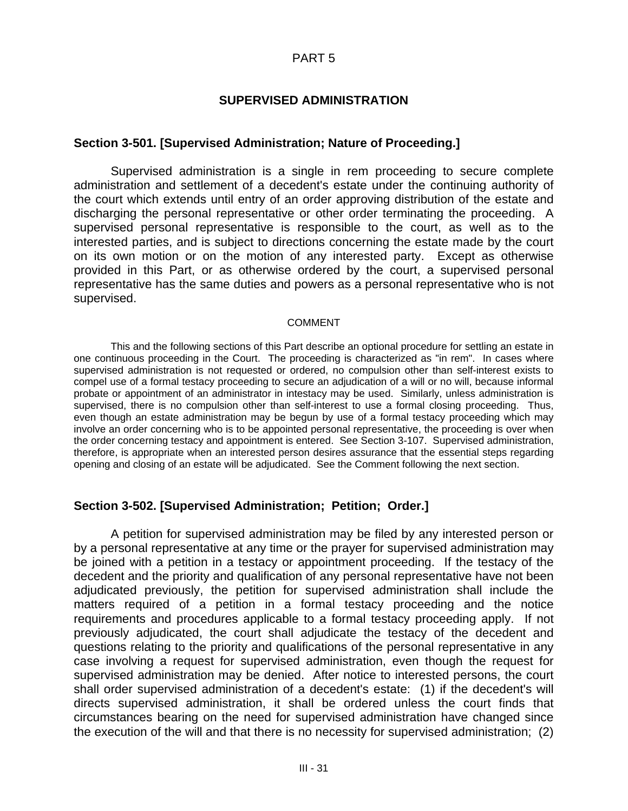## PART 5

# **SUPERVISED ADMINISTRATION**

## **Section 3-501. [Supervised Administration; Nature of Proceeding.]**

 Supervised administration is a single in rem proceeding to secure complete administration and settlement of a decedent's estate under the continuing authority of the court which extends until entry of an order approving distribution of the estate and discharging the personal representative or other order terminating the proceeding. A supervised personal representative is responsible to the court, as well as to the interested parties, and is subject to directions concerning the estate made by the court on its own motion or on the motion of any interested party. Except as otherwise provided in this Part, or as otherwise ordered by the court, a supervised personal representative has the same duties and powers as a personal representative who is not supervised.

### COMMENT

 This and the following sections of this Part describe an optional procedure for settling an estate in one continuous proceeding in the Court. The proceeding is characterized as "in rem". In cases where supervised administration is not requested or ordered, no compulsion other than self-interest exists to compel use of a formal testacy proceeding to secure an adjudication of a will or no will, because informal probate or appointment of an administrator in intestacy may be used. Similarly, unless administration is supervised, there is no compulsion other than self-interest to use a formal closing proceeding. Thus, even though an estate administration may be begun by use of a formal testacy proceeding which may involve an order concerning who is to be appointed personal representative, the proceeding is over when the order concerning testacy and appointment is entered. See Section 3-107. Supervised administration, therefore, is appropriate when an interested person desires assurance that the essential steps regarding opening and closing of an estate will be adjudicated. See the Comment following the next section.

## **Section 3-502. [Supervised Administration; Petition; Order.]**

 A petition for supervised administration may be filed by any interested person or by a personal representative at any time or the prayer for supervised administration may be joined with a petition in a testacy or appointment proceeding. If the testacy of the decedent and the priority and qualification of any personal representative have not been adjudicated previously, the petition for supervised administration shall include the matters required of a petition in a formal testacy proceeding and the notice requirements and procedures applicable to a formal testacy proceeding apply. If not previously adjudicated, the court shall adjudicate the testacy of the decedent and questions relating to the priority and qualifications of the personal representative in any case involving a request for supervised administration, even though the request for supervised administration may be denied. After notice to interested persons, the court shall order supervised administration of a decedent's estate: (1) if the decedent's will directs supervised administration, it shall be ordered unless the court finds that circumstances bearing on the need for supervised administration have changed since the execution of the will and that there is no necessity for supervised administration; (2)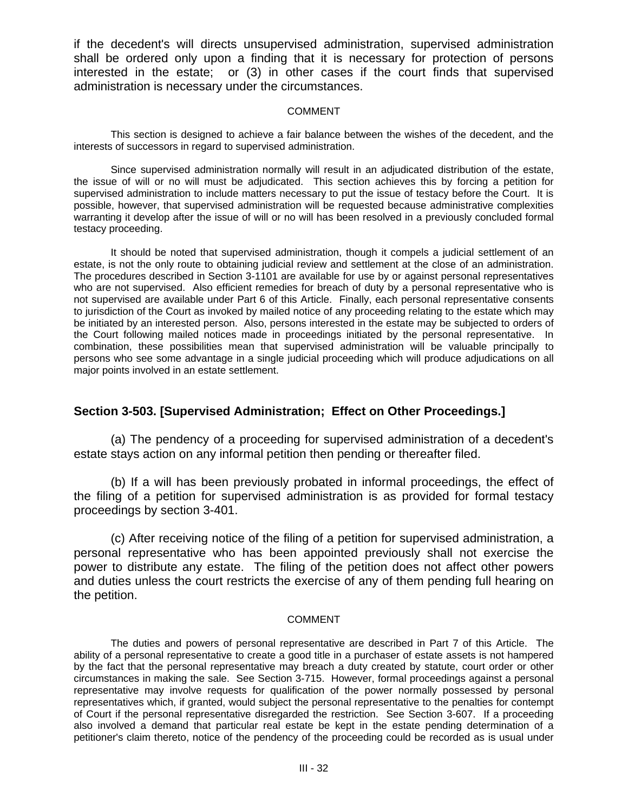if the decedent's will directs unsupervised administration, supervised administration shall be ordered only upon a finding that it is necessary for protection of persons interested in the estate; or (3) in other cases if the court finds that supervised administration is necessary under the circumstances.

### COMMENT

 This section is designed to achieve a fair balance between the wishes of the decedent, and the interests of successors in regard to supervised administration.

 Since supervised administration normally will result in an adjudicated distribution of the estate, the issue of will or no will must be adjudicated. This section achieves this by forcing a petition for supervised administration to include matters necessary to put the issue of testacy before the Court. It is possible, however, that supervised administration will be requested because administrative complexities warranting it develop after the issue of will or no will has been resolved in a previously concluded formal testacy proceeding.

 It should be noted that supervised administration, though it compels a judicial settlement of an estate, is not the only route to obtaining judicial review and settlement at the close of an administration. The procedures described in Section 3-1101 are available for use by or against personal representatives who are not supervised. Also efficient remedies for breach of duty by a personal representative who is not supervised are available under Part 6 of this Article. Finally, each personal representative consents to jurisdiction of the Court as invoked by mailed notice of any proceeding relating to the estate which may be initiated by an interested person. Also, persons interested in the estate may be subjected to orders of the Court following mailed notices made in proceedings initiated by the personal representative. In combination, these possibilities mean that supervised administration will be valuable principally to persons who see some advantage in a single judicial proceeding which will produce adjudications on all major points involved in an estate settlement.

## **Section 3-503. [Supervised Administration; Effect on Other Proceedings.]**

 (a) The pendency of a proceeding for supervised administration of a decedent's estate stays action on any informal petition then pending or thereafter filed.

 (b) If a will has been previously probated in informal proceedings, the effect of the filing of a petition for supervised administration is as provided for formal testacy proceedings by section 3-401.

 (c) After receiving notice of the filing of a petition for supervised administration, a personal representative who has been appointed previously shall not exercise the power to distribute any estate. The filing of the petition does not affect other powers and duties unless the court restricts the exercise of any of them pending full hearing on the petition.

### COMMENT

 The duties and powers of personal representative are described in Part 7 of this Article. The ability of a personal representative to create a good title in a purchaser of estate assets is not hampered by the fact that the personal representative may breach a duty created by statute, court order or other circumstances in making the sale. See Section 3-715. However, formal proceedings against a personal representative may involve requests for qualification of the power normally possessed by personal representatives which, if granted, would subject the personal representative to the penalties for contempt of Court if the personal representative disregarded the restriction. See Section 3-607. If a proceeding also involved a demand that particular real estate be kept in the estate pending determination of a petitioner's claim thereto, notice of the pendency of the proceeding could be recorded as is usual under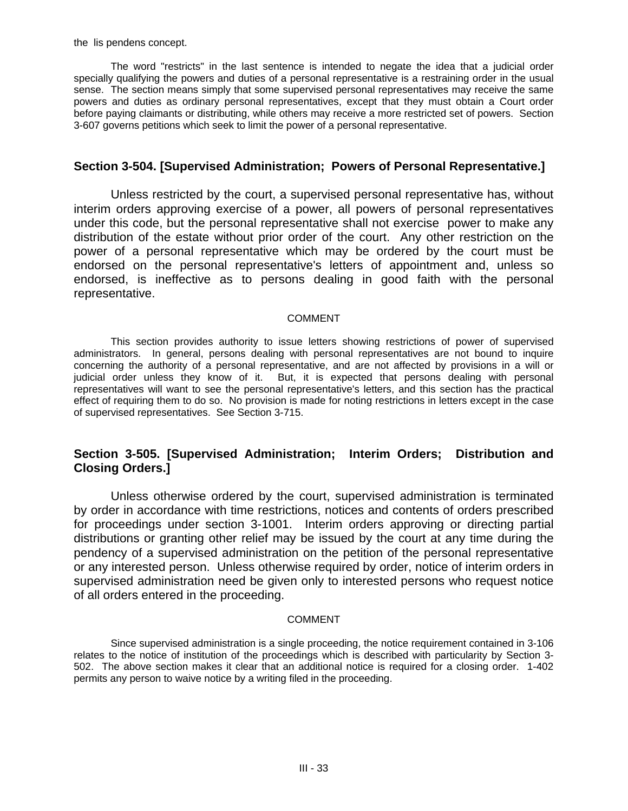the lis pendens concept.

 The word "restricts" in the last sentence is intended to negate the idea that a judicial order specially qualifying the powers and duties of a personal representative is a restraining order in the usual sense. The section means simply that some supervised personal representatives may receive the same powers and duties as ordinary personal representatives, except that they must obtain a Court order before paying claimants or distributing, while others may receive a more restricted set of powers. Section 3-607 governs petitions which seek to limit the power of a personal representative.

### **Section 3-504. [Supervised Administration; Powers of Personal Representative.]**

 Unless restricted by the court, a supervised personal representative has, without interim orders approving exercise of a power, all powers of personal representatives under this code, but the personal representative shall not exercise power to make any distribution of the estate without prior order of the court. Any other restriction on the power of a personal representative which may be ordered by the court must be endorsed on the personal representative's letters of appointment and, unless so endorsed, is ineffective as to persons dealing in good faith with the personal representative.

### COMMENT

 This section provides authority to issue letters showing restrictions of power of supervised administrators. In general, persons dealing with personal representatives are not bound to inquire concerning the authority of a personal representative, and are not affected by provisions in a will or judicial order unless they know of it. But, it is expected that persons dealing with personal representatives will want to see the personal representative's letters, and this section has the practical effect of requiring them to do so. No provision is made for noting restrictions in letters except in the case of supervised representatives. See Section 3-715.

# **Section 3-505. [Supervised Administration; Interim Orders; Distribution and Closing Orders.]**

 Unless otherwise ordered by the court, supervised administration is terminated by order in accordance with time restrictions, notices and contents of orders prescribed for proceedings under section 3-1001. Interim orders approving or directing partial distributions or granting other relief may be issued by the court at any time during the pendency of a supervised administration on the petition of the personal representative or any interested person. Unless otherwise required by order, notice of interim orders in supervised administration need be given only to interested persons who request notice of all orders entered in the proceeding.

#### COMMENT

 Since supervised administration is a single proceeding, the notice requirement contained in 3-106 relates to the notice of institution of the proceedings which is described with particularity by Section 3- 502. The above section makes it clear that an additional notice is required for a closing order. 1-402 permits any person to waive notice by a writing filed in the proceeding.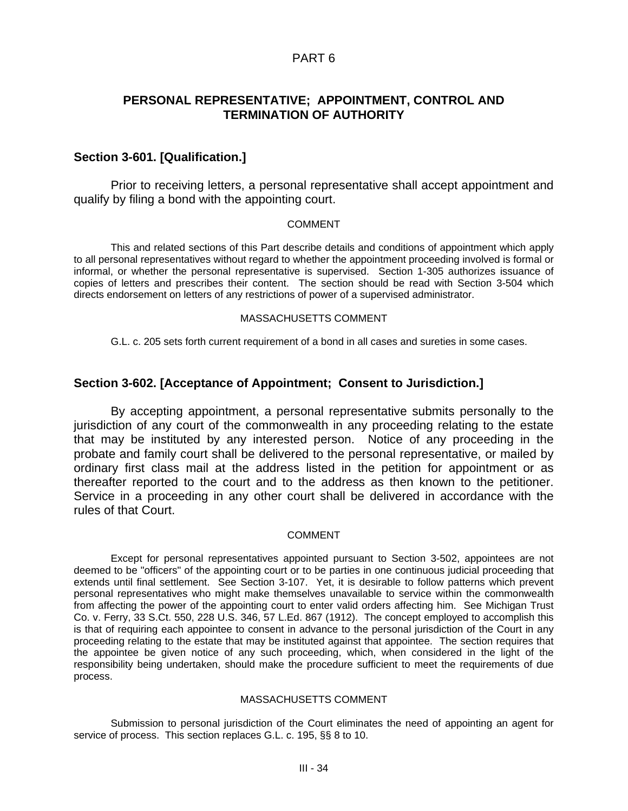### PART 6

# **PERSONAL REPRESENTATIVE; APPOINTMENT, CONTROL AND TERMINATION OF AUTHORITY**

## **Section 3-601. [Qualification.]**

 Prior to receiving letters, a personal representative shall accept appointment and qualify by filing a bond with the appointing court.

#### COMMENT

 This and related sections of this Part describe details and conditions of appointment which apply to all personal representatives without regard to whether the appointment proceeding involved is formal or informal, or whether the personal representative is supervised. Section 1-305 authorizes issuance of copies of letters and prescribes their content. The section should be read with Section 3-504 which directs endorsement on letters of any restrictions of power of a supervised administrator.

### MASSACHUSETTS COMMENT

G.L. c. 205 sets forth current requirement of a bond in all cases and sureties in some cases.

## **Section 3-602. [Acceptance of Appointment; Consent to Jurisdiction.]**

 By accepting appointment, a personal representative submits personally to the jurisdiction of any court of the commonwealth in any proceeding relating to the estate that may be instituted by any interested person. Notice of any proceeding in the probate and family court shall be delivered to the personal representative, or mailed by ordinary first class mail at the address listed in the petition for appointment or as thereafter reported to the court and to the address as then known to the petitioner. Service in a proceeding in any other court shall be delivered in accordance with the rules of that Court.

### COMMENT

 Except for personal representatives appointed pursuant to Section 3-502, appointees are not deemed to be "officers" of the appointing court or to be parties in one continuous judicial proceeding that extends until final settlement. See Section 3-107. Yet, it is desirable to follow patterns which prevent personal representatives who might make themselves unavailable to service within the commonwealth from affecting the power of the appointing court to enter valid orders affecting him. See Michigan Trust Co. v. Ferry, 33 S.Ct. 550, 228 U.S. 346, 57 L.Ed. 867 (1912). The concept employed to accomplish this is that of requiring each appointee to consent in advance to the personal jurisdiction of the Court in any proceeding relating to the estate that may be instituted against that appointee. The section requires that the appointee be given notice of any such proceeding, which, when considered in the light of the responsibility being undertaken, should make the procedure sufficient to meet the requirements of due process.

### MASSACHUSETTS COMMENT

 Submission to personal jurisdiction of the Court eliminates the need of appointing an agent for service of process. This section replaces G.L. c. 195, §§ 8 to 10.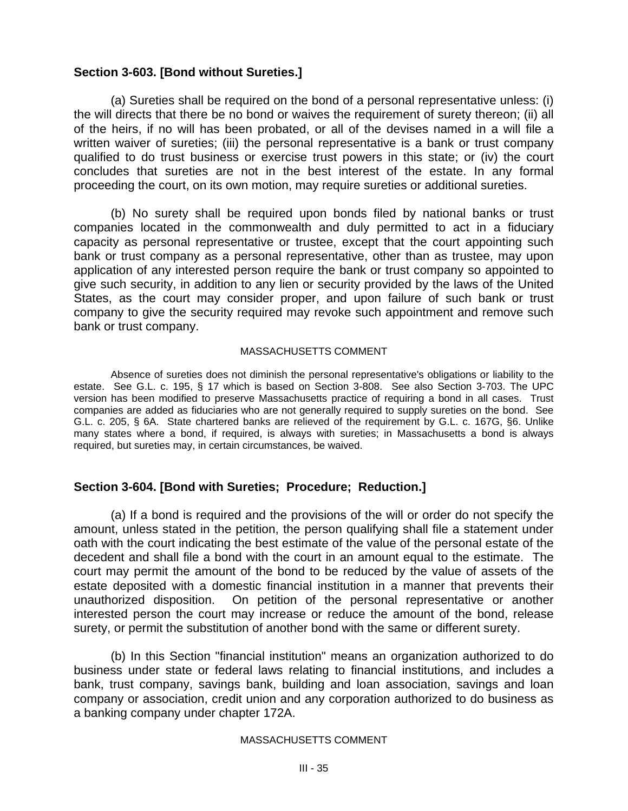## **Section 3-603. [Bond without Sureties.]**

 (a) Sureties shall be required on the bond of a personal representative unless: (i) the will directs that there be no bond or waives the requirement of surety thereon; (ii) all of the heirs, if no will has been probated, or all of the devises named in a will file a written waiver of sureties; (iii) the personal representative is a bank or trust company qualified to do trust business or exercise trust powers in this state; or (iv) the court concludes that sureties are not in the best interest of the estate. In any formal proceeding the court, on its own motion, may require sureties or additional sureties.

 (b) No surety shall be required upon bonds filed by national banks or trust companies located in the commonwealth and duly permitted to act in a fiduciary capacity as personal representative or trustee, except that the court appointing such bank or trust company as a personal representative, other than as trustee, may upon application of any interested person require the bank or trust company so appointed to give such security, in addition to any lien or security provided by the laws of the United States, as the court may consider proper, and upon failure of such bank or trust company to give the security required may revoke such appointment and remove such bank or trust company.

### MASSACHUSETTS COMMENT

 Absence of sureties does not diminish the personal representative's obligations or liability to the estate. See G.L. c. 195, § 17 which is based on Section 3-808. See also Section 3-703. The UPC version has been modified to preserve Massachusetts practice of requiring a bond in all cases. Trust companies are added as fiduciaries who are not generally required to supply sureties on the bond. See G.L. c. 205, § 6A. State chartered banks are relieved of the requirement by G.L. c. 167G, §6. Unlike many states where a bond, if required, is always with sureties; in Massachusetts a bond is always required, but sureties may, in certain circumstances, be waived.

# **Section 3-604. [Bond with Sureties; Procedure; Reduction.]**

 (a) If a bond is required and the provisions of the will or order do not specify the amount, unless stated in the petition, the person qualifying shall file a statement under oath with the court indicating the best estimate of the value of the personal estate of the decedent and shall file a bond with the court in an amount equal to the estimate. The court may permit the amount of the bond to be reduced by the value of assets of the estate deposited with a domestic financial institution in a manner that prevents their unauthorized disposition. On petition of the personal representative or another interested person the court may increase or reduce the amount of the bond, release surety, or permit the substitution of another bond with the same or different surety.

 (b) In this Section "financial institution" means an organization authorized to do business under state or federal laws relating to financial institutions, and includes a bank, trust company, savings bank, building and loan association, savings and loan company or association, credit union and any corporation authorized to do business as a banking company under chapter 172A.

### MASSACHUSETTS COMMENT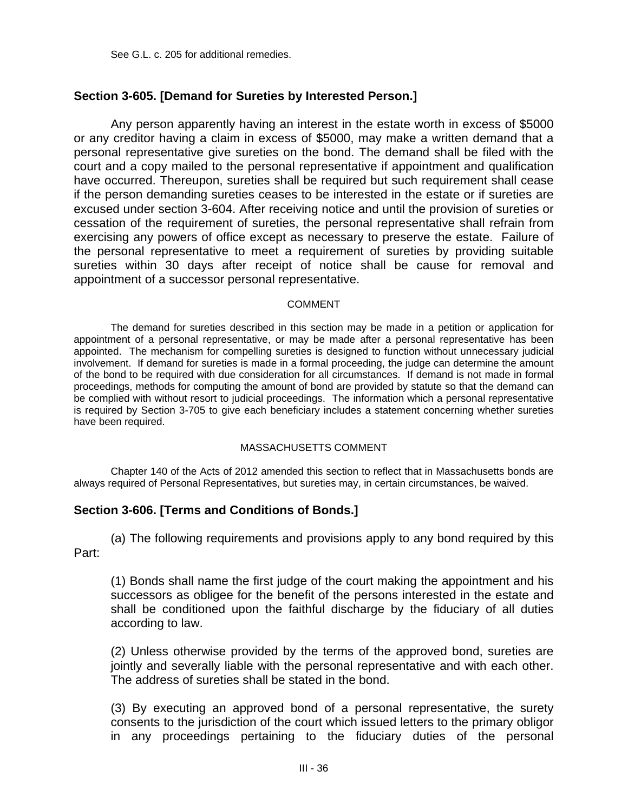See G.L. c. 205 for additional remedies.

# **Section 3-605. [Demand for Sureties by Interested Person.]**

 Any person apparently having an interest in the estate worth in excess of \$5000 or any creditor having a claim in excess of \$5000, may make a written demand that a personal representative give sureties on the bond. The demand shall be filed with the court and a copy mailed to the personal representative if appointment and qualification have occurred. Thereupon, sureties shall be required but such requirement shall cease if the person demanding sureties ceases to be interested in the estate or if sureties are excused under section 3-604. After receiving notice and until the provision of sureties or cessation of the requirement of sureties, the personal representative shall refrain from exercising any powers of office except as necessary to preserve the estate. Failure of the personal representative to meet a requirement of sureties by providing suitable sureties within 30 days after receipt of notice shall be cause for removal and appointment of a successor personal representative.

### COMMENT

 The demand for sureties described in this section may be made in a petition or application for appointment of a personal representative, or may be made after a personal representative has been appointed. The mechanism for compelling sureties is designed to function without unnecessary judicial involvement. If demand for sureties is made in a formal proceeding, the judge can determine the amount of the bond to be required with due consideration for all circumstances. If demand is not made in formal proceedings, methods for computing the amount of bond are provided by statute so that the demand can be complied with without resort to judicial proceedings. The information which a personal representative is required by Section 3-705 to give each beneficiary includes a statement concerning whether sureties have been required.

### MASSACHUSETTS COMMENT

 Chapter 140 of the Acts of 2012 amended this section to reflect that in Massachusetts bonds are always required of Personal Representatives, but sureties may, in certain circumstances, be waived.

# **Section 3-606. [Terms and Conditions of Bonds.]**

 (a) The following requirements and provisions apply to any bond required by this Part:

(1) Bonds shall name the first judge of the court making the appointment and his successors as obligee for the benefit of the persons interested in the estate and shall be conditioned upon the faithful discharge by the fiduciary of all duties according to law.

(2) Unless otherwise provided by the terms of the approved bond, sureties are jointly and severally liable with the personal representative and with each other. The address of sureties shall be stated in the bond.

(3) By executing an approved bond of a personal representative, the surety consents to the jurisdiction of the court which issued letters to the primary obligor in any proceedings pertaining to the fiduciary duties of the personal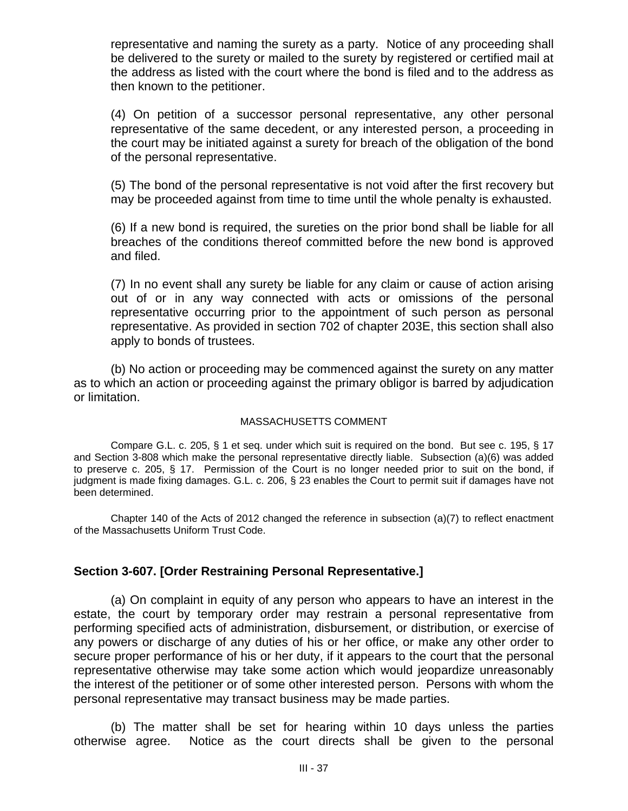representative and naming the surety as a party. Notice of any proceeding shall be delivered to the surety or mailed to the surety by registered or certified mail at the address as listed with the court where the bond is filed and to the address as then known to the petitioner.

(4) On petition of a successor personal representative, any other personal representative of the same decedent, or any interested person, a proceeding in the court may be initiated against a surety for breach of the obligation of the bond of the personal representative.

(5) The bond of the personal representative is not void after the first recovery but may be proceeded against from time to time until the whole penalty is exhausted.

(6) If a new bond is required, the sureties on the prior bond shall be liable for all breaches of the conditions thereof committed before the new bond is approved and filed.

(7) In no event shall any surety be liable for any claim or cause of action arising out of or in any way connected with acts or omissions of the personal representative occurring prior to the appointment of such person as personal representative. As provided in section 702 of chapter 203E, this section shall also apply to bonds of trustees.

 (b) No action or proceeding may be commenced against the surety on any matter as to which an action or proceeding against the primary obligor is barred by adjudication or limitation.

### MASSACHUSETTS COMMENT

 Compare G.L. c. 205, § 1 et seq. under which suit is required on the bond. But see c. 195, § 17 and Section 3-808 which make the personal representative directly liable. Subsection (a)(6) was added to preserve c. 205, § 17. Permission of the Court is no longer needed prior to suit on the bond, if judgment is made fixing damages. G.L. c. 206, § 23 enables the Court to permit suit if damages have not been determined.

 Chapter 140 of the Acts of 2012 changed the reference in subsection (a)(7) to reflect enactment of the Massachusetts Uniform Trust Code.

## **Section 3-607. [Order Restraining Personal Representative.]**

 (a) On complaint in equity of any person who appears to have an interest in the estate, the court by temporary order may restrain a personal representative from performing specified acts of administration, disbursement, or distribution, or exercise of any powers or discharge of any duties of his or her office, or make any other order to secure proper performance of his or her duty, if it appears to the court that the personal representative otherwise may take some action which would jeopardize unreasonably the interest of the petitioner or of some other interested person. Persons with whom the personal representative may transact business may be made parties.

 (b) The matter shall be set for hearing within 10 days unless the parties otherwise agree. Notice as the court directs shall be given to the personal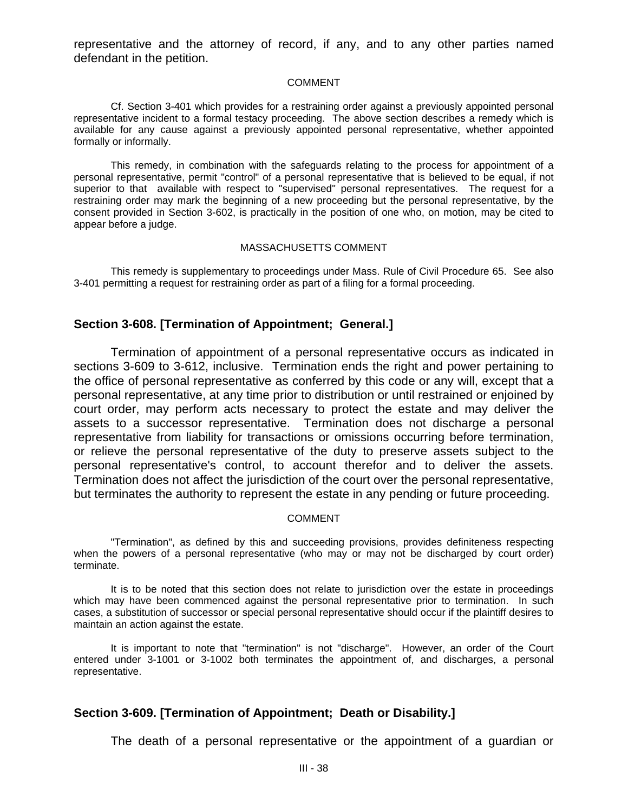representative and the attorney of record, if any, and to any other parties named defendant in the petition.

#### COMMENT

 Cf. Section 3-401 which provides for a restraining order against a previously appointed personal representative incident to a formal testacy proceeding. The above section describes a remedy which is available for any cause against a previously appointed personal representative, whether appointed formally or informally.

 This remedy, in combination with the safeguards relating to the process for appointment of a personal representative, permit "control" of a personal representative that is believed to be equal, if not superior to that available with respect to "supervised" personal representatives. The request for a restraining order may mark the beginning of a new proceeding but the personal representative, by the consent provided in Section 3-602, is practically in the position of one who, on motion, may be cited to appear before a judge.

#### MASSACHUSETTS COMMENT

 This remedy is supplementary to proceedings under Mass. Rule of Civil Procedure 65. See also 3-401 permitting a request for restraining order as part of a filing for a formal proceeding.

### **Section 3-608. [Termination of Appointment; General.]**

 Termination of appointment of a personal representative occurs as indicated in sections 3-609 to 3-612, inclusive. Termination ends the right and power pertaining to the office of personal representative as conferred by this code or any will, except that a personal representative, at any time prior to distribution or until restrained or enjoined by court order, may perform acts necessary to protect the estate and may deliver the assets to a successor representative. Termination does not discharge a personal representative from liability for transactions or omissions occurring before termination, or relieve the personal representative of the duty to preserve assets subject to the personal representative's control, to account therefor and to deliver the assets. Termination does not affect the jurisdiction of the court over the personal representative, but terminates the authority to represent the estate in any pending or future proceeding.

#### COMMENT

 "Termination", as defined by this and succeeding provisions, provides definiteness respecting when the powers of a personal representative (who may or may not be discharged by court order) terminate.

It is to be noted that this section does not relate to jurisdiction over the estate in proceedings which may have been commenced against the personal representative prior to termination. In such cases, a substitution of successor or special personal representative should occur if the plaintiff desires to maintain an action against the estate.

 It is important to note that "termination" is not "discharge". However, an order of the Court entered under 3-1001 or 3-1002 both terminates the appointment of, and discharges, a personal representative.

### **Section 3-609. [Termination of Appointment; Death or Disability.]**

The death of a personal representative or the appointment of a guardian or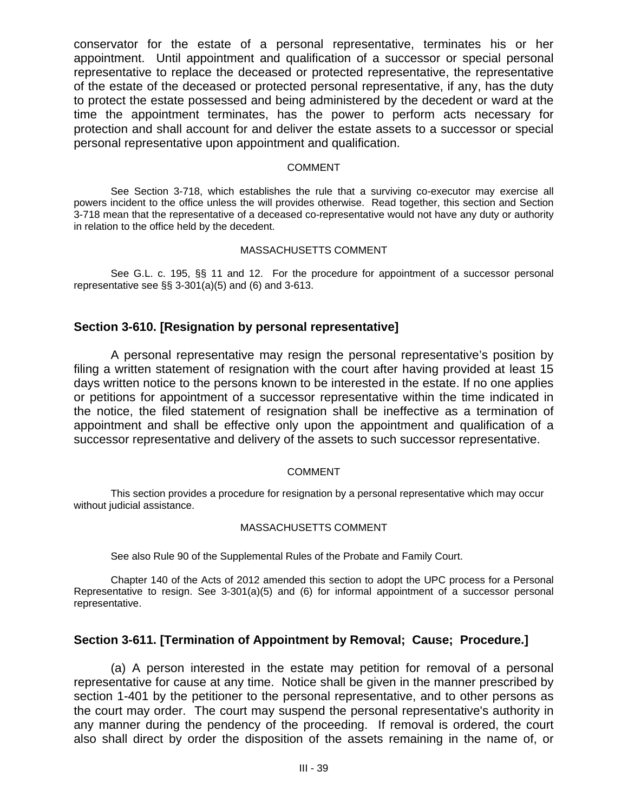conservator for the estate of a personal representative, terminates his or her appointment. Until appointment and qualification of a successor or special personal representative to replace the deceased or protected representative, the representative of the estate of the deceased or protected personal representative, if any, has the duty to protect the estate possessed and being administered by the decedent or ward at the time the appointment terminates, has the power to perform acts necessary for protection and shall account for and deliver the estate assets to a successor or special personal representative upon appointment and qualification.

#### **COMMENT**

 See Section 3-718, which establishes the rule that a surviving co-executor may exercise all powers incident to the office unless the will provides otherwise. Read together, this section and Section 3-718 mean that the representative of a deceased co-representative would not have any duty or authority in relation to the office held by the decedent.

### MASSACHUSETTS COMMENT

 See G.L. c. 195, §§ 11 and 12. For the procedure for appointment of a successor personal representative see  $\S$ § 3-301(a)(5) and (6) and 3-613.

## **Section 3-610. [Resignation by personal representative]**

 A personal representative may resign the personal representative's position by filing a written statement of resignation with the court after having provided at least 15 days written notice to the persons known to be interested in the estate. If no one applies or petitions for appointment of a successor representative within the time indicated in the notice, the filed statement of resignation shall be ineffective as a termination of appointment and shall be effective only upon the appointment and qualification of a successor representative and delivery of the assets to such successor representative.

### COMMENT

 This section provides a procedure for resignation by a personal representative which may occur without judicial assistance.

### MASSACHUSETTS COMMENT

See also Rule 90 of the Supplemental Rules of the Probate and Family Court.

 Chapter 140 of the Acts of 2012 amended this section to adopt the UPC process for a Personal Representative to resign. See 3-301(a)(5) and (6) for informal appointment of a successor personal representative.

### **Section 3-611. [Termination of Appointment by Removal; Cause; Procedure.]**

 (a) A person interested in the estate may petition for removal of a personal representative for cause at any time. Notice shall be given in the manner prescribed by section 1-401 by the petitioner to the personal representative, and to other persons as the court may order. The court may suspend the personal representative's authority in any manner during the pendency of the proceeding. If removal is ordered, the court also shall direct by order the disposition of the assets remaining in the name of, or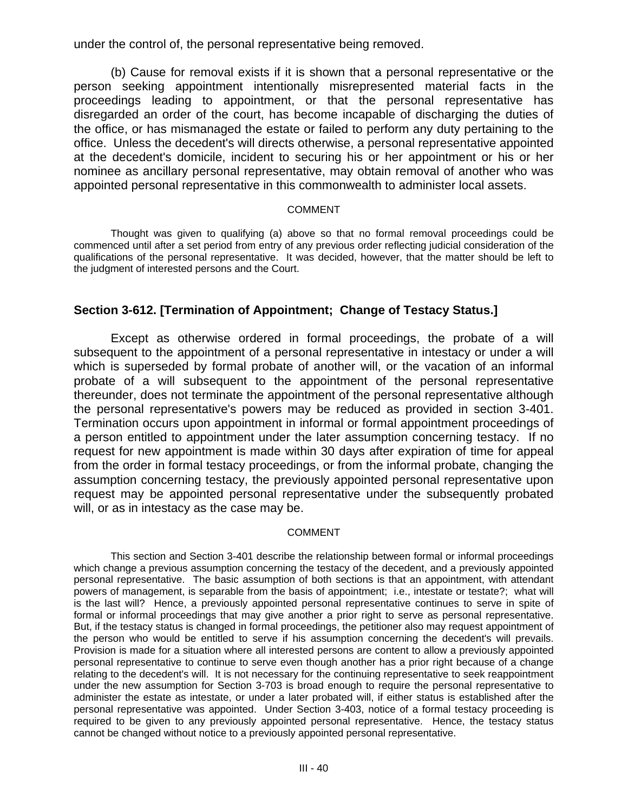under the control of, the personal representative being removed.

 (b) Cause for removal exists if it is shown that a personal representative or the person seeking appointment intentionally misrepresented material facts in the proceedings leading to appointment, or that the personal representative has disregarded an order of the court, has become incapable of discharging the duties of the office, or has mismanaged the estate or failed to perform any duty pertaining to the office. Unless the decedent's will directs otherwise, a personal representative appointed at the decedent's domicile, incident to securing his or her appointment or his or her nominee as ancillary personal representative, may obtain removal of another who was appointed personal representative in this commonwealth to administer local assets.

### COMMENT

 Thought was given to qualifying (a) above so that no formal removal proceedings could be commenced until after a set period from entry of any previous order reflecting judicial consideration of the qualifications of the personal representative. It was decided, however, that the matter should be left to the judgment of interested persons and the Court.

## **Section 3-612. [Termination of Appointment; Change of Testacy Status.]**

 Except as otherwise ordered in formal proceedings, the probate of a will subsequent to the appointment of a personal representative in intestacy or under a will which is superseded by formal probate of another will, or the vacation of an informal probate of a will subsequent to the appointment of the personal representative thereunder, does not terminate the appointment of the personal representative although the personal representative's powers may be reduced as provided in section 3-401. Termination occurs upon appointment in informal or formal appointment proceedings of a person entitled to appointment under the later assumption concerning testacy. If no request for new appointment is made within 30 days after expiration of time for appeal from the order in formal testacy proceedings, or from the informal probate, changing the assumption concerning testacy, the previously appointed personal representative upon request may be appointed personal representative under the subsequently probated will, or as in intestacy as the case may be.

### COMMENT

 This section and Section 3-401 describe the relationship between formal or informal proceedings which change a previous assumption concerning the testacy of the decedent, and a previously appointed personal representative. The basic assumption of both sections is that an appointment, with attendant powers of management, is separable from the basis of appointment; i.e., intestate or testate?; what will is the last will? Hence, a previously appointed personal representative continues to serve in spite of formal or informal proceedings that may give another a prior right to serve as personal representative. But, if the testacy status is changed in formal proceedings, the petitioner also may request appointment of the person who would be entitled to serve if his assumption concerning the decedent's will prevails. Provision is made for a situation where all interested persons are content to allow a previously appointed personal representative to continue to serve even though another has a prior right because of a change relating to the decedent's will. It is not necessary for the continuing representative to seek reappointment under the new assumption for Section 3-703 is broad enough to require the personal representative to administer the estate as intestate, or under a later probated will, if either status is established after the personal representative was appointed. Under Section 3-403, notice of a formal testacy proceeding is required to be given to any previously appointed personal representative. Hence, the testacy status cannot be changed without notice to a previously appointed personal representative.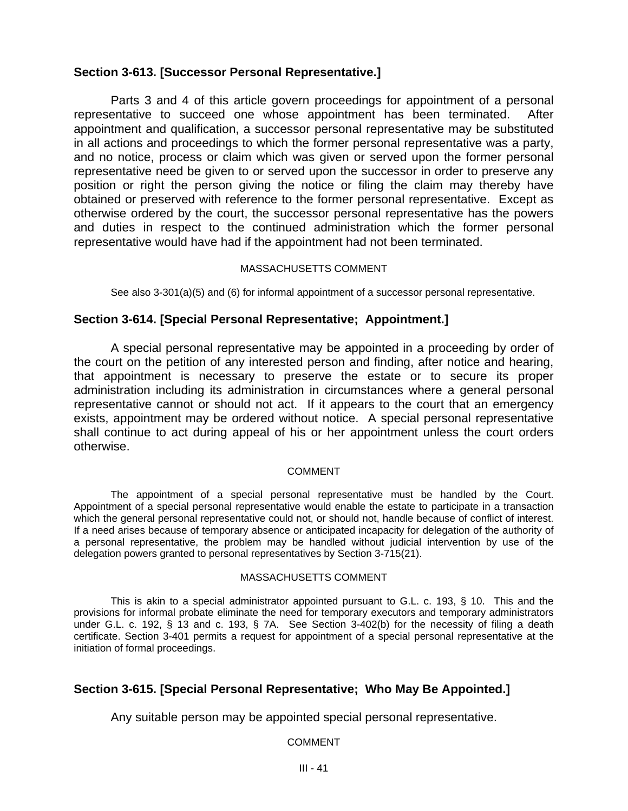## **Section 3-613. [Successor Personal Representative.]**

 Parts 3 and 4 of this article govern proceedings for appointment of a personal representative to succeed one whose appointment has been terminated. After appointment and qualification, a successor personal representative may be substituted in all actions and proceedings to which the former personal representative was a party, and no notice, process or claim which was given or served upon the former personal representative need be given to or served upon the successor in order to preserve any position or right the person giving the notice or filing the claim may thereby have obtained or preserved with reference to the former personal representative. Except as otherwise ordered by the court, the successor personal representative has the powers and duties in respect to the continued administration which the former personal representative would have had if the appointment had not been terminated.

### MASSACHUSETTS COMMENT

See also 3-301(a)(5) and (6) for informal appointment of a successor personal representative.

### **Section 3-614. [Special Personal Representative; Appointment.]**

 A special personal representative may be appointed in a proceeding by order of the court on the petition of any interested person and finding, after notice and hearing, that appointment is necessary to preserve the estate or to secure its proper administration including its administration in circumstances where a general personal representative cannot or should not act. If it appears to the court that an emergency exists, appointment may be ordered without notice. A special personal representative shall continue to act during appeal of his or her appointment unless the court orders otherwise.

### **COMMENT**

 The appointment of a special personal representative must be handled by the Court. Appointment of a special personal representative would enable the estate to participate in a transaction which the general personal representative could not, or should not, handle because of conflict of interest. If a need arises because of temporary absence or anticipated incapacity for delegation of the authority of a personal representative, the problem may be handled without judicial intervention by use of the delegation powers granted to personal representatives by Section 3-715(21).

#### MASSACHUSETTS COMMENT

 This is akin to a special administrator appointed pursuant to G.L. c. 193, § 10. This and the provisions for informal probate eliminate the need for temporary executors and temporary administrators under G.L. c. 192, § 13 and c. 193, § 7A. See Section 3-402(b) for the necessity of filing a death certificate. Section 3-401 permits a request for appointment of a special personal representative at the initiation of formal proceedings.

## **Section 3-615. [Special Personal Representative; Who May Be Appointed.]**

Any suitable person may be appointed special personal representative.

### COMMENT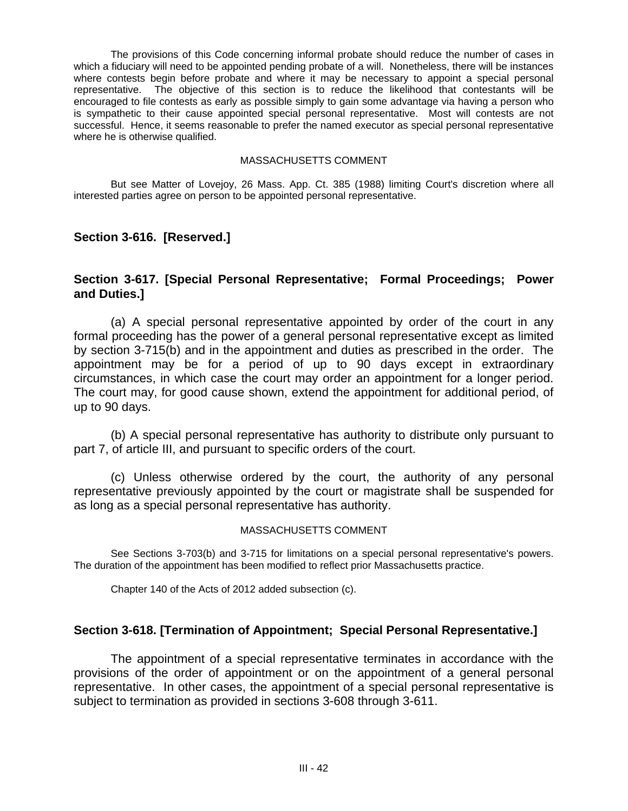The provisions of this Code concerning informal probate should reduce the number of cases in which a fiduciary will need to be appointed pending probate of a will. Nonetheless, there will be instances where contests begin before probate and where it may be necessary to appoint a special personal representative. The objective of this section is to reduce the likelihood that contestants will be encouraged to file contests as early as possible simply to gain some advantage via having a person who is sympathetic to their cause appointed special personal representative. Most will contests are not successful. Hence, it seems reasonable to prefer the named executor as special personal representative where he is otherwise qualified.

### MASSACHUSETTS COMMENT

 But see Matter of Lovejoy, 26 Mass. App. Ct. 385 (1988) limiting Court's discretion where all interested parties agree on person to be appointed personal representative.

## **Section 3-616. [Reserved.]**

### **Section 3-617. [Special Personal Representative; Formal Proceedings; Power and Duties.]**

 (a) A special personal representative appointed by order of the court in any formal proceeding has the power of a general personal representative except as limited by section 3-715(b) and in the appointment and duties as prescribed in the order. The appointment may be for a period of up to 90 days except in extraordinary circumstances, in which case the court may order an appointment for a longer period. The court may, for good cause shown, extend the appointment for additional period, of up to 90 days.

 (b) A special personal representative has authority to distribute only pursuant to part 7, of article III, and pursuant to specific orders of the court.

 (c) Unless otherwise ordered by the court, the authority of any personal representative previously appointed by the court or magistrate shall be suspended for as long as a special personal representative has authority.

### MASSACHUSETTS COMMENT

 See Sections 3-703(b) and 3-715 for limitations on a special personal representative's powers. The duration of the appointment has been modified to reflect prior Massachusetts practice.

Chapter 140 of the Acts of 2012 added subsection (c).

### **Section 3-618. [Termination of Appointment; Special Personal Representative.]**

 The appointment of a special representative terminates in accordance with the provisions of the order of appointment or on the appointment of a general personal representative. In other cases, the appointment of a special personal representative is subject to termination as provided in sections 3-608 through 3-611.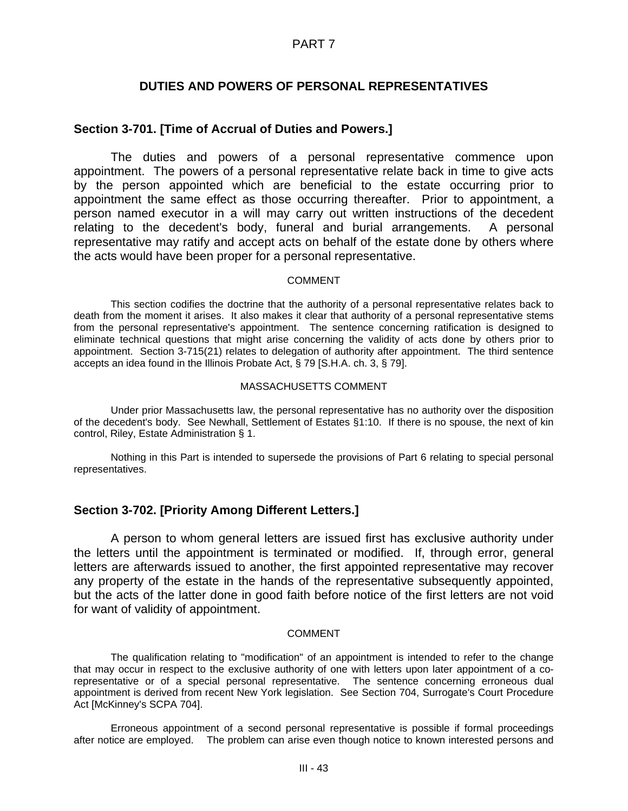### PART 7

### **DUTIES AND POWERS OF PERSONAL REPRESENTATIVES**

#### **Section 3-701. [Time of Accrual of Duties and Powers.]**

 The duties and powers of a personal representative commence upon appointment. The powers of a personal representative relate back in time to give acts by the person appointed which are beneficial to the estate occurring prior to appointment the same effect as those occurring thereafter. Prior to appointment, a person named executor in a will may carry out written instructions of the decedent relating to the decedent's body, funeral and burial arrangements. A personal representative may ratify and accept acts on behalf of the estate done by others where the acts would have been proper for a personal representative.

#### COMMENT

 This section codifies the doctrine that the authority of a personal representative relates back to death from the moment it arises. It also makes it clear that authority of a personal representative stems from the personal representative's appointment. The sentence concerning ratification is designed to eliminate technical questions that might arise concerning the validity of acts done by others prior to appointment. Section 3-715(21) relates to delegation of authority after appointment. The third sentence accepts an idea found in the Illinois Probate Act, § 79 [S.H.A. ch. 3, § 79].

#### MASSACHUSETTS COMMENT

 Under prior Massachusetts law, the personal representative has no authority over the disposition of the decedent's body. See Newhall, Settlement of Estates §1:10. If there is no spouse, the next of kin control, Riley, Estate Administration § 1.

 Nothing in this Part is intended to supersede the provisions of Part 6 relating to special personal representatives.

### **Section 3-702. [Priority Among Different Letters.]**

 A person to whom general letters are issued first has exclusive authority under the letters until the appointment is terminated or modified. If, through error, general letters are afterwards issued to another, the first appointed representative may recover any property of the estate in the hands of the representative subsequently appointed, but the acts of the latter done in good faith before notice of the first letters are not void for want of validity of appointment.

#### COMMENT

 The qualification relating to "modification" of an appointment is intended to refer to the change that may occur in respect to the exclusive authority of one with letters upon later appointment of a corepresentative or of a special personal representative. The sentence concerning erroneous dual appointment is derived from recent New York legislation. See Section 704, Surrogate's Court Procedure Act [McKinney's SCPA 704].

 Erroneous appointment of a second personal representative is possible if formal proceedings after notice are employed. The problem can arise even though notice to known interested persons and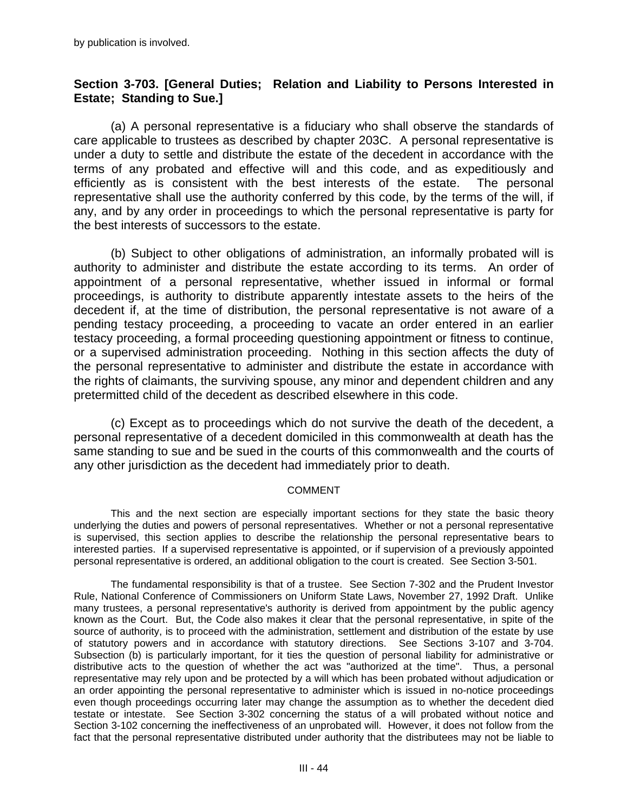## **Section 3-703. [General Duties; Relation and Liability to Persons Interested in Estate; Standing to Sue.]**

 (a) A personal representative is a fiduciary who shall observe the standards of care applicable to trustees as described by chapter 203C. A personal representative is under a duty to settle and distribute the estate of the decedent in accordance with the terms of any probated and effective will and this code, and as expeditiously and efficiently as is consistent with the best interests of the estate. The personal representative shall use the authority conferred by this code, by the terms of the will, if any, and by any order in proceedings to which the personal representative is party for the best interests of successors to the estate.

 (b) Subject to other obligations of administration, an informally probated will is authority to administer and distribute the estate according to its terms. An order of appointment of a personal representative, whether issued in informal or formal proceedings, is authority to distribute apparently intestate assets to the heirs of the decedent if, at the time of distribution, the personal representative is not aware of a pending testacy proceeding, a proceeding to vacate an order entered in an earlier testacy proceeding, a formal proceeding questioning appointment or fitness to continue, or a supervised administration proceeding. Nothing in this section affects the duty of the personal representative to administer and distribute the estate in accordance with the rights of claimants, the surviving spouse, any minor and dependent children and any pretermitted child of the decedent as described elsewhere in this code.

 (c) Except as to proceedings which do not survive the death of the decedent, a personal representative of a decedent domiciled in this commonwealth at death has the same standing to sue and be sued in the courts of this commonwealth and the courts of any other jurisdiction as the decedent had immediately prior to death.

### COMMENT

 This and the next section are especially important sections for they state the basic theory underlying the duties and powers of personal representatives. Whether or not a personal representative is supervised, this section applies to describe the relationship the personal representative bears to interested parties. If a supervised representative is appointed, or if supervision of a previously appointed personal representative is ordered, an additional obligation to the court is created. See Section 3-501.

 The fundamental responsibility is that of a trustee. See Section 7-302 and the Prudent Investor Rule, National Conference of Commissioners on Uniform State Laws, November 27, 1992 Draft. Unlike many trustees, a personal representative's authority is derived from appointment by the public agency known as the Court. But, the Code also makes it clear that the personal representative, in spite of the source of authority, is to proceed with the administration, settlement and distribution of the estate by use of statutory powers and in accordance with statutory directions. See Sections 3-107 and 3-704. Subsection (b) is particularly important, for it ties the question of personal liability for administrative or distributive acts to the question of whether the act was "authorized at the time". Thus, a personal representative may rely upon and be protected by a will which has been probated without adjudication or an order appointing the personal representative to administer which is issued in no-notice proceedings even though proceedings occurring later may change the assumption as to whether the decedent died testate or intestate. See Section 3-302 concerning the status of a will probated without notice and Section 3-102 concerning the ineffectiveness of an unprobated will. However, it does not follow from the fact that the personal representative distributed under authority that the distributees may not be liable to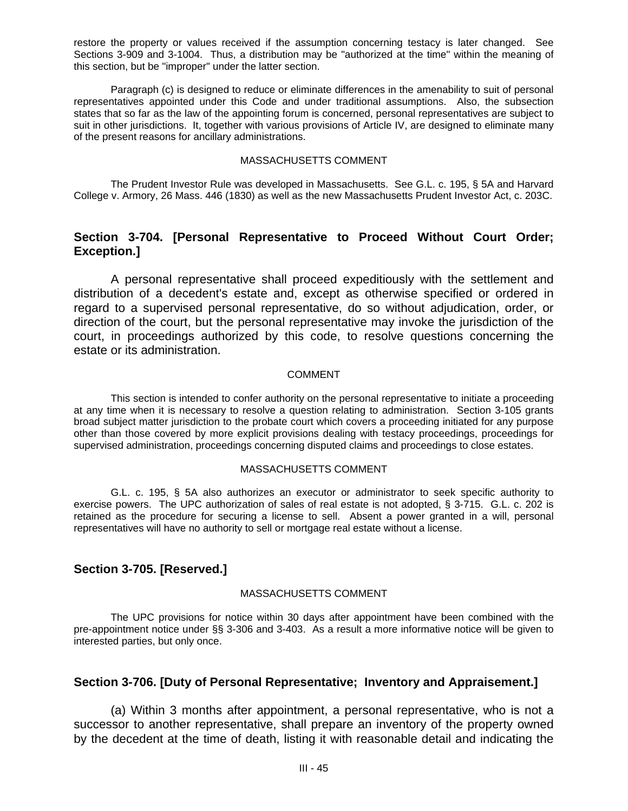restore the property or values received if the assumption concerning testacy is later changed. See Sections 3-909 and 3-1004. Thus, a distribution may be "authorized at the time" within the meaning of this section, but be "improper" under the latter section.

 Paragraph (c) is designed to reduce or eliminate differences in the amenability to suit of personal representatives appointed under this Code and under traditional assumptions. Also, the subsection states that so far as the law of the appointing forum is concerned, personal representatives are subject to suit in other jurisdictions. It, together with various provisions of Article IV, are designed to eliminate many of the present reasons for ancillary administrations.

#### MASSACHUSETTS COMMENT

 The Prudent Investor Rule was developed in Massachusetts. See G.L. c. 195, § 5A and Harvard College v. Armory, 26 Mass. 446 (1830) as well as the new Massachusetts Prudent Investor Act, c. 203C.

## **Section 3-704. [Personal Representative to Proceed Without Court Order; Exception.]**

 A personal representative shall proceed expeditiously with the settlement and distribution of a decedent's estate and, except as otherwise specified or ordered in regard to a supervised personal representative, do so without adjudication, order, or direction of the court, but the personal representative may invoke the jurisdiction of the court, in proceedings authorized by this code, to resolve questions concerning the estate or its administration.

#### COMMENT

 This section is intended to confer authority on the personal representative to initiate a proceeding at any time when it is necessary to resolve a question relating to administration. Section 3-105 grants broad subject matter jurisdiction to the probate court which covers a proceeding initiated for any purpose other than those covered by more explicit provisions dealing with testacy proceedings, proceedings for supervised administration, proceedings concerning disputed claims and proceedings to close estates.

#### MASSACHUSETTS COMMENT

 G.L. c. 195, § 5A also authorizes an executor or administrator to seek specific authority to exercise powers. The UPC authorization of sales of real estate is not adopted, § 3-715. G.L. c. 202 is retained as the procedure for securing a license to sell. Absent a power granted in a will, personal representatives will have no authority to sell or mortgage real estate without a license.

### **Section 3-705. [Reserved.]**

### MASSACHUSETTS COMMENT

 The UPC provisions for notice within 30 days after appointment have been combined with the pre-appointment notice under §§ 3-306 and 3-403. As a result a more informative notice will be given to interested parties, but only once.

### **Section 3-706. [Duty of Personal Representative; Inventory and Appraisement.]**

 (a) Within 3 months after appointment, a personal representative, who is not a successor to another representative, shall prepare an inventory of the property owned by the decedent at the time of death, listing it with reasonable detail and indicating the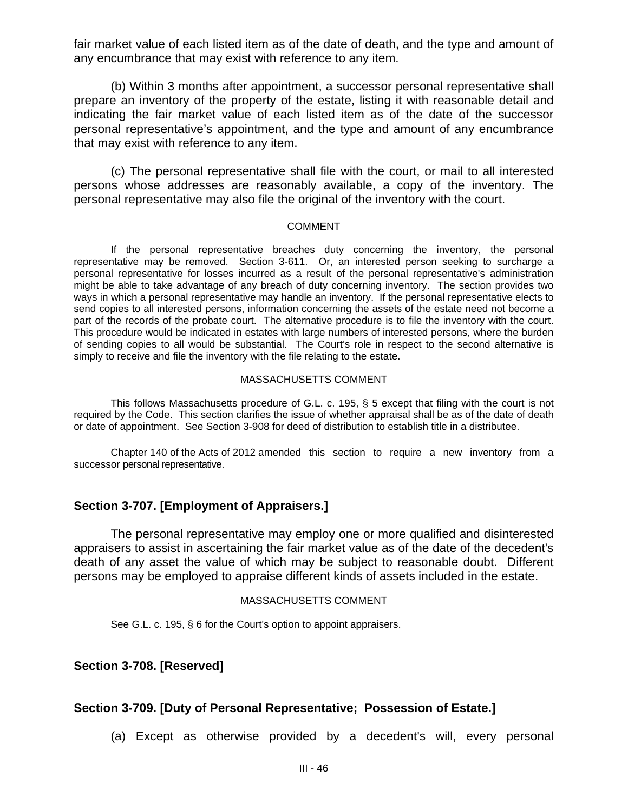fair market value of each listed item as of the date of death, and the type and amount of any encumbrance that may exist with reference to any item.

 (b) Within 3 months after appointment, a successor personal representative shall prepare an inventory of the property of the estate, listing it with reasonable detail and indicating the fair market value of each listed item as of the date of the successor personal representative's appointment, and the type and amount of any encumbrance that may exist with reference to any item.

 (c) The personal representative shall file with the court, or mail to all interested persons whose addresses are reasonably available, a copy of the inventory. The personal representative may also file the original of the inventory with the court.

#### COMMENT

 If the personal representative breaches duty concerning the inventory, the personal representative may be removed. Section 3-611. Or, an interested person seeking to surcharge a personal representative for losses incurred as a result of the personal representative's administration might be able to take advantage of any breach of duty concerning inventory. The section provides two ways in which a personal representative may handle an inventory. If the personal representative elects to send copies to all interested persons, information concerning the assets of the estate need not become a part of the records of the probate court. The alternative procedure is to file the inventory with the court. This procedure would be indicated in estates with large numbers of interested persons, where the burden of sending copies to all would be substantial. The Court's role in respect to the second alternative is simply to receive and file the inventory with the file relating to the estate.

### MASSACHUSETTS COMMENT

 This follows Massachusetts procedure of G.L. c. 195, § 5 except that filing with the court is not required by the Code. This section clarifies the issue of whether appraisal shall be as of the date of death or date of appointment. See Section 3-908 for deed of distribution to establish title in a distributee.

Chapter 140 of the Acts of 2012 amended this section to require a new inventory from a successor personal representative.

### **Section 3-707. [Employment of Appraisers.]**

 The personal representative may employ one or more qualified and disinterested appraisers to assist in ascertaining the fair market value as of the date of the decedent's death of any asset the value of which may be subject to reasonable doubt. Different persons may be employed to appraise different kinds of assets included in the estate.

#### MASSACHUSETTS COMMENT

See G.L. c. 195, § 6 for the Court's option to appoint appraisers.

### **Section 3-708. [Reserved]**

### **Section 3-709. [Duty of Personal Representative; Possession of Estate.]**

(a) Except as otherwise provided by a decedent's will, every personal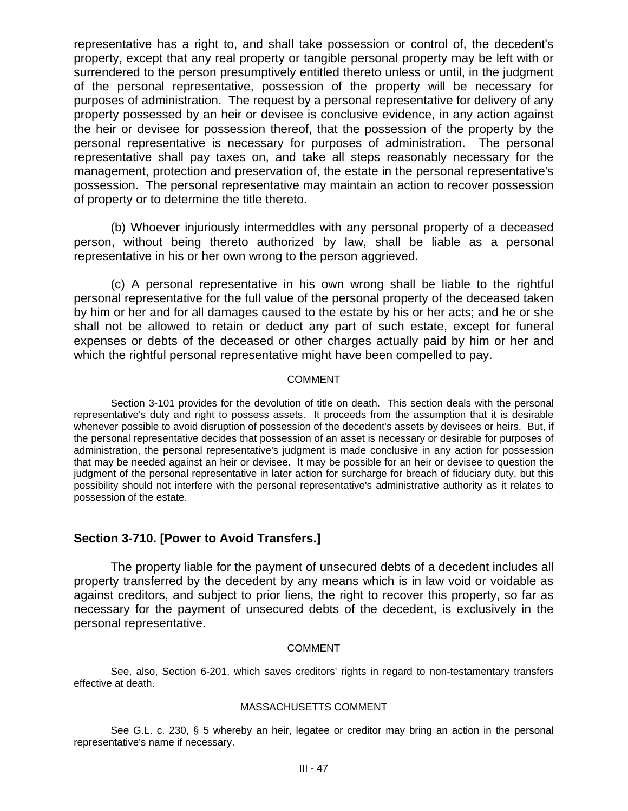representative has a right to, and shall take possession or control of, the decedent's property, except that any real property or tangible personal property may be left with or surrendered to the person presumptively entitled thereto unless or until, in the judgment of the personal representative, possession of the property will be necessary for purposes of administration. The request by a personal representative for delivery of any property possessed by an heir or devisee is conclusive evidence, in any action against the heir or devisee for possession thereof, that the possession of the property by the personal representative is necessary for purposes of administration. The personal representative shall pay taxes on, and take all steps reasonably necessary for the management, protection and preservation of, the estate in the personal representative's possession. The personal representative may maintain an action to recover possession of property or to determine the title thereto.

 (b) Whoever injuriously intermeddles with any personal property of a deceased person, without being thereto authorized by law, shall be liable as a personal representative in his or her own wrong to the person aggrieved.

 (c) A personal representative in his own wrong shall be liable to the rightful personal representative for the full value of the personal property of the deceased taken by him or her and for all damages caused to the estate by his or her acts; and he or she shall not be allowed to retain or deduct any part of such estate, except for funeral expenses or debts of the deceased or other charges actually paid by him or her and which the rightful personal representative might have been compelled to pay.

#### **COMMENT**

 Section 3-101 provides for the devolution of title on death. This section deals with the personal representative's duty and right to possess assets. It proceeds from the assumption that it is desirable whenever possible to avoid disruption of possession of the decedent's assets by devisees or heirs. But, if the personal representative decides that possession of an asset is necessary or desirable for purposes of administration, the personal representative's judgment is made conclusive in any action for possession that may be needed against an heir or devisee. It may be possible for an heir or devisee to question the judgment of the personal representative in later action for surcharge for breach of fiduciary duty, but this possibility should not interfere with the personal representative's administrative authority as it relates to possession of the estate.

## **Section 3-710. [Power to Avoid Transfers.]**

 The property liable for the payment of unsecured debts of a decedent includes all property transferred by the decedent by any means which is in law void or voidable as against creditors, and subject to prior liens, the right to recover this property, so far as necessary for the payment of unsecured debts of the decedent, is exclusively in the personal representative.

#### COMMENT

 See, also, Section 6-201, which saves creditors' rights in regard to non-testamentary transfers effective at death.

### MASSACHUSETTS COMMENT

 See G.L. c. 230, § 5 whereby an heir, legatee or creditor may bring an action in the personal representative's name if necessary.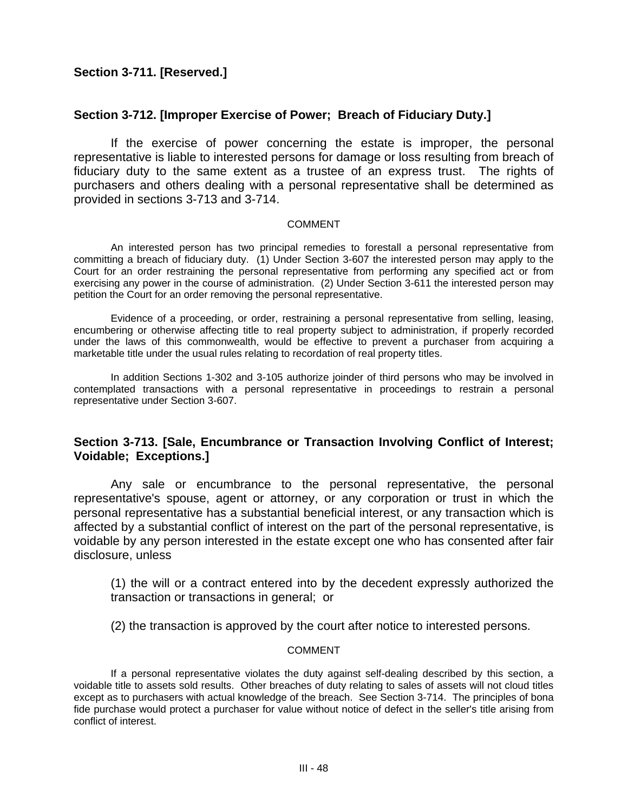## **Section 3-711. [Reserved.]**

## **Section 3-712. [Improper Exercise of Power; Breach of Fiduciary Duty.]**

 If the exercise of power concerning the estate is improper, the personal representative is liable to interested persons for damage or loss resulting from breach of fiduciary duty to the same extent as a trustee of an express trust. The rights of purchasers and others dealing with a personal representative shall be determined as provided in sections 3-713 and 3-714.

#### COMMENT

 An interested person has two principal remedies to forestall a personal representative from committing a breach of fiduciary duty. (1) Under Section 3-607 the interested person may apply to the Court for an order restraining the personal representative from performing any specified act or from exercising any power in the course of administration. (2) Under Section 3-611 the interested person may petition the Court for an order removing the personal representative.

 Evidence of a proceeding, or order, restraining a personal representative from selling, leasing, encumbering or otherwise affecting title to real property subject to administration, if properly recorded under the laws of this commonwealth, would be effective to prevent a purchaser from acquiring a marketable title under the usual rules relating to recordation of real property titles.

 In addition Sections 1-302 and 3-105 authorize joinder of third persons who may be involved in contemplated transactions with a personal representative in proceedings to restrain a personal representative under Section 3-607.

## **Section 3-713. [Sale, Encumbrance or Transaction Involving Conflict of Interest; Voidable; Exceptions.]**

 Any sale or encumbrance to the personal representative, the personal representative's spouse, agent or attorney, or any corporation or trust in which the personal representative has a substantial beneficial interest, or any transaction which is affected by a substantial conflict of interest on the part of the personal representative, is voidable by any person interested in the estate except one who has consented after fair disclosure, unless

(1) the will or a contract entered into by the decedent expressly authorized the transaction or transactions in general; or

(2) the transaction is approved by the court after notice to interested persons.

### **COMMENT**

 If a personal representative violates the duty against self-dealing described by this section, a voidable title to assets sold results. Other breaches of duty relating to sales of assets will not cloud titles except as to purchasers with actual knowledge of the breach. See Section 3-714. The principles of bona fide purchase would protect a purchaser for value without notice of defect in the seller's title arising from conflict of interest.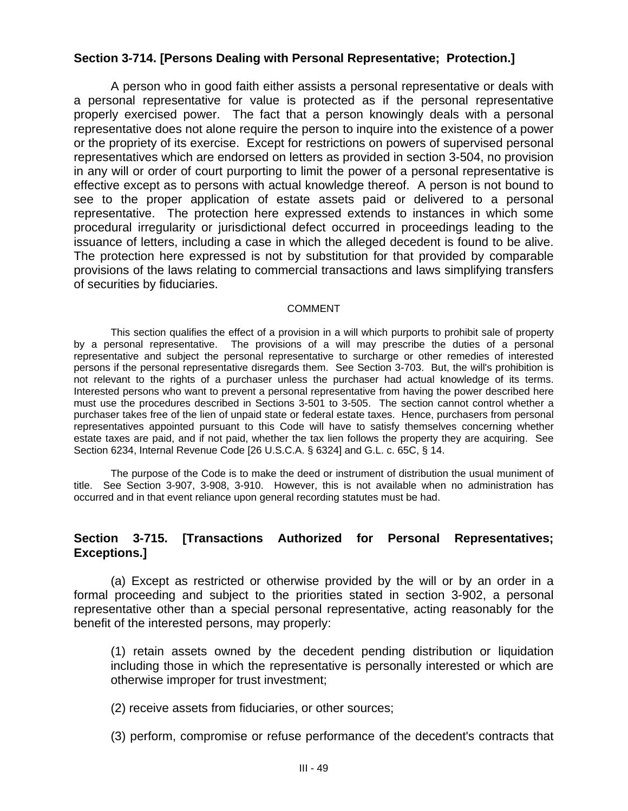## **Section 3-714. [Persons Dealing with Personal Representative; Protection.]**

 A person who in good faith either assists a personal representative or deals with a personal representative for value is protected as if the personal representative properly exercised power. The fact that a person knowingly deals with a personal representative does not alone require the person to inquire into the existence of a power or the propriety of its exercise. Except for restrictions on powers of supervised personal representatives which are endorsed on letters as provided in section 3-504, no provision in any will or order of court purporting to limit the power of a personal representative is effective except as to persons with actual knowledge thereof. A person is not bound to see to the proper application of estate assets paid or delivered to a personal representative. The protection here expressed extends to instances in which some procedural irregularity or jurisdictional defect occurred in proceedings leading to the issuance of letters, including a case in which the alleged decedent is found to be alive. The protection here expressed is not by substitution for that provided by comparable provisions of the laws relating to commercial transactions and laws simplifying transfers of securities by fiduciaries.

#### COMMENT

 This section qualifies the effect of a provision in a will which purports to prohibit sale of property by a personal representative. The provisions of a will may prescribe the duties of a personal representative and subject the personal representative to surcharge or other remedies of interested persons if the personal representative disregards them. See Section 3-703. But, the will's prohibition is not relevant to the rights of a purchaser unless the purchaser had actual knowledge of its terms. Interested persons who want to prevent a personal representative from having the power described here must use the procedures described in Sections 3-501 to 3-505. The section cannot control whether a purchaser takes free of the lien of unpaid state or federal estate taxes. Hence, purchasers from personal representatives appointed pursuant to this Code will have to satisfy themselves concerning whether estate taxes are paid, and if not paid, whether the tax lien follows the property they are acquiring. See Section 6234, Internal Revenue Code [26 U.S.C.A. § 6324] and G.L. c. 65C, § 14.

 The purpose of the Code is to make the deed or instrument of distribution the usual muniment of title. See Section 3-907, 3-908, 3-910. However, this is not available when no administration has occurred and in that event reliance upon general recording statutes must be had.

### **Section 3-715. [Transactions Authorized for Personal Representatives; Exceptions.]**

 (a) Except as restricted or otherwise provided by the will or by an order in a formal proceeding and subject to the priorities stated in section 3-902, a personal representative other than a special personal representative, acting reasonably for the benefit of the interested persons, may properly:

(1) retain assets owned by the decedent pending distribution or liquidation including those in which the representative is personally interested or which are otherwise improper for trust investment;

(2) receive assets from fiduciaries, or other sources;

(3) perform, compromise or refuse performance of the decedent's contracts that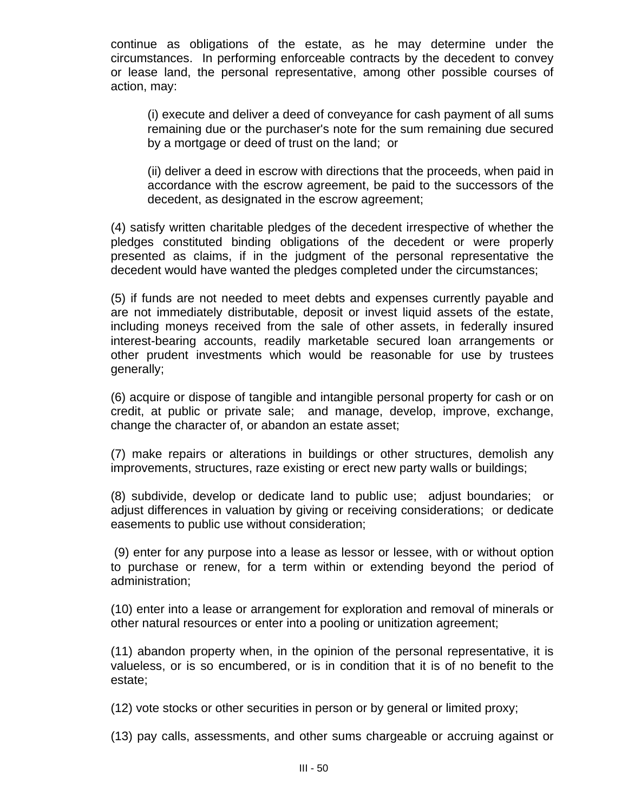continue as obligations of the estate, as he may determine under the circumstances. In performing enforceable contracts by the decedent to convey or lease land, the personal representative, among other possible courses of action, may:

(i) execute and deliver a deed of conveyance for cash payment of all sums remaining due or the purchaser's note for the sum remaining due secured by a mortgage or deed of trust on the land; or

(ii) deliver a deed in escrow with directions that the proceeds, when paid in accordance with the escrow agreement, be paid to the successors of the decedent, as designated in the escrow agreement;

(4) satisfy written charitable pledges of the decedent irrespective of whether the pledges constituted binding obligations of the decedent or were properly presented as claims, if in the judgment of the personal representative the decedent would have wanted the pledges completed under the circumstances;

(5) if funds are not needed to meet debts and expenses currently payable and are not immediately distributable, deposit or invest liquid assets of the estate, including moneys received from the sale of other assets, in federally insured interest-bearing accounts, readily marketable secured loan arrangements or other prudent investments which would be reasonable for use by trustees generally;

(6) acquire or dispose of tangible and intangible personal property for cash or on credit, at public or private sale; and manage, develop, improve, exchange, change the character of, or abandon an estate asset;

(7) make repairs or alterations in buildings or other structures, demolish any improvements, structures, raze existing or erect new party walls or buildings;

(8) subdivide, develop or dedicate land to public use; adjust boundaries; or adjust differences in valuation by giving or receiving considerations; or dedicate easements to public use without consideration;

 (9) enter for any purpose into a lease as lessor or lessee, with or without option to purchase or renew, for a term within or extending beyond the period of administration;

(10) enter into a lease or arrangement for exploration and removal of minerals or other natural resources or enter into a pooling or unitization agreement;

(11) abandon property when, in the opinion of the personal representative, it is valueless, or is so encumbered, or is in condition that it is of no benefit to the estate;

(12) vote stocks or other securities in person or by general or limited proxy;

(13) pay calls, assessments, and other sums chargeable or accruing against or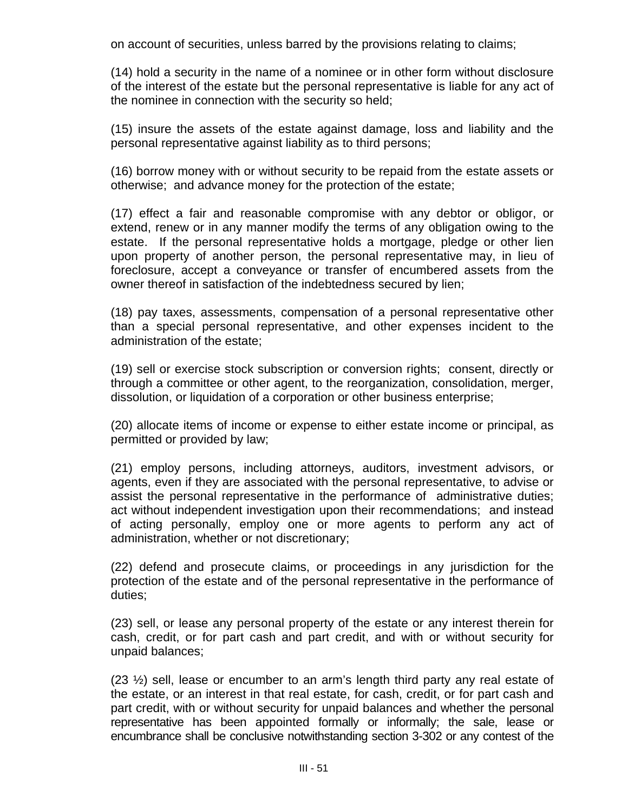on account of securities, unless barred by the provisions relating to claims;

(14) hold a security in the name of a nominee or in other form without disclosure of the interest of the estate but the personal representative is liable for any act of the nominee in connection with the security so held;

(15) insure the assets of the estate against damage, loss and liability and the personal representative against liability as to third persons;

(16) borrow money with or without security to be repaid from the estate assets or otherwise; and advance money for the protection of the estate;

(17) effect a fair and reasonable compromise with any debtor or obligor, or extend, renew or in any manner modify the terms of any obligation owing to the estate. If the personal representative holds a mortgage, pledge or other lien upon property of another person, the personal representative may, in lieu of foreclosure, accept a conveyance or transfer of encumbered assets from the owner thereof in satisfaction of the indebtedness secured by lien;

(18) pay taxes, assessments, compensation of a personal representative other than a special personal representative, and other expenses incident to the administration of the estate;

(19) sell or exercise stock subscription or conversion rights; consent, directly or through a committee or other agent, to the reorganization, consolidation, merger, dissolution, or liquidation of a corporation or other business enterprise;

(20) allocate items of income or expense to either estate income or principal, as permitted or provided by law;

(21) employ persons, including attorneys, auditors, investment advisors, or agents, even if they are associated with the personal representative, to advise or assist the personal representative in the performance of administrative duties; act without independent investigation upon their recommendations; and instead of acting personally, employ one or more agents to perform any act of administration, whether or not discretionary;

(22) defend and prosecute claims, or proceedings in any jurisdiction for the protection of the estate and of the personal representative in the performance of duties;

(23) sell, or lease any personal property of the estate or any interest therein for cash, credit, or for part cash and part credit, and with or without security for unpaid balances;

(23 ½) sell, lease or encumber to an arm's length third party any real estate of the estate, or an interest in that real estate, for cash, credit, or for part cash and part credit, with or without security for unpaid balances and whether the personal representative has been appointed formally or informally; the sale, lease or encumbrance shall be conclusive notwithstanding section 3-302 or any contest of the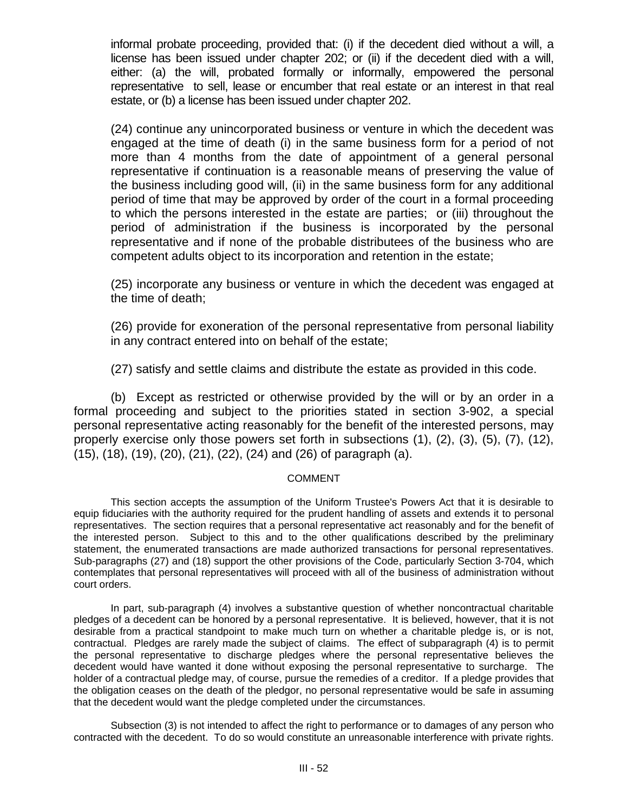informal probate proceeding, provided that: (i) if the decedent died without a will, a license has been issued under chapter 202; or (ii) if the decedent died with a will, either: (a) the will, probated formally or informally, empowered the personal representative to sell, lease or encumber that real estate or an interest in that real estate, or (b) a license has been issued under chapter 202.

(24) continue any unincorporated business or venture in which the decedent was engaged at the time of death (i) in the same business form for a period of not more than 4 months from the date of appointment of a general personal representative if continuation is a reasonable means of preserving the value of the business including good will, (ii) in the same business form for any additional period of time that may be approved by order of the court in a formal proceeding to which the persons interested in the estate are parties; or (iii) throughout the period of administration if the business is incorporated by the personal representative and if none of the probable distributees of the business who are competent adults object to its incorporation and retention in the estate;

(25) incorporate any business or venture in which the decedent was engaged at the time of death;

(26) provide for exoneration of the personal representative from personal liability in any contract entered into on behalf of the estate;

(27) satisfy and settle claims and distribute the estate as provided in this code.

 (b) Except as restricted or otherwise provided by the will or by an order in a formal proceeding and subject to the priorities stated in section 3-902, a special personal representative acting reasonably for the benefit of the interested persons, may properly exercise only those powers set forth in subsections (1), (2), (3), (5), (7), (12), (15), (18), (19), (20), (21), (22), (24) and (26) of paragraph (a).

### COMMENT

 This section accepts the assumption of the Uniform Trustee's Powers Act that it is desirable to equip fiduciaries with the authority required for the prudent handling of assets and extends it to personal representatives. The section requires that a personal representative act reasonably and for the benefit of the interested person. Subject to this and to the other qualifications described by the preliminary statement, the enumerated transactions are made authorized transactions for personal representatives. Sub-paragraphs (27) and (18) support the other provisions of the Code, particularly Section 3-704, which contemplates that personal representatives will proceed with all of the business of administration without court orders.

 In part, sub-paragraph (4) involves a substantive question of whether noncontractual charitable pledges of a decedent can be honored by a personal representative. It is believed, however, that it is not desirable from a practical standpoint to make much turn on whether a charitable pledge is, or is not, contractual. Pledges are rarely made the subject of claims. The effect of subparagraph (4) is to permit the personal representative to discharge pledges where the personal representative believes the decedent would have wanted it done without exposing the personal representative to surcharge. The holder of a contractual pledge may, of course, pursue the remedies of a creditor. If a pledge provides that the obligation ceases on the death of the pledgor, no personal representative would be safe in assuming that the decedent would want the pledge completed under the circumstances.

 Subsection (3) is not intended to affect the right to performance or to damages of any person who contracted with the decedent. To do so would constitute an unreasonable interference with private rights.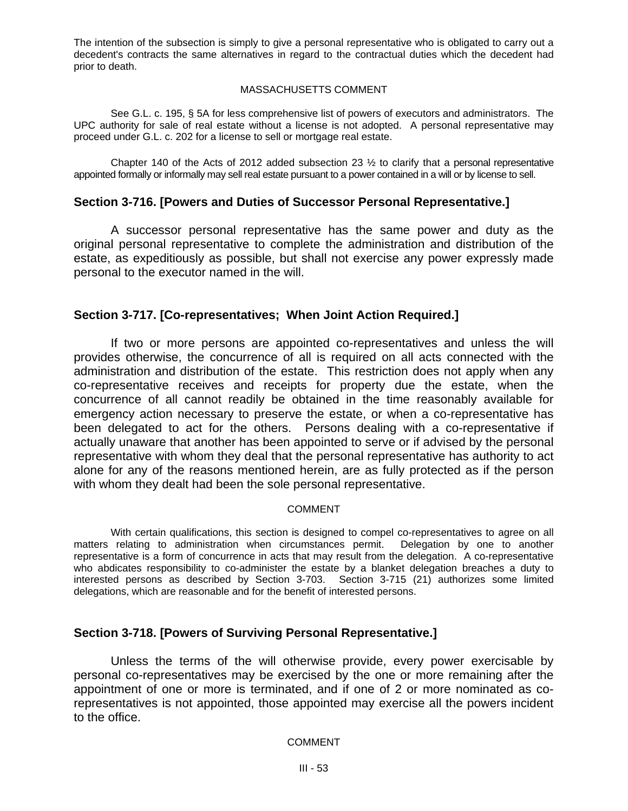The intention of the subsection is simply to give a personal representative who is obligated to carry out a decedent's contracts the same alternatives in regard to the contractual duties which the decedent had prior to death.

### MASSACHUSETTS COMMENT

 See G.L. c. 195, § 5A for less comprehensive list of powers of executors and administrators. The UPC authority for sale of real estate without a license is not adopted. A personal representative may proceed under G.L. c. 202 for a license to sell or mortgage real estate.

 Chapter 140 of the Acts of 2012 added subsection 23 ½ to clarify that a personal representative appointed formally or informally may sell real estate pursuant to a power contained in a will or by license to sell.

### **Section 3-716. [Powers and Duties of Successor Personal Representative.]**

 A successor personal representative has the same power and duty as the original personal representative to complete the administration and distribution of the estate, as expeditiously as possible, but shall not exercise any power expressly made personal to the executor named in the will.

## **Section 3-717. [Co-representatives; When Joint Action Required.]**

 If two or more persons are appointed co-representatives and unless the will provides otherwise, the concurrence of all is required on all acts connected with the administration and distribution of the estate. This restriction does not apply when any co-representative receives and receipts for property due the estate, when the concurrence of all cannot readily be obtained in the time reasonably available for emergency action necessary to preserve the estate, or when a co-representative has been delegated to act for the others. Persons dealing with a co-representative if actually unaware that another has been appointed to serve or if advised by the personal representative with whom they deal that the personal representative has authority to act alone for any of the reasons mentioned herein, are as fully protected as if the person with whom they dealt had been the sole personal representative.

### COMMENT

 With certain qualifications, this section is designed to compel co-representatives to agree on all matters relating to administration when circumstances permit. Delegation by one to another representative is a form of concurrence in acts that may result from the delegation. A co-representative who abdicates responsibility to co-administer the estate by a blanket delegation breaches a duty to interested persons as described by Section 3-703. Section 3-715 (21) authorizes some limited delegations, which are reasonable and for the benefit of interested persons.

## **Section 3-718. [Powers of Surviving Personal Representative.]**

 Unless the terms of the will otherwise provide, every power exercisable by personal co-representatives may be exercised by the one or more remaining after the appointment of one or more is terminated, and if one of 2 or more nominated as corepresentatives is not appointed, those appointed may exercise all the powers incident to the office.

### **COMMENT**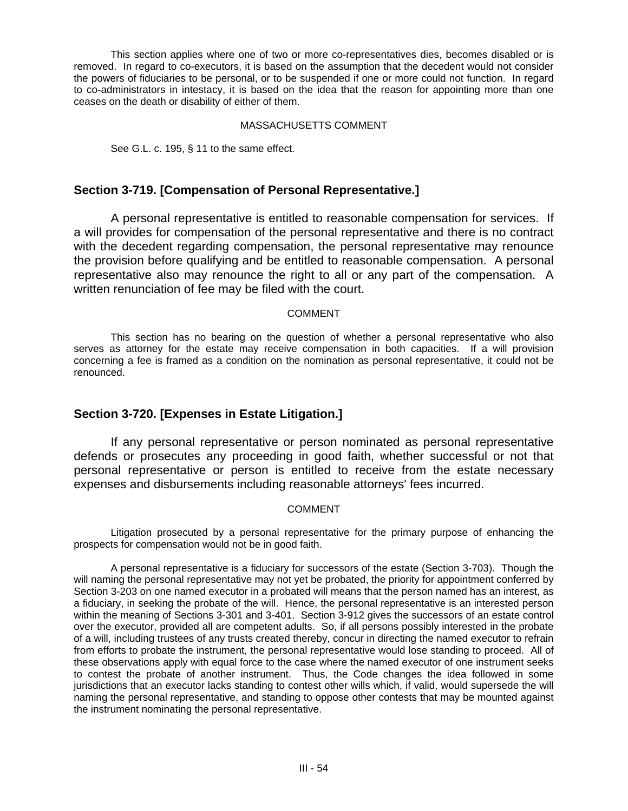This section applies where one of two or more co-representatives dies, becomes disabled or is removed. In regard to co-executors, it is based on the assumption that the decedent would not consider the powers of fiduciaries to be personal, or to be suspended if one or more could not function. In regard to co-administrators in intestacy, it is based on the idea that the reason for appointing more than one ceases on the death or disability of either of them.

#### MASSACHUSETTS COMMENT

See G.L. c. 195, § 11 to the same effect.

## **Section 3-719. [Compensation of Personal Representative.]**

 A personal representative is entitled to reasonable compensation for services. If a will provides for compensation of the personal representative and there is no contract with the decedent regarding compensation, the personal representative may renounce the provision before qualifying and be entitled to reasonable compensation. A personal representative also may renounce the right to all or any part of the compensation. A written renunciation of fee may be filed with the court.

#### COMMENT

 This section has no bearing on the question of whether a personal representative who also serves as attorney for the estate may receive compensation in both capacities. If a will provision concerning a fee is framed as a condition on the nomination as personal representative, it could not be renounced.

## **Section 3-720. [Expenses in Estate Litigation.]**

 If any personal representative or person nominated as personal representative defends or prosecutes any proceeding in good faith, whether successful or not that personal representative or person is entitled to receive from the estate necessary expenses and disbursements including reasonable attorneys' fees incurred.

### COMMENT

 Litigation prosecuted by a personal representative for the primary purpose of enhancing the prospects for compensation would not be in good faith.

 A personal representative is a fiduciary for successors of the estate (Section 3-703). Though the will naming the personal representative may not yet be probated, the priority for appointment conferred by Section 3-203 on one named executor in a probated will means that the person named has an interest, as a fiduciary, in seeking the probate of the will. Hence, the personal representative is an interested person within the meaning of Sections 3-301 and 3-401. Section 3-912 gives the successors of an estate control over the executor, provided all are competent adults. So, if all persons possibly interested in the probate of a will, including trustees of any trusts created thereby, concur in directing the named executor to refrain from efforts to probate the instrument, the personal representative would lose standing to proceed. All of these observations apply with equal force to the case where the named executor of one instrument seeks to contest the probate of another instrument. Thus, the Code changes the idea followed in some jurisdictions that an executor lacks standing to contest other wills which, if valid, would supersede the will naming the personal representative, and standing to oppose other contests that may be mounted against the instrument nominating the personal representative.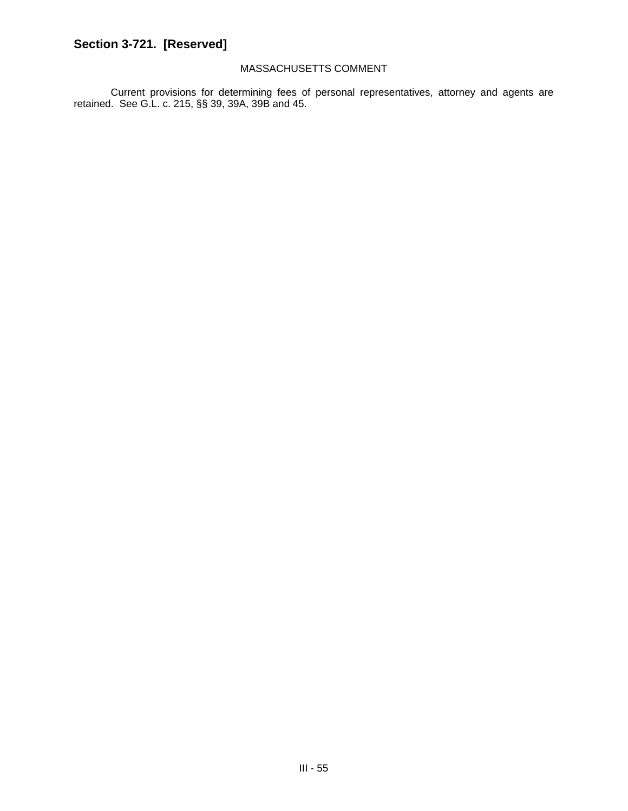# **Section 3-721. [Reserved]**

### MASSACHUSETTS COMMENT

 Current provisions for determining fees of personal representatives, attorney and agents are retained. See G.L. c. 215, §§ 39, 39A, 39B and 45.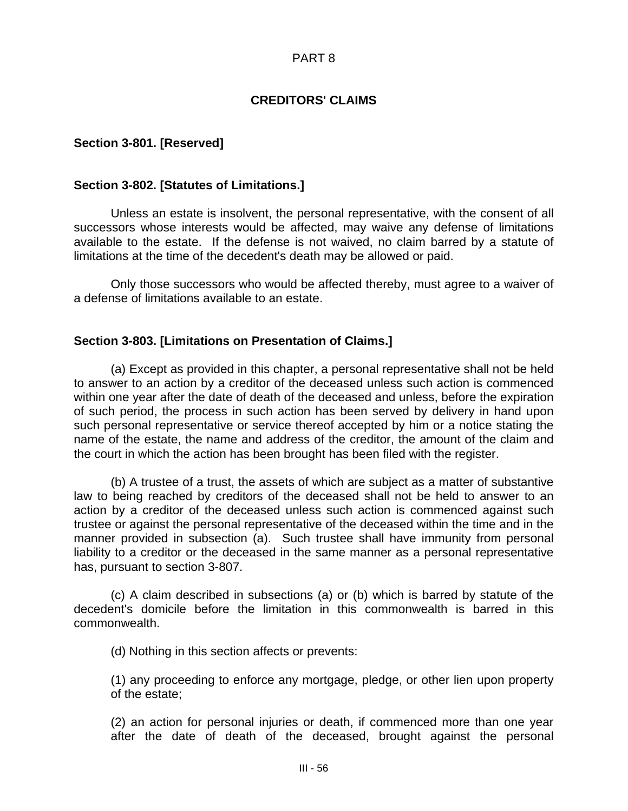## PART 8

## **CREDITORS' CLAIMS**

## **Section 3-801. [Reserved]**

## **Section 3-802. [Statutes of Limitations.]**

 Unless an estate is insolvent, the personal representative, with the consent of all successors whose interests would be affected, may waive any defense of limitations available to the estate. If the defense is not waived, no claim barred by a statute of limitations at the time of the decedent's death may be allowed or paid.

 Only those successors who would be affected thereby, must agree to a waiver of a defense of limitations available to an estate.

## **Section 3-803. [Limitations on Presentation of Claims.]**

 (a) Except as provided in this chapter, a personal representative shall not be held to answer to an action by a creditor of the deceased unless such action is commenced within one year after the date of death of the deceased and unless, before the expiration of such period, the process in such action has been served by delivery in hand upon such personal representative or service thereof accepted by him or a notice stating the name of the estate, the name and address of the creditor, the amount of the claim and the court in which the action has been brought has been filed with the register.

 (b) A trustee of a trust, the assets of which are subject as a matter of substantive law to being reached by creditors of the deceased shall not be held to answer to an action by a creditor of the deceased unless such action is commenced against such trustee or against the personal representative of the deceased within the time and in the manner provided in subsection (a). Such trustee shall have immunity from personal liability to a creditor or the deceased in the same manner as a personal representative has, pursuant to section 3-807.

 (c) A claim described in subsections (a) or (b) which is barred by statute of the decedent's domicile before the limitation in this commonwealth is barred in this commonwealth.

(d) Nothing in this section affects or prevents:

(1) any proceeding to enforce any mortgage, pledge, or other lien upon property of the estate;

(2) an action for personal injuries or death, if commenced more than one year after the date of death of the deceased, brought against the personal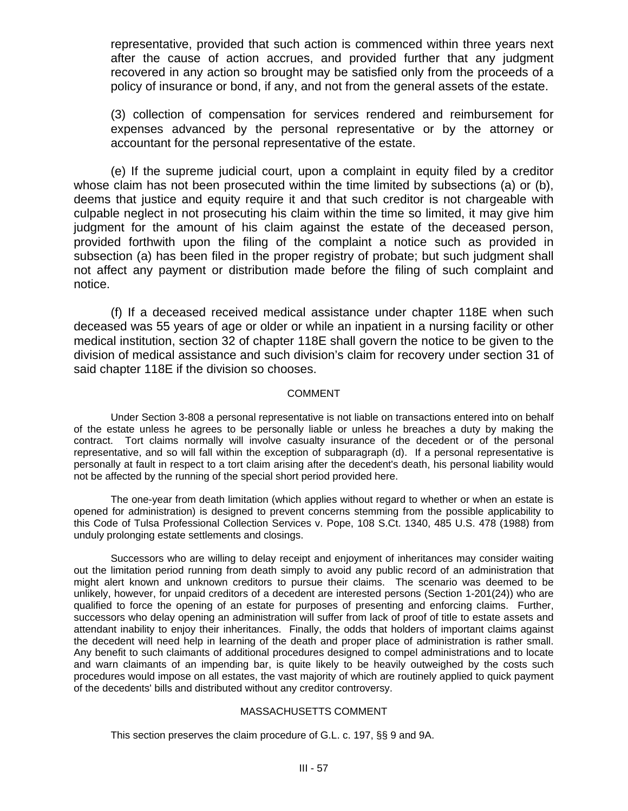representative, provided that such action is commenced within three years next after the cause of action accrues, and provided further that any judgment recovered in any action so brought may be satisfied only from the proceeds of a policy of insurance or bond, if any, and not from the general assets of the estate.

(3) collection of compensation for services rendered and reimbursement for expenses advanced by the personal representative or by the attorney or accountant for the personal representative of the estate.

 (e) If the supreme judicial court, upon a complaint in equity filed by a creditor whose claim has not been prosecuted within the time limited by subsections (a) or (b), deems that justice and equity require it and that such creditor is not chargeable with culpable neglect in not prosecuting his claim within the time so limited, it may give him judgment for the amount of his claim against the estate of the deceased person, provided forthwith upon the filing of the complaint a notice such as provided in subsection (a) has been filed in the proper registry of probate; but such judgment shall not affect any payment or distribution made before the filing of such complaint and notice.

 (f) If a deceased received medical assistance under chapter 118E when such deceased was 55 years of age or older or while an inpatient in a nursing facility or other medical institution, section 32 of chapter 118E shall govern the notice to be given to the division of medical assistance and such division's claim for recovery under section 31 of said chapter 118E if the division so chooses.

### COMMENT

 Under Section 3-808 a personal representative is not liable on transactions entered into on behalf of the estate unless he agrees to be personally liable or unless he breaches a duty by making the contract. Tort claims normally will involve casualty insurance of the decedent or of the personal representative, and so will fall within the exception of subparagraph (d). If a personal representative is personally at fault in respect to a tort claim arising after the decedent's death, his personal liability would not be affected by the running of the special short period provided here.

 The one-year from death limitation (which applies without regard to whether or when an estate is opened for administration) is designed to prevent concerns stemming from the possible applicability to this Code of Tulsa Professional Collection Services v. Pope, 108 S.Ct. 1340, 485 U.S. 478 (1988) from unduly prolonging estate settlements and closings.

 Successors who are willing to delay receipt and enjoyment of inheritances may consider waiting out the limitation period running from death simply to avoid any public record of an administration that might alert known and unknown creditors to pursue their claims. The scenario was deemed to be unlikely, however, for unpaid creditors of a decedent are interested persons (Section 1-201(24)) who are qualified to force the opening of an estate for purposes of presenting and enforcing claims. Further, successors who delay opening an administration will suffer from lack of proof of title to estate assets and attendant inability to enjoy their inheritances. Finally, the odds that holders of important claims against the decedent will need help in learning of the death and proper place of administration is rather small. Any benefit to such claimants of additional procedures designed to compel administrations and to locate and warn claimants of an impending bar, is quite likely to be heavily outweighed by the costs such procedures would impose on all estates, the vast majority of which are routinely applied to quick payment of the decedents' bills and distributed without any creditor controversy.

#### MASSACHUSETTS COMMENT

This section preserves the claim procedure of G.L. c. 197, §§ 9 and 9A.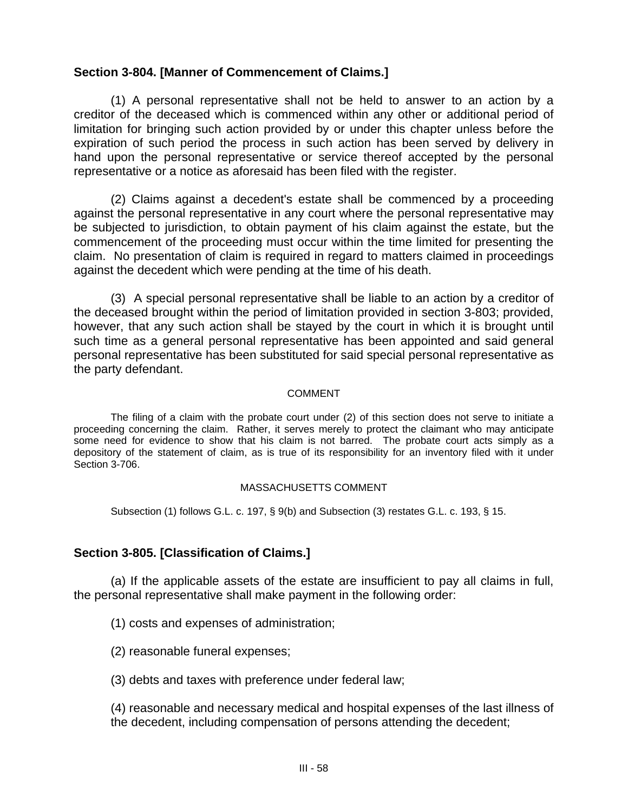## **Section 3-804. [Manner of Commencement of Claims.]**

 (1) A personal representative shall not be held to answer to an action by a creditor of the deceased which is commenced within any other or additional period of limitation for bringing such action provided by or under this chapter unless before the expiration of such period the process in such action has been served by delivery in hand upon the personal representative or service thereof accepted by the personal representative or a notice as aforesaid has been filed with the register.

 (2) Claims against a decedent's estate shall be commenced by a proceeding against the personal representative in any court where the personal representative may be subjected to jurisdiction, to obtain payment of his claim against the estate, but the commencement of the proceeding must occur within the time limited for presenting the claim. No presentation of claim is required in regard to matters claimed in proceedings against the decedent which were pending at the time of his death.

 (3) A special personal representative shall be liable to an action by a creditor of the deceased brought within the period of limitation provided in section 3-803; provided, however, that any such action shall be stayed by the court in which it is brought until such time as a general personal representative has been appointed and said general personal representative has been substituted for said special personal representative as the party defendant.

### COMMENT

 The filing of a claim with the probate court under (2) of this section does not serve to initiate a proceeding concerning the claim. Rather, it serves merely to protect the claimant who may anticipate some need for evidence to show that his claim is not barred. The probate court acts simply as a depository of the statement of claim, as is true of its responsibility for an inventory filed with it under Section 3-706.

### MASSACHUSETTS COMMENT

Subsection (1) follows G.L. c. 197, § 9(b) and Subsection (3) restates G.L. c. 193, § 15.

## **Section 3-805. [Classification of Claims.]**

 (a) If the applicable assets of the estate are insufficient to pay all claims in full, the personal representative shall make payment in the following order:

(1) costs and expenses of administration;

(2) reasonable funeral expenses;

(3) debts and taxes with preference under federal law;

(4) reasonable and necessary medical and hospital expenses of the last illness of the decedent, including compensation of persons attending the decedent;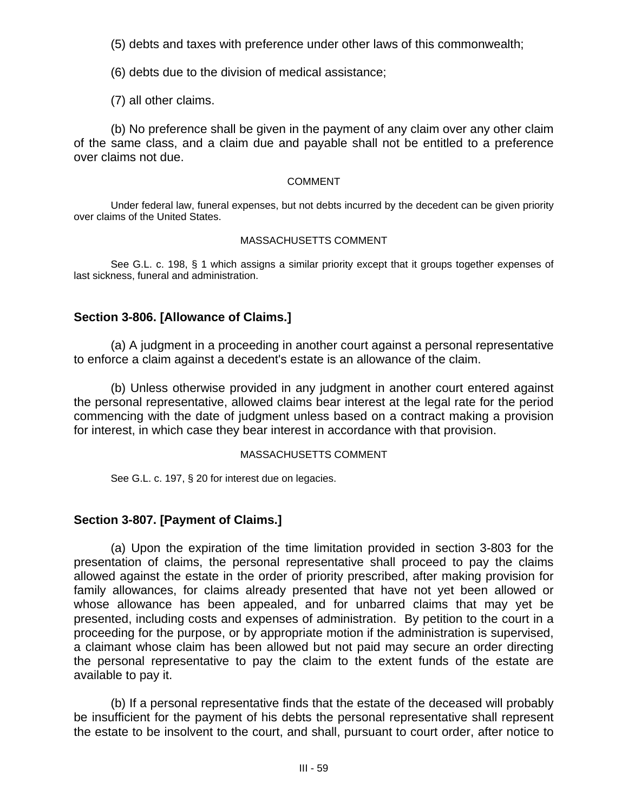(5) debts and taxes with preference under other laws of this commonwealth;

(6) debts due to the division of medical assistance;

(7) all other claims.

 (b) No preference shall be given in the payment of any claim over any other claim of the same class, and a claim due and payable shall not be entitled to a preference over claims not due.

### **COMMENT**

 Under federal law, funeral expenses, but not debts incurred by the decedent can be given priority over claims of the United States.

### MASSACHUSETTS COMMENT

 See G.L. c. 198, § 1 which assigns a similar priority except that it groups together expenses of last sickness, funeral and administration.

## **Section 3-806. [Allowance of Claims.]**

 (a) A judgment in a proceeding in another court against a personal representative to enforce a claim against a decedent's estate is an allowance of the claim.

 (b) Unless otherwise provided in any judgment in another court entered against the personal representative, allowed claims bear interest at the legal rate for the period commencing with the date of judgment unless based on a contract making a provision for interest, in which case they bear interest in accordance with that provision.

### MASSACHUSETTS COMMENT

See G.L. c. 197, § 20 for interest due on legacies.

## **Section 3-807. [Payment of Claims.]**

 (a) Upon the expiration of the time limitation provided in section 3-803 for the presentation of claims, the personal representative shall proceed to pay the claims allowed against the estate in the order of priority prescribed, after making provision for family allowances, for claims already presented that have not yet been allowed or whose allowance has been appealed, and for unbarred claims that may yet be presented, including costs and expenses of administration. By petition to the court in a proceeding for the purpose, or by appropriate motion if the administration is supervised, a claimant whose claim has been allowed but not paid may secure an order directing the personal representative to pay the claim to the extent funds of the estate are available to pay it.

 (b) If a personal representative finds that the estate of the deceased will probably be insufficient for the payment of his debts the personal representative shall represent the estate to be insolvent to the court, and shall, pursuant to court order, after notice to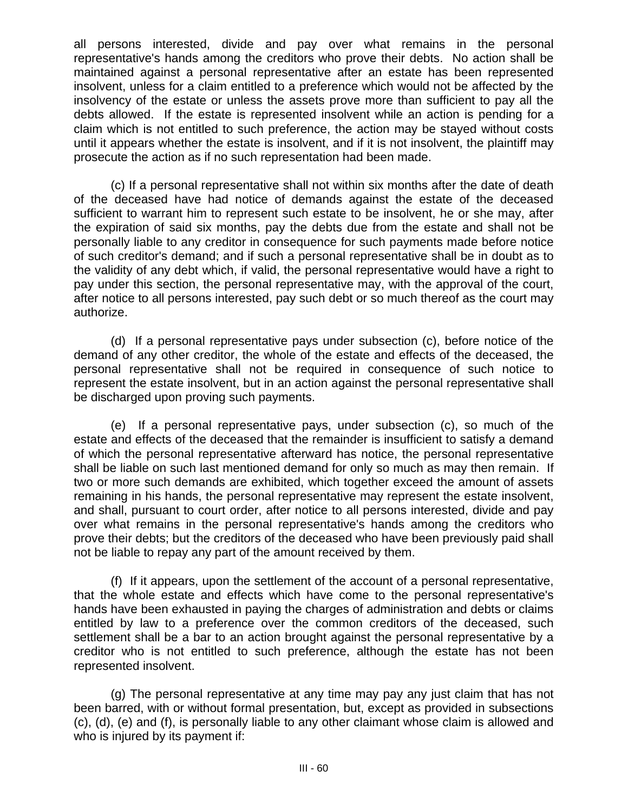all persons interested, divide and pay over what remains in the personal representative's hands among the creditors who prove their debts. No action shall be maintained against a personal representative after an estate has been represented insolvent, unless for a claim entitled to a preference which would not be affected by the insolvency of the estate or unless the assets prove more than sufficient to pay all the debts allowed. If the estate is represented insolvent while an action is pending for a claim which is not entitled to such preference, the action may be stayed without costs until it appears whether the estate is insolvent, and if it is not insolvent, the plaintiff may prosecute the action as if no such representation had been made.

 (c) If a personal representative shall not within six months after the date of death of the deceased have had notice of demands against the estate of the deceased sufficient to warrant him to represent such estate to be insolvent, he or she may, after the expiration of said six months, pay the debts due from the estate and shall not be personally liable to any creditor in consequence for such payments made before notice of such creditor's demand; and if such a personal representative shall be in doubt as to the validity of any debt which, if valid, the personal representative would have a right to pay under this section, the personal representative may, with the approval of the court, after notice to all persons interested, pay such debt or so much thereof as the court may authorize.

 (d) If a personal representative pays under subsection (c), before notice of the demand of any other creditor, the whole of the estate and effects of the deceased, the personal representative shall not be required in consequence of such notice to represent the estate insolvent, but in an action against the personal representative shall be discharged upon proving such payments.

 (e) If a personal representative pays, under subsection (c), so much of the estate and effects of the deceased that the remainder is insufficient to satisfy a demand of which the personal representative afterward has notice, the personal representative shall be liable on such last mentioned demand for only so much as may then remain. If two or more such demands are exhibited, which together exceed the amount of assets remaining in his hands, the personal representative may represent the estate insolvent, and shall, pursuant to court order, after notice to all persons interested, divide and pay over what remains in the personal representative's hands among the creditors who prove their debts; but the creditors of the deceased who have been previously paid shall not be liable to repay any part of the amount received by them.

 (f) If it appears, upon the settlement of the account of a personal representative, that the whole estate and effects which have come to the personal representative's hands have been exhausted in paying the charges of administration and debts or claims entitled by law to a preference over the common creditors of the deceased, such settlement shall be a bar to an action brought against the personal representative by a creditor who is not entitled to such preference, although the estate has not been represented insolvent.

 (g) The personal representative at any time may pay any just claim that has not been barred, with or without formal presentation, but, except as provided in subsections (c), (d), (e) and (f), is personally liable to any other claimant whose claim is allowed and who is injured by its payment if: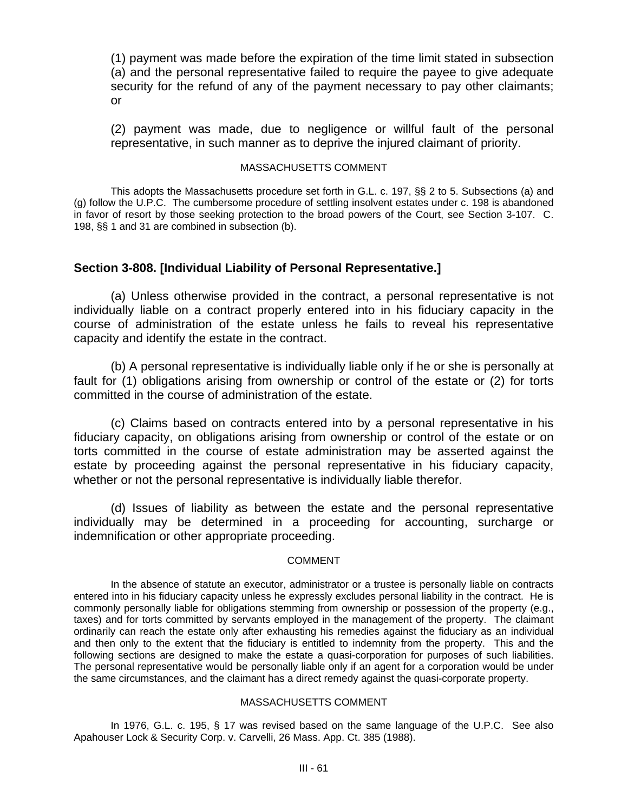(1) payment was made before the expiration of the time limit stated in subsection (a) and the personal representative failed to require the payee to give adequate security for the refund of any of the payment necessary to pay other claimants; or

(2) payment was made, due to negligence or willful fault of the personal representative, in such manner as to deprive the injured claimant of priority.

#### MASSACHUSETTS COMMENT

 This adopts the Massachusetts procedure set forth in G.L. c. 197, §§ 2 to 5. Subsections (a) and (g) follow the U.P.C. The cumbersome procedure of settling insolvent estates under c. 198 is abandoned in favor of resort by those seeking protection to the broad powers of the Court, see Section 3-107. C. 198, §§ 1 and 31 are combined in subsection (b).

### **Section 3-808. [Individual Liability of Personal Representative.]**

 (a) Unless otherwise provided in the contract, a personal representative is not individually liable on a contract properly entered into in his fiduciary capacity in the course of administration of the estate unless he fails to reveal his representative capacity and identify the estate in the contract.

 (b) A personal representative is individually liable only if he or she is personally at fault for (1) obligations arising from ownership or control of the estate or (2) for torts committed in the course of administration of the estate.

 (c) Claims based on contracts entered into by a personal representative in his fiduciary capacity, on obligations arising from ownership or control of the estate or on torts committed in the course of estate administration may be asserted against the estate by proceeding against the personal representative in his fiduciary capacity, whether or not the personal representative is individually liable therefor.

 (d) Issues of liability as between the estate and the personal representative individually may be determined in a proceeding for accounting, surcharge or indemnification or other appropriate proceeding.

### **COMMENT**

 In the absence of statute an executor, administrator or a trustee is personally liable on contracts entered into in his fiduciary capacity unless he expressly excludes personal liability in the contract. He is commonly personally liable for obligations stemming from ownership or possession of the property (e.g., taxes) and for torts committed by servants employed in the management of the property. The claimant ordinarily can reach the estate only after exhausting his remedies against the fiduciary as an individual and then only to the extent that the fiduciary is entitled to indemnity from the property. This and the following sections are designed to make the estate a quasi-corporation for purposes of such liabilities. The personal representative would be personally liable only if an agent for a corporation would be under the same circumstances, and the claimant has a direct remedy against the quasi-corporate property.

### MASSACHUSETTS COMMENT

 In 1976, G.L. c. 195, § 17 was revised based on the same language of the U.P.C. See also Apahouser Lock & Security Corp. v. Carvelli, 26 Mass. App. Ct. 385 (1988).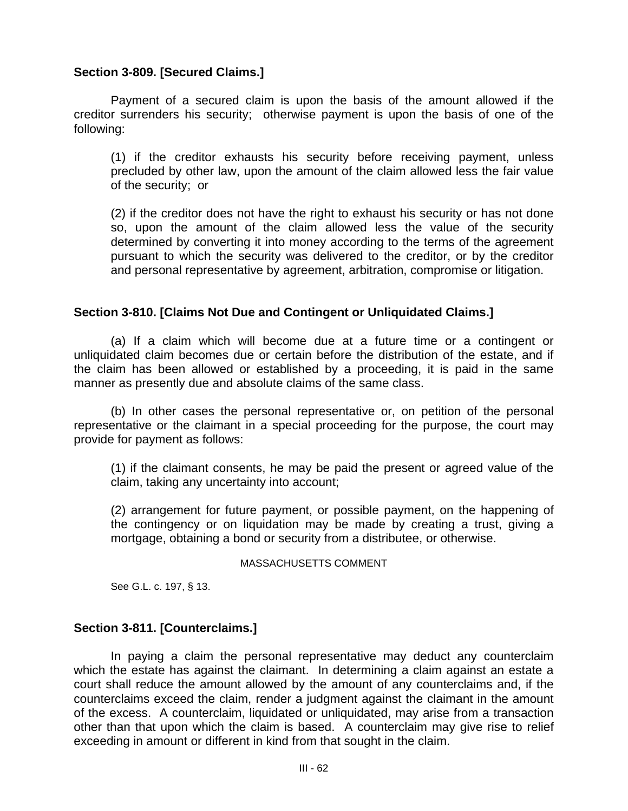## **Section 3-809. [Secured Claims.]**

 Payment of a secured claim is upon the basis of the amount allowed if the creditor surrenders his security; otherwise payment is upon the basis of one of the following:

(1) if the creditor exhausts his security before receiving payment, unless precluded by other law, upon the amount of the claim allowed less the fair value of the security; or

(2) if the creditor does not have the right to exhaust his security or has not done so, upon the amount of the claim allowed less the value of the security determined by converting it into money according to the terms of the agreement pursuant to which the security was delivered to the creditor, or by the creditor and personal representative by agreement, arbitration, compromise or litigation.

## **Section 3-810. [Claims Not Due and Contingent or Unliquidated Claims.]**

 (a) If a claim which will become due at a future time or a contingent or unliquidated claim becomes due or certain before the distribution of the estate, and if the claim has been allowed or established by a proceeding, it is paid in the same manner as presently due and absolute claims of the same class.

 (b) In other cases the personal representative or, on petition of the personal representative or the claimant in a special proceeding for the purpose, the court may provide for payment as follows:

(1) if the claimant consents, he may be paid the present or agreed value of the claim, taking any uncertainty into account;

(2) arrangement for future payment, or possible payment, on the happening of the contingency or on liquidation may be made by creating a trust, giving a mortgage, obtaining a bond or security from a distributee, or otherwise.

### MASSACHUSETTS COMMENT

See G.L. c. 197, § 13.

## **Section 3-811. [Counterclaims.]**

 In paying a claim the personal representative may deduct any counterclaim which the estate has against the claimant. In determining a claim against an estate a court shall reduce the amount allowed by the amount of any counterclaims and, if the counterclaims exceed the claim, render a judgment against the claimant in the amount of the excess. A counterclaim, liquidated or unliquidated, may arise from a transaction other than that upon which the claim is based. A counterclaim may give rise to relief exceeding in amount or different in kind from that sought in the claim.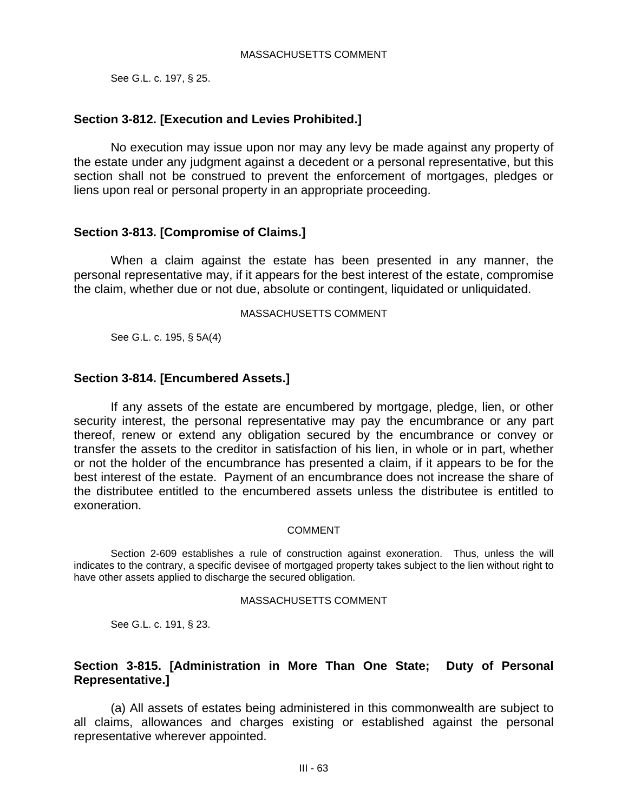See G.L. c. 197, § 25.

## **Section 3-812. [Execution and Levies Prohibited.]**

 No execution may issue upon nor may any levy be made against any property of the estate under any judgment against a decedent or a personal representative, but this section shall not be construed to prevent the enforcement of mortgages, pledges or liens upon real or personal property in an appropriate proceeding.

## **Section 3-813. [Compromise of Claims.]**

 When a claim against the estate has been presented in any manner, the personal representative may, if it appears for the best interest of the estate, compromise the claim, whether due or not due, absolute or contingent, liquidated or unliquidated.

#### MASSACHUSETTS COMMENT

See G.L. c. 195, § 5A(4)

## **Section 3-814. [Encumbered Assets.]**

 If any assets of the estate are encumbered by mortgage, pledge, lien, or other security interest, the personal representative may pay the encumbrance or any part thereof, renew or extend any obligation secured by the encumbrance or convey or transfer the assets to the creditor in satisfaction of his lien, in whole or in part, whether or not the holder of the encumbrance has presented a claim, if it appears to be for the best interest of the estate. Payment of an encumbrance does not increase the share of the distributee entitled to the encumbered assets unless the distributee is entitled to exoneration.

### COMMENT

 Section 2-609 establishes a rule of construction against exoneration. Thus, unless the will indicates to the contrary, a specific devisee of mortgaged property takes subject to the lien without right to have other assets applied to discharge the secured obligation.

#### MASSACHUSETTS COMMENT

See G.L. c. 191, § 23.

## **Section 3-815. [Administration in More Than One State; Duty of Personal Representative.]**

 (a) All assets of estates being administered in this commonwealth are subject to all claims, allowances and charges existing or established against the personal representative wherever appointed.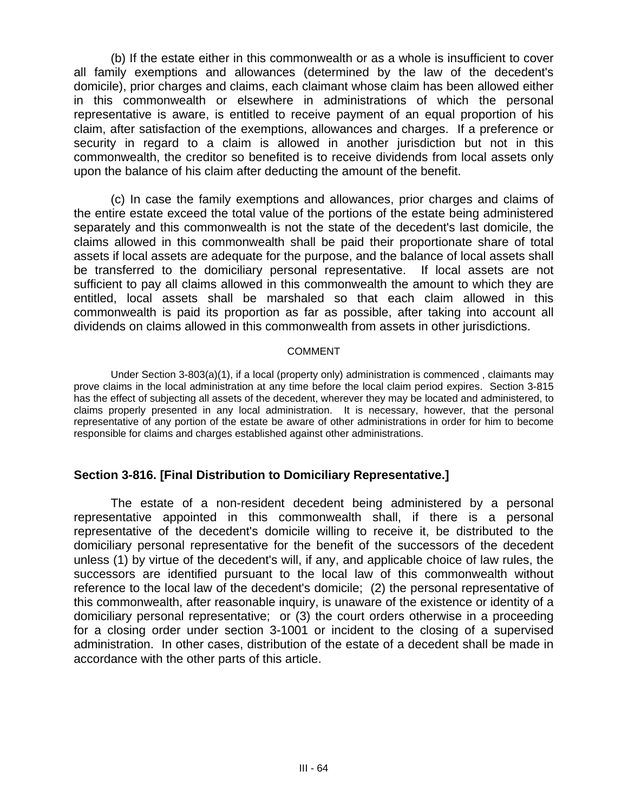(b) If the estate either in this commonwealth or as a whole is insufficient to cover all family exemptions and allowances (determined by the law of the decedent's domicile), prior charges and claims, each claimant whose claim has been allowed either in this commonwealth or elsewhere in administrations of which the personal representative is aware, is entitled to receive payment of an equal proportion of his claim, after satisfaction of the exemptions, allowances and charges. If a preference or security in regard to a claim is allowed in another jurisdiction but not in this commonwealth, the creditor so benefited is to receive dividends from local assets only upon the balance of his claim after deducting the amount of the benefit.

 (c) In case the family exemptions and allowances, prior charges and claims of the entire estate exceed the total value of the portions of the estate being administered separately and this commonwealth is not the state of the decedent's last domicile, the claims allowed in this commonwealth shall be paid their proportionate share of total assets if local assets are adequate for the purpose, and the balance of local assets shall be transferred to the domiciliary personal representative. If local assets are not sufficient to pay all claims allowed in this commonwealth the amount to which they are entitled, local assets shall be marshaled so that each claim allowed in this commonwealth is paid its proportion as far as possible, after taking into account all dividends on claims allowed in this commonwealth from assets in other jurisdictions.

#### COMMENT

 Under Section 3-803(a)(1), if a local (property only) administration is commenced , claimants may prove claims in the local administration at any time before the local claim period expires. Section 3-815 has the effect of subjecting all assets of the decedent, wherever they may be located and administered, to claims properly presented in any local administration. It is necessary, however, that the personal representative of any portion of the estate be aware of other administrations in order for him to become responsible for claims and charges established against other administrations.

### **Section 3-816. [Final Distribution to Domiciliary Representative.]**

 The estate of a non-resident decedent being administered by a personal representative appointed in this commonwealth shall, if there is a personal representative of the decedent's domicile willing to receive it, be distributed to the domiciliary personal representative for the benefit of the successors of the decedent unless (1) by virtue of the decedent's will, if any, and applicable choice of law rules, the successors are identified pursuant to the local law of this commonwealth without reference to the local law of the decedent's domicile; (2) the personal representative of this commonwealth, after reasonable inquiry, is unaware of the existence or identity of a domiciliary personal representative; or (3) the court orders otherwise in a proceeding for a closing order under section 3-1001 or incident to the closing of a supervised administration. In other cases, distribution of the estate of a decedent shall be made in accordance with the other parts of this article.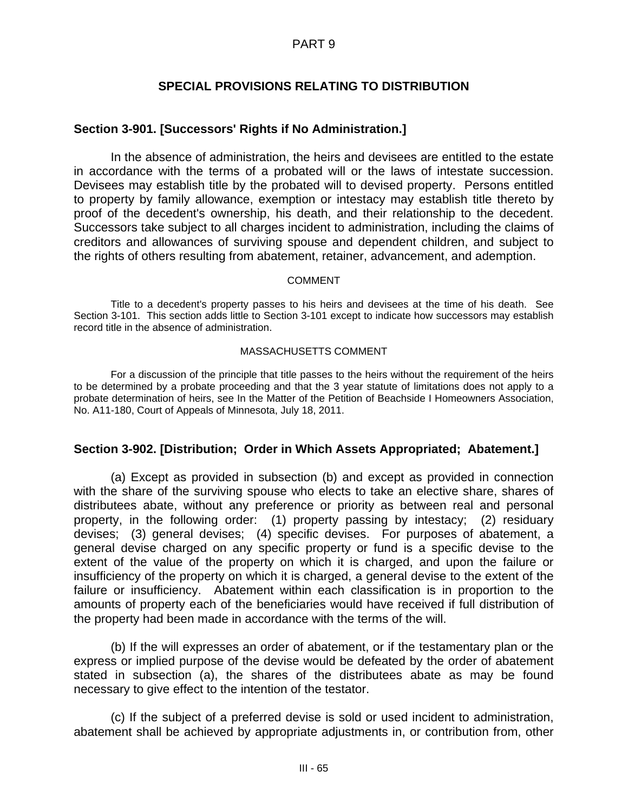## **SPECIAL PROVISIONS RELATING TO DISTRIBUTION**

## **Section 3-901. [Successors' Rights if No Administration.]**

 In the absence of administration, the heirs and devisees are entitled to the estate in accordance with the terms of a probated will or the laws of intestate succession. Devisees may establish title by the probated will to devised property. Persons entitled to property by family allowance, exemption or intestacy may establish title thereto by proof of the decedent's ownership, his death, and their relationship to the decedent. Successors take subject to all charges incident to administration, including the claims of creditors and allowances of surviving spouse and dependent children, and subject to the rights of others resulting from abatement, retainer, advancement, and ademption.

#### COMMENT

 Title to a decedent's property passes to his heirs and devisees at the time of his death. See Section 3-101. This section adds little to Section 3-101 except to indicate how successors may establish record title in the absence of administration.

#### MASSACHUSETTS COMMENT

 For a discussion of the principle that title passes to the heirs without the requirement of the heirs to be determined by a probate proceeding and that the 3 year statute of limitations does not apply to a probate determination of heirs, see In the Matter of the Petition of Beachside I Homeowners Association, No. A11-180, Court of Appeals of Minnesota, July 18, 2011.

### **Section 3-902. [Distribution; Order in Which Assets Appropriated; Abatement.]**

 (a) Except as provided in subsection (b) and except as provided in connection with the share of the surviving spouse who elects to take an elective share, shares of distributees abate, without any preference or priority as between real and personal property, in the following order: (1) property passing by intestacy; (2) residuary devises; (3) general devises; (4) specific devises. For purposes of abatement, a general devise charged on any specific property or fund is a specific devise to the extent of the value of the property on which it is charged, and upon the failure or insufficiency of the property on which it is charged, a general devise to the extent of the failure or insufficiency. Abatement within each classification is in proportion to the amounts of property each of the beneficiaries would have received if full distribution of the property had been made in accordance with the terms of the will.

 (b) If the will expresses an order of abatement, or if the testamentary plan or the express or implied purpose of the devise would be defeated by the order of abatement stated in subsection (a), the shares of the distributees abate as may be found necessary to give effect to the intention of the testator.

 (c) If the subject of a preferred devise is sold or used incident to administration, abatement shall be achieved by appropriate adjustments in, or contribution from, other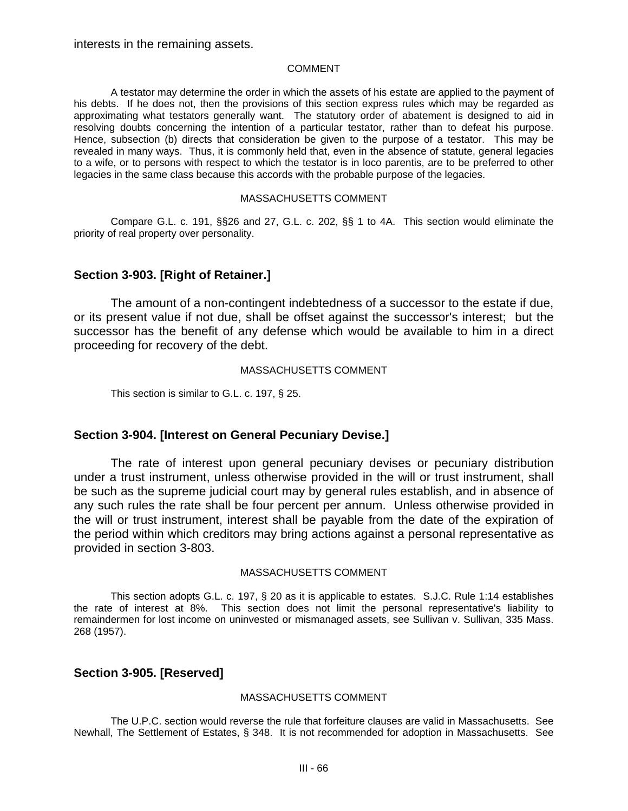interests in the remaining assets.

#### COMMENT

 A testator may determine the order in which the assets of his estate are applied to the payment of his debts. If he does not, then the provisions of this section express rules which may be regarded as approximating what testators generally want. The statutory order of abatement is designed to aid in resolving doubts concerning the intention of a particular testator, rather than to defeat his purpose. Hence, subsection (b) directs that consideration be given to the purpose of a testator. This may be revealed in many ways. Thus, it is commonly held that, even in the absence of statute, general legacies to a wife, or to persons with respect to which the testator is in loco parentis, are to be preferred to other legacies in the same class because this accords with the probable purpose of the legacies.

#### MASSACHUSETTS COMMENT

 Compare G.L. c. 191, §§26 and 27, G.L. c. 202, §§ 1 to 4A. This section would eliminate the priority of real property over personality.

### **Section 3-903. [Right of Retainer.]**

 The amount of a non-contingent indebtedness of a successor to the estate if due, or its present value if not due, shall be offset against the successor's interest; but the successor has the benefit of any defense which would be available to him in a direct proceeding for recovery of the debt.

#### MASSACHUSETTS COMMENT

This section is similar to G.L. c. 197, § 25.

### **Section 3-904. [Interest on General Pecuniary Devise.]**

 The rate of interest upon general pecuniary devises or pecuniary distribution under a trust instrument, unless otherwise provided in the will or trust instrument, shall be such as the supreme judicial court may by general rules establish, and in absence of any such rules the rate shall be four percent per annum. Unless otherwise provided in the will or trust instrument, interest shall be payable from the date of the expiration of the period within which creditors may bring actions against a personal representative as provided in section 3-803.

#### MASSACHUSETTS COMMENT

 This section adopts G.L. c. 197, § 20 as it is applicable to estates. S.J.C. Rule 1:14 establishes the rate of interest at 8%. This section does not limit the personal representative's liability to remaindermen for lost income on uninvested or mismanaged assets, see Sullivan v. Sullivan, 335 Mass. 268 (1957).

### **Section 3-905. [Reserved]**

#### MASSACHUSETTS COMMENT

 The U.P.C. section would reverse the rule that forfeiture clauses are valid in Massachusetts. See Newhall, The Settlement of Estates, § 348. It is not recommended for adoption in Massachusetts. See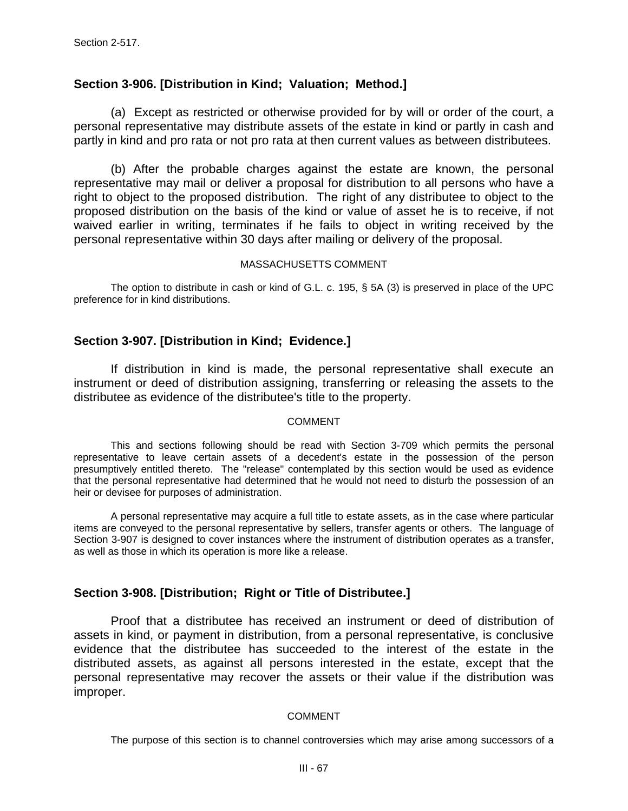## **Section 3-906. [Distribution in Kind; Valuation; Method.]**

 (a) Except as restricted or otherwise provided for by will or order of the court, a personal representative may distribute assets of the estate in kind or partly in cash and partly in kind and pro rata or not pro rata at then current values as between distributees.

 (b) After the probable charges against the estate are known, the personal representative may mail or deliver a proposal for distribution to all persons who have a right to object to the proposed distribution. The right of any distributee to object to the proposed distribution on the basis of the kind or value of asset he is to receive, if not waived earlier in writing, terminates if he fails to object in writing received by the personal representative within 30 days after mailing or delivery of the proposal.

### MASSACHUSETTS COMMENT

 The option to distribute in cash or kind of G.L. c. 195, § 5A (3) is preserved in place of the UPC preference for in kind distributions.

## **Section 3-907. [Distribution in Kind; Evidence.]**

 If distribution in kind is made, the personal representative shall execute an instrument or deed of distribution assigning, transferring or releasing the assets to the distributee as evidence of the distributee's title to the property.

### COMMENT

 This and sections following should be read with Section 3-709 which permits the personal representative to leave certain assets of a decedent's estate in the possession of the person presumptively entitled thereto. The "release" contemplated by this section would be used as evidence that the personal representative had determined that he would not need to disturb the possession of an heir or devisee for purposes of administration.

 A personal representative may acquire a full title to estate assets, as in the case where particular items are conveyed to the personal representative by sellers, transfer agents or others. The language of Section 3-907 is designed to cover instances where the instrument of distribution operates as a transfer, as well as those in which its operation is more like a release.

## **Section 3-908. [Distribution; Right or Title of Distributee.]**

 Proof that a distributee has received an instrument or deed of distribution of assets in kind, or payment in distribution, from a personal representative, is conclusive evidence that the distributee has succeeded to the interest of the estate in the distributed assets, as against all persons interested in the estate, except that the personal representative may recover the assets or their value if the distribution was improper.

### COMMENT

The purpose of this section is to channel controversies which may arise among successors of a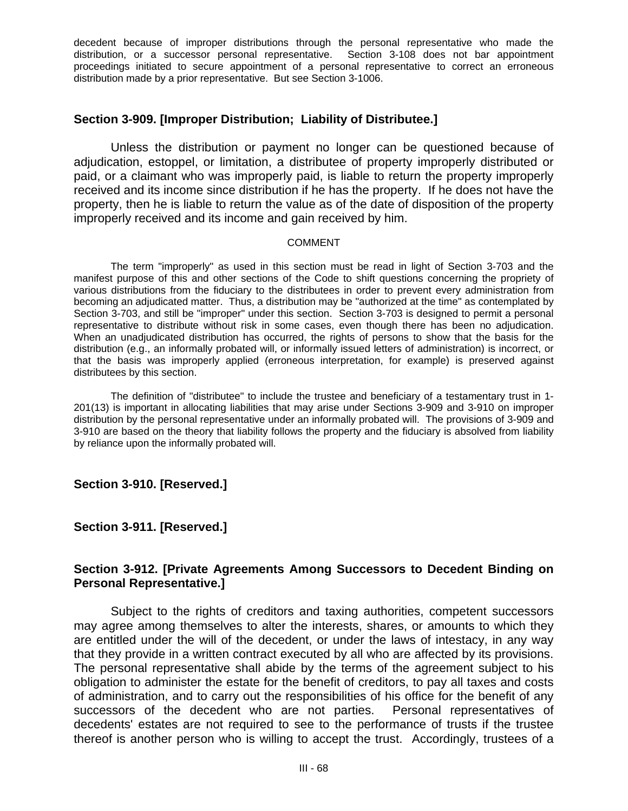decedent because of improper distributions through the personal representative who made the distribution, or a successor personal representative. Section 3-108 does not bar appointment proceedings initiated to secure appointment of a personal representative to correct an erroneous distribution made by a prior representative. But see Section 3-1006.

## **Section 3-909. [Improper Distribution; Liability of Distributee.]**

 Unless the distribution or payment no longer can be questioned because of adjudication, estoppel, or limitation, a distributee of property improperly distributed or paid, or a claimant who was improperly paid, is liable to return the property improperly received and its income since distribution if he has the property. If he does not have the property, then he is liable to return the value as of the date of disposition of the property improperly received and its income and gain received by him.

### COMMENT

 The term "improperly" as used in this section must be read in light of Section 3-703 and the manifest purpose of this and other sections of the Code to shift questions concerning the propriety of various distributions from the fiduciary to the distributees in order to prevent every administration from becoming an adjudicated matter. Thus, a distribution may be "authorized at the time" as contemplated by Section 3-703, and still be "improper" under this section. Section 3-703 is designed to permit a personal representative to distribute without risk in some cases, even though there has been no adjudication. When an unadjudicated distribution has occurred, the rights of persons to show that the basis for the distribution (e.g., an informally probated will, or informally issued letters of administration) is incorrect, or that the basis was improperly applied (erroneous interpretation, for example) is preserved against distributees by this section.

 The definition of "distributee" to include the trustee and beneficiary of a testamentary trust in 1- 201(13) is important in allocating liabilities that may arise under Sections 3-909 and 3-910 on improper distribution by the personal representative under an informally probated will. The provisions of 3-909 and 3-910 are based on the theory that liability follows the property and the fiduciary is absolved from liability by reliance upon the informally probated will.

### **Section 3-910. [Reserved.]**

### **Section 3-911. [Reserved.]**

## **Section 3-912. [Private Agreements Among Successors to Decedent Binding on Personal Representative.]**

 Subject to the rights of creditors and taxing authorities, competent successors may agree among themselves to alter the interests, shares, or amounts to which they are entitled under the will of the decedent, or under the laws of intestacy, in any way that they provide in a written contract executed by all who are affected by its provisions. The personal representative shall abide by the terms of the agreement subject to his obligation to administer the estate for the benefit of creditors, to pay all taxes and costs of administration, and to carry out the responsibilities of his office for the benefit of any successors of the decedent who are not parties. Personal representatives of decedents' estates are not required to see to the performance of trusts if the trustee thereof is another person who is willing to accept the trust. Accordingly, trustees of a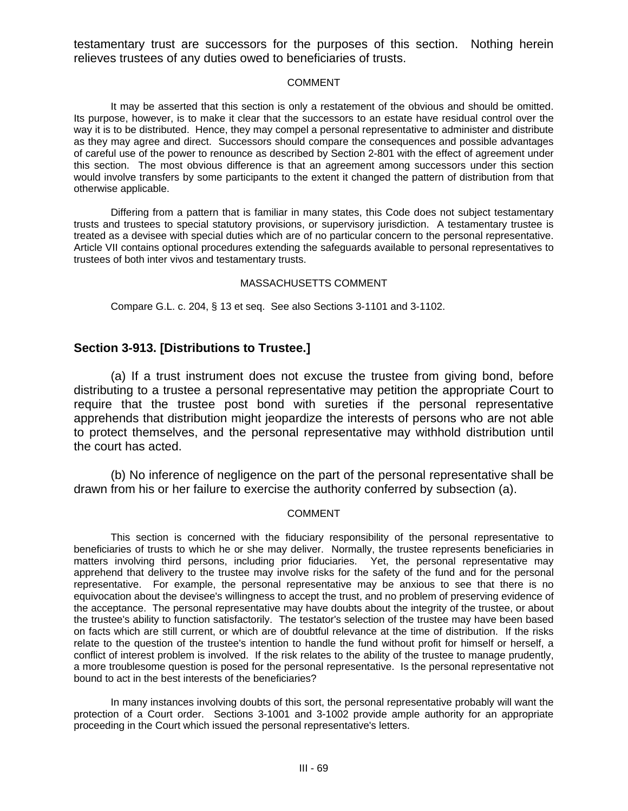testamentary trust are successors for the purposes of this section. Nothing herein relieves trustees of any duties owed to beneficiaries of trusts.

### COMMENT

 It may be asserted that this section is only a restatement of the obvious and should be omitted. Its purpose, however, is to make it clear that the successors to an estate have residual control over the way it is to be distributed. Hence, they may compel a personal representative to administer and distribute as they may agree and direct. Successors should compare the consequences and possible advantages of careful use of the power to renounce as described by Section 2-801 with the effect of agreement under this section. The most obvious difference is that an agreement among successors under this section would involve transfers by some participants to the extent it changed the pattern of distribution from that otherwise applicable.

 Differing from a pattern that is familiar in many states, this Code does not subject testamentary trusts and trustees to special statutory provisions, or supervisory jurisdiction. A testamentary trustee is treated as a devisee with special duties which are of no particular concern to the personal representative. Article VII contains optional procedures extending the safeguards available to personal representatives to trustees of both inter vivos and testamentary trusts.

### MASSACHUSETTS COMMENT

Compare G.L. c. 204, § 13 et seq. See also Sections 3-1101 and 3-1102.

### **Section 3-913. [Distributions to Trustee.]**

 (a) If a trust instrument does not excuse the trustee from giving bond, before distributing to a trustee a personal representative may petition the appropriate Court to require that the trustee post bond with sureties if the personal representative apprehends that distribution might jeopardize the interests of persons who are not able to protect themselves, and the personal representative may withhold distribution until the court has acted.

 (b) No inference of negligence on the part of the personal representative shall be drawn from his or her failure to exercise the authority conferred by subsection (a).

#### COMMENT

 This section is concerned with the fiduciary responsibility of the personal representative to beneficiaries of trusts to which he or she may deliver. Normally, the trustee represents beneficiaries in matters involving third persons, including prior fiduciaries. Yet, the personal representative may apprehend that delivery to the trustee may involve risks for the safety of the fund and for the personal representative. For example, the personal representative may be anxious to see that there is no equivocation about the devisee's willingness to accept the trust, and no problem of preserving evidence of the acceptance. The personal representative may have doubts about the integrity of the trustee, or about the trustee's ability to function satisfactorily. The testator's selection of the trustee may have been based on facts which are still current, or which are of doubtful relevance at the time of distribution. If the risks relate to the question of the trustee's intention to handle the fund without profit for himself or herself, a conflict of interest problem is involved. If the risk relates to the ability of the trustee to manage prudently, a more troublesome question is posed for the personal representative. Is the personal representative not bound to act in the best interests of the beneficiaries?

 In many instances involving doubts of this sort, the personal representative probably will want the protection of a Court order. Sections 3-1001 and 3-1002 provide ample authority for an appropriate proceeding in the Court which issued the personal representative's letters.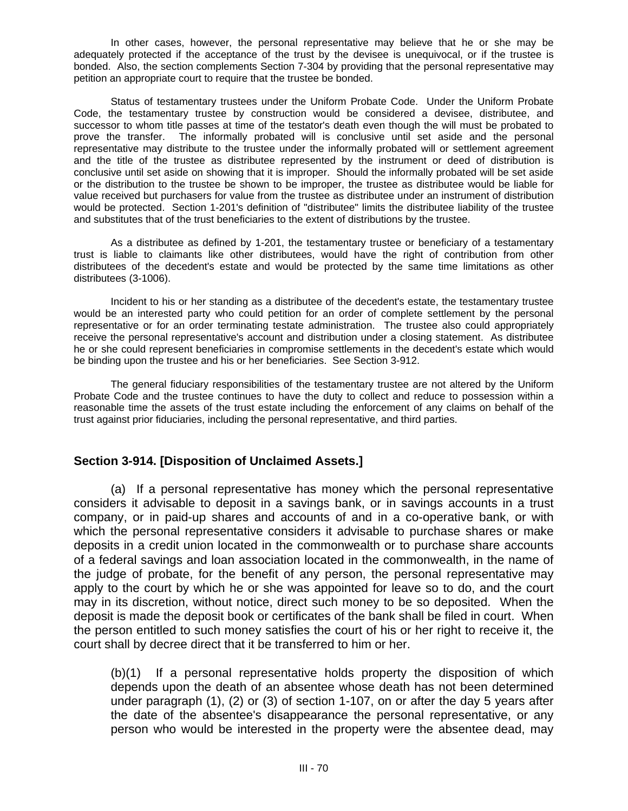In other cases, however, the personal representative may believe that he or she may be adequately protected if the acceptance of the trust by the devisee is unequivocal, or if the trustee is bonded. Also, the section complements Section 7-304 by providing that the personal representative may petition an appropriate court to require that the trustee be bonded.

 Status of testamentary trustees under the Uniform Probate Code. Under the Uniform Probate Code, the testamentary trustee by construction would be considered a devisee, distributee, and successor to whom title passes at time of the testator's death even though the will must be probated to prove the transfer. The informally probated will is conclusive until set aside and the personal representative may distribute to the trustee under the informally probated will or settlement agreement and the title of the trustee as distributee represented by the instrument or deed of distribution is conclusive until set aside on showing that it is improper. Should the informally probated will be set aside or the distribution to the trustee be shown to be improper, the trustee as distributee would be liable for value received but purchasers for value from the trustee as distributee under an instrument of distribution would be protected. Section 1-201's definition of "distributee" limits the distributee liability of the trustee and substitutes that of the trust beneficiaries to the extent of distributions by the trustee.

 As a distributee as defined by 1-201, the testamentary trustee or beneficiary of a testamentary trust is liable to claimants like other distributees, would have the right of contribution from other distributees of the decedent's estate and would be protected by the same time limitations as other distributees (3-1006).

 Incident to his or her standing as a distributee of the decedent's estate, the testamentary trustee would be an interested party who could petition for an order of complete settlement by the personal representative or for an order terminating testate administration. The trustee also could appropriately receive the personal representative's account and distribution under a closing statement. As distributee he or she could represent beneficiaries in compromise settlements in the decedent's estate which would be binding upon the trustee and his or her beneficiaries. See Section 3-912.

 The general fiduciary responsibilities of the testamentary trustee are not altered by the Uniform Probate Code and the trustee continues to have the duty to collect and reduce to possession within a reasonable time the assets of the trust estate including the enforcement of any claims on behalf of the trust against prior fiduciaries, including the personal representative, and third parties.

## **Section 3-914. [Disposition of Unclaimed Assets.]**

 (a) If a personal representative has money which the personal representative considers it advisable to deposit in a savings bank, or in savings accounts in a trust company, or in paid-up shares and accounts of and in a co-operative bank, or with which the personal representative considers it advisable to purchase shares or make deposits in a credit union located in the commonwealth or to purchase share accounts of a federal savings and loan association located in the commonwealth, in the name of the judge of probate, for the benefit of any person, the personal representative may apply to the court by which he or she was appointed for leave so to do, and the court may in its discretion, without notice, direct such money to be so deposited. When the deposit is made the deposit book or certificates of the bank shall be filed in court. When the person entitled to such money satisfies the court of his or her right to receive it, the court shall by decree direct that it be transferred to him or her.

 (b)(1) If a personal representative holds property the disposition of which depends upon the death of an absentee whose death has not been determined under paragraph (1), (2) or (3) of section 1-107, on or after the day 5 years after the date of the absentee's disappearance the personal representative, or any person who would be interested in the property were the absentee dead, may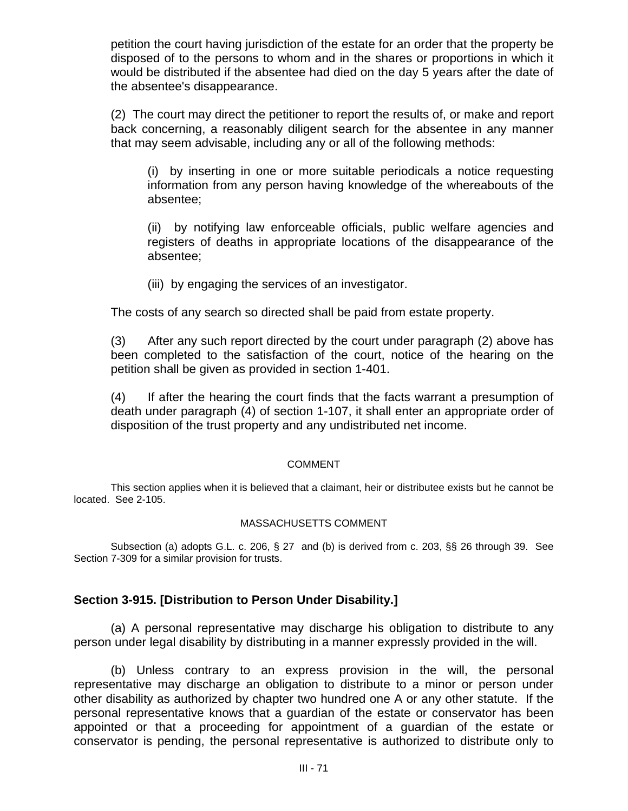petition the court having jurisdiction of the estate for an order that the property be disposed of to the persons to whom and in the shares or proportions in which it would be distributed if the absentee had died on the day 5 years after the date of the absentee's disappearance.

 (2) The court may direct the petitioner to report the results of, or make and report back concerning, a reasonably diligent search for the absentee in any manner that may seem advisable, including any or all of the following methods:

 (i) by inserting in one or more suitable periodicals a notice requesting information from any person having knowledge of the whereabouts of the absentee;

 (ii) by notifying law enforceable officials, public welfare agencies and registers of deaths in appropriate locations of the disappearance of the absentee;

(iii) by engaging the services of an investigator.

The costs of any search so directed shall be paid from estate property.

 (3) After any such report directed by the court under paragraph (2) above has been completed to the satisfaction of the court, notice of the hearing on the petition shall be given as provided in section 1-401.

 (4) If after the hearing the court finds that the facts warrant a presumption of death under paragraph (4) of section 1-107, it shall enter an appropriate order of disposition of the trust property and any undistributed net income.

### **COMMENT**

 This section applies when it is believed that a claimant, heir or distributee exists but he cannot be located. See 2-105.

### MASSACHUSETTS COMMENT

 Subsection (a) adopts G.L. c. 206, § 27 and (b) is derived from c. 203, §§ 26 through 39. See Section 7-309 for a similar provision for trusts.

## **Section 3-915. [Distribution to Person Under Disability.]**

 (a) A personal representative may discharge his obligation to distribute to any person under legal disability by distributing in a manner expressly provided in the will.

 (b) Unless contrary to an express provision in the will, the personal representative may discharge an obligation to distribute to a minor or person under other disability as authorized by chapter two hundred one A or any other statute. If the personal representative knows that a guardian of the estate or conservator has been appointed or that a proceeding for appointment of a guardian of the estate or conservator is pending, the personal representative is authorized to distribute only to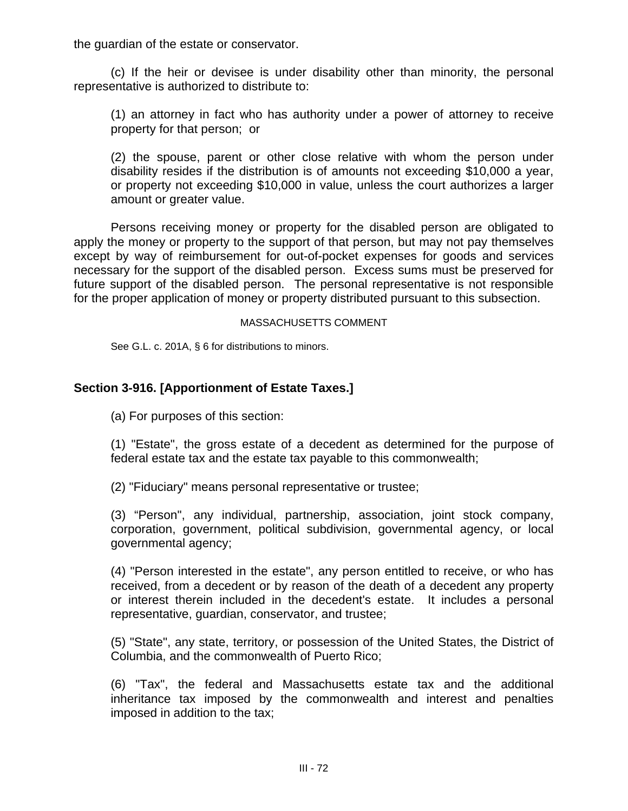the guardian of the estate or conservator.

 (c) If the heir or devisee is under disability other than minority, the personal representative is authorized to distribute to:

(1) an attorney in fact who has authority under a power of attorney to receive property for that person; or

(2) the spouse, parent or other close relative with whom the person under disability resides if the distribution is of amounts not exceeding \$10,000 a year, or property not exceeding \$10,000 in value, unless the court authorizes a larger amount or greater value.

 Persons receiving money or property for the disabled person are obligated to apply the money or property to the support of that person, but may not pay themselves except by way of reimbursement for out-of-pocket expenses for goods and services necessary for the support of the disabled person. Excess sums must be preserved for future support of the disabled person. The personal representative is not responsible for the proper application of money or property distributed pursuant to this subsection.

### MASSACHUSETTS COMMENT

See G.L. c. 201A, § 6 for distributions to minors.

## **Section 3-916. [Apportionment of Estate Taxes.]**

(a) For purposes of this section:

(1) "Estate", the gross estate of a decedent as determined for the purpose of federal estate tax and the estate tax payable to this commonwealth;

(2) "Fiduciary" means personal representative or trustee;

(3) "Person", any individual, partnership, association, joint stock company, corporation, government, political subdivision, governmental agency, or local governmental agency;

(4) "Person interested in the estate", any person entitled to receive, or who has received, from a decedent or by reason of the death of a decedent any property or interest therein included in the decedent's estate. It includes a personal representative, guardian, conservator, and trustee;

(5) "State", any state, territory, or possession of the United States, the District of Columbia, and the commonwealth of Puerto Rico;

(6) "Tax", the federal and Massachusetts estate tax and the additional inheritance tax imposed by the commonwealth and interest and penalties imposed in addition to the tax;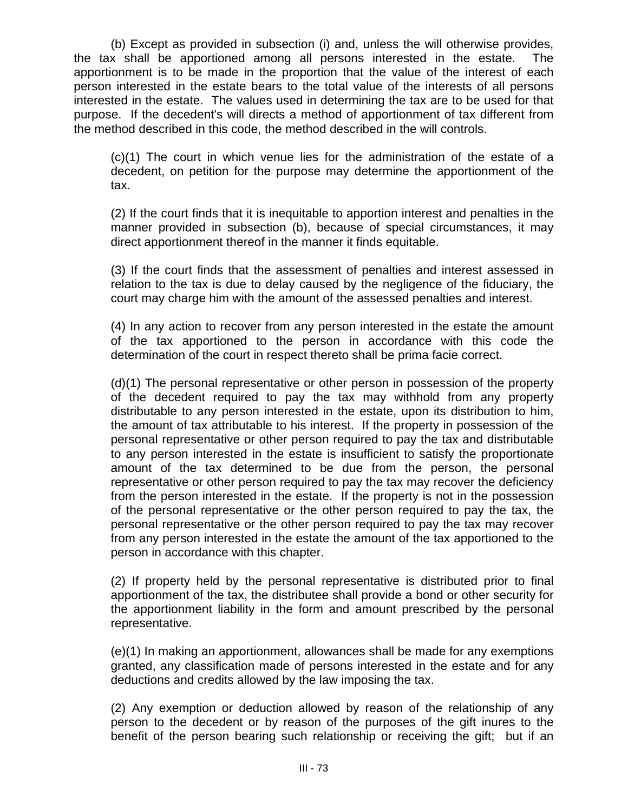(b) Except as provided in subsection (i) and, unless the will otherwise provides, the tax shall be apportioned among all persons interested in the estate. The apportionment is to be made in the proportion that the value of the interest of each person interested in the estate bears to the total value of the interests of all persons interested in the estate. The values used in determining the tax are to be used for that purpose. If the decedent's will directs a method of apportionment of tax different from the method described in this code, the method described in the will controls.

(c)(1) The court in which venue lies for the administration of the estate of a decedent, on petition for the purpose may determine the apportionment of the tax.

(2) If the court finds that it is inequitable to apportion interest and penalties in the manner provided in subsection (b), because of special circumstances, it may direct apportionment thereof in the manner it finds equitable.

(3) If the court finds that the assessment of penalties and interest assessed in relation to the tax is due to delay caused by the negligence of the fiduciary, the court may charge him with the amount of the assessed penalties and interest.

(4) In any action to recover from any person interested in the estate the amount of the tax apportioned to the person in accordance with this code the determination of the court in respect thereto shall be prima facie correct.

(d)(1) The personal representative or other person in possession of the property of the decedent required to pay the tax may withhold from any property distributable to any person interested in the estate, upon its distribution to him, the amount of tax attributable to his interest. If the property in possession of the personal representative or other person required to pay the tax and distributable to any person interested in the estate is insufficient to satisfy the proportionate amount of the tax determined to be due from the person, the personal representative or other person required to pay the tax may recover the deficiency from the person interested in the estate. If the property is not in the possession of the personal representative or the other person required to pay the tax, the personal representative or the other person required to pay the tax may recover from any person interested in the estate the amount of the tax apportioned to the person in accordance with this chapter.

(2) If property held by the personal representative is distributed prior to final apportionment of the tax, the distributee shall provide a bond or other security for the apportionment liability in the form and amount prescribed by the personal representative.

(e)(1) In making an apportionment, allowances shall be made for any exemptions granted, any classification made of persons interested in the estate and for any deductions and credits allowed by the law imposing the tax.

(2) Any exemption or deduction allowed by reason of the relationship of any person to the decedent or by reason of the purposes of the gift inures to the benefit of the person bearing such relationship or receiving the gift; but if an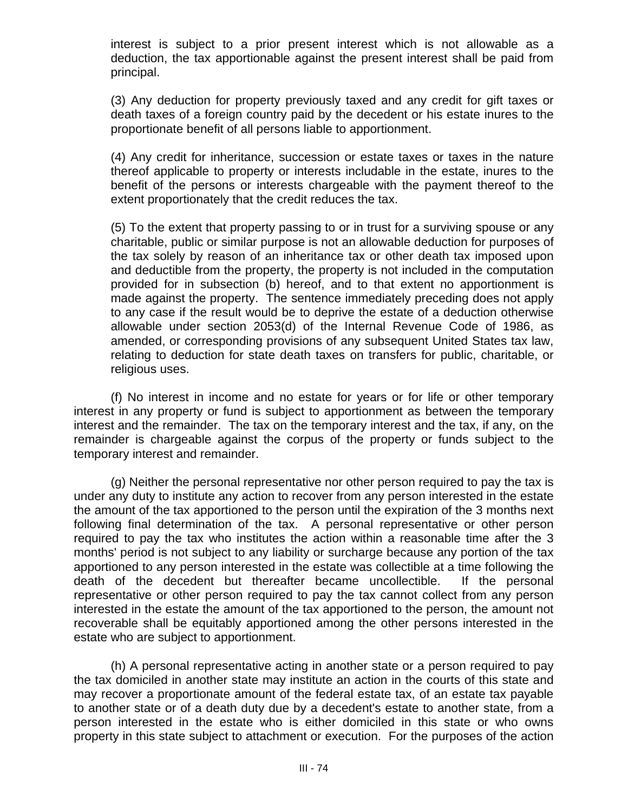interest is subject to a prior present interest which is not allowable as a deduction, the tax apportionable against the present interest shall be paid from principal.

(3) Any deduction for property previously taxed and any credit for gift taxes or death taxes of a foreign country paid by the decedent or his estate inures to the proportionate benefit of all persons liable to apportionment.

(4) Any credit for inheritance, succession or estate taxes or taxes in the nature thereof applicable to property or interests includable in the estate, inures to the benefit of the persons or interests chargeable with the payment thereof to the extent proportionately that the credit reduces the tax.

(5) To the extent that property passing to or in trust for a surviving spouse or any charitable, public or similar purpose is not an allowable deduction for purposes of the tax solely by reason of an inheritance tax or other death tax imposed upon and deductible from the property, the property is not included in the computation provided for in subsection (b) hereof, and to that extent no apportionment is made against the property. The sentence immediately preceding does not apply to any case if the result would be to deprive the estate of a deduction otherwise allowable under section 2053(d) of the Internal Revenue Code of 1986, as amended, or corresponding provisions of any subsequent United States tax law, relating to deduction for state death taxes on transfers for public, charitable, or religious uses.

 (f) No interest in income and no estate for years or for life or other temporary interest in any property or fund is subject to apportionment as between the temporary interest and the remainder. The tax on the temporary interest and the tax, if any, on the remainder is chargeable against the corpus of the property or funds subject to the temporary interest and remainder.

 (g) Neither the personal representative nor other person required to pay the tax is under any duty to institute any action to recover from any person interested in the estate the amount of the tax apportioned to the person until the expiration of the 3 months next following final determination of the tax. A personal representative or other person required to pay the tax who institutes the action within a reasonable time after the 3 months' period is not subject to any liability or surcharge because any portion of the tax apportioned to any person interested in the estate was collectible at a time following the death of the decedent but thereafter became uncollectible. If the personal representative or other person required to pay the tax cannot collect from any person interested in the estate the amount of the tax apportioned to the person, the amount not recoverable shall be equitably apportioned among the other persons interested in the estate who are subject to apportionment.

 (h) A personal representative acting in another state or a person required to pay the tax domiciled in another state may institute an action in the courts of this state and may recover a proportionate amount of the federal estate tax, of an estate tax payable to another state or of a death duty due by a decedent's estate to another state, from a person interested in the estate who is either domiciled in this state or who owns property in this state subject to attachment or execution. For the purposes of the action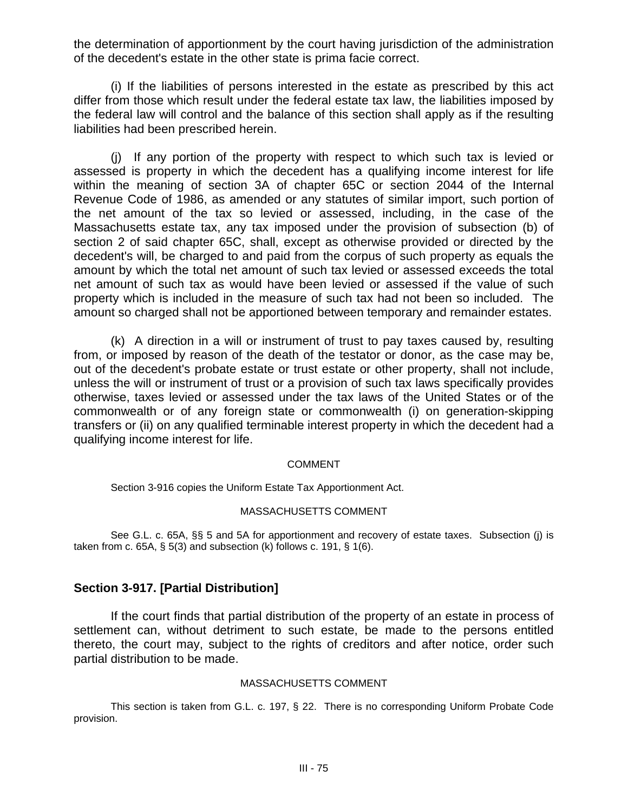the determination of apportionment by the court having jurisdiction of the administration of the decedent's estate in the other state is prima facie correct.

 (i) If the liabilities of persons interested in the estate as prescribed by this act differ from those which result under the federal estate tax law, the liabilities imposed by the federal law will control and the balance of this section shall apply as if the resulting liabilities had been prescribed herein.

 (j) If any portion of the property with respect to which such tax is levied or assessed is property in which the decedent has a qualifying income interest for life within the meaning of section 3A of chapter 65C or section 2044 of the Internal Revenue Code of 1986, as amended or any statutes of similar import, such portion of the net amount of the tax so levied or assessed, including, in the case of the Massachusetts estate tax, any tax imposed under the provision of subsection (b) of section 2 of said chapter 65C, shall, except as otherwise provided or directed by the decedent's will, be charged to and paid from the corpus of such property as equals the amount by which the total net amount of such tax levied or assessed exceeds the total net amount of such tax as would have been levied or assessed if the value of such property which is included in the measure of such tax had not been so included. The amount so charged shall not be apportioned between temporary and remainder estates.

 (k) A direction in a will or instrument of trust to pay taxes caused by, resulting from, or imposed by reason of the death of the testator or donor, as the case may be, out of the decedent's probate estate or trust estate or other property, shall not include, unless the will or instrument of trust or a provision of such tax laws specifically provides otherwise, taxes levied or assessed under the tax laws of the United States or of the commonwealth or of any foreign state or commonwealth (i) on generation-skipping transfers or (ii) on any qualified terminable interest property in which the decedent had a qualifying income interest for life.

#### COMMENT

Section 3-916 copies the Uniform Estate Tax Apportionment Act.

#### MASSACHUSETTS COMMENT

 See G.L. c. 65A, §§ 5 and 5A for apportionment and recovery of estate taxes. Subsection (j) is taken from c. 65A, § 5(3) and subsection (k) follows c. 191, § 1(6).

# **Section 3-917. [Partial Distribution]**

 If the court finds that partial distribution of the property of an estate in process of settlement can, without detriment to such estate, be made to the persons entitled thereto, the court may, subject to the rights of creditors and after notice, order such partial distribution to be made.

#### MASSACHUSETTS COMMENT

 This section is taken from G.L. c. 197, § 22. There is no corresponding Uniform Probate Code provision.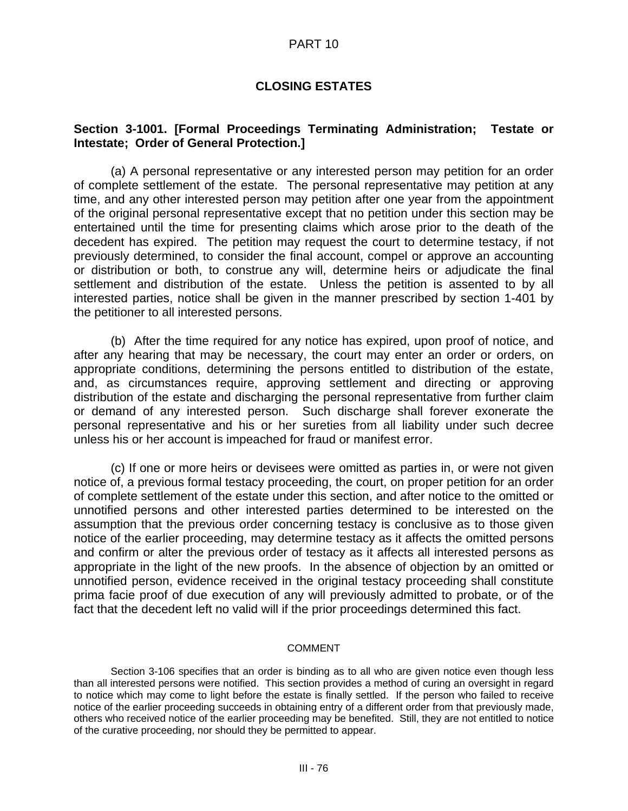# PART 10

# **CLOSING ESTATES**

### **Section 3-1001. [Formal Proceedings Terminating Administration; Testate or Intestate; Order of General Protection.]**

 (a) A personal representative or any interested person may petition for an order of complete settlement of the estate. The personal representative may petition at any time, and any other interested person may petition after one year from the appointment of the original personal representative except that no petition under this section may be entertained until the time for presenting claims which arose prior to the death of the decedent has expired. The petition may request the court to determine testacy, if not previously determined, to consider the final account, compel or approve an accounting or distribution or both, to construe any will, determine heirs or adjudicate the final settlement and distribution of the estate. Unless the petition is assented to by all interested parties, notice shall be given in the manner prescribed by section 1-401 by the petitioner to all interested persons.

 (b) After the time required for any notice has expired, upon proof of notice, and after any hearing that may be necessary, the court may enter an order or orders, on appropriate conditions, determining the persons entitled to distribution of the estate, and, as circumstances require, approving settlement and directing or approving distribution of the estate and discharging the personal representative from further claim or demand of any interested person. Such discharge shall forever exonerate the personal representative and his or her sureties from all liability under such decree unless his or her account is impeached for fraud or manifest error.

 (c) If one or more heirs or devisees were omitted as parties in, or were not given notice of, a previous formal testacy proceeding, the court, on proper petition for an order of complete settlement of the estate under this section, and after notice to the omitted or unnotified persons and other interested parties determined to be interested on the assumption that the previous order concerning testacy is conclusive as to those given notice of the earlier proceeding, may determine testacy as it affects the omitted persons and confirm or alter the previous order of testacy as it affects all interested persons as appropriate in the light of the new proofs. In the absence of objection by an omitted or unnotified person, evidence received in the original testacy proceeding shall constitute prima facie proof of due execution of any will previously admitted to probate, or of the fact that the decedent left no valid will if the prior proceedings determined this fact.

#### COMMENT

 Section 3-106 specifies that an order is binding as to all who are given notice even though less than all interested persons were notified. This section provides a method of curing an oversight in regard to notice which may come to light before the estate is finally settled. If the person who failed to receive notice of the earlier proceeding succeeds in obtaining entry of a different order from that previously made, others who received notice of the earlier proceeding may be benefited. Still, they are not entitled to notice of the curative proceeding, nor should they be permitted to appear.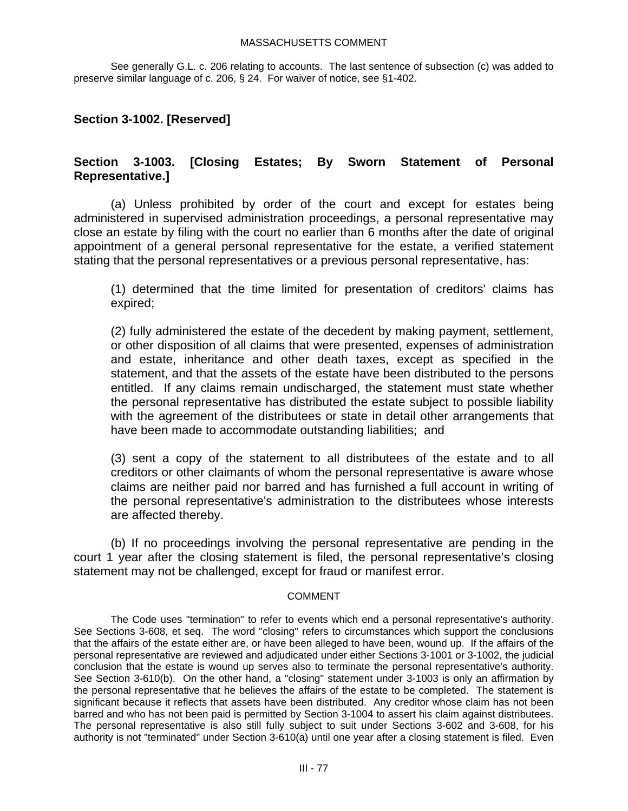#### MASSACHUSETTS COMMENT

 See generally G.L. c. 206 relating to accounts. The last sentence of subsection (c) was added to preserve similar language of c. 206, § 24. For waiver of notice, see §1-402.

### **Section 3-1002. [Reserved]**

# **Section 3-1003. [Closing Estates; By Sworn Statement of Personal Representative.]**

 (a) Unless prohibited by order of the court and except for estates being administered in supervised administration proceedings, a personal representative may close an estate by filing with the court no earlier than 6 months after the date of original appointment of a general personal representative for the estate, a verified statement stating that the personal representatives or a previous personal representative, has:

(1) determined that the time limited for presentation of creditors' claims has expired;

(2) fully administered the estate of the decedent by making payment, settlement, or other disposition of all claims that were presented, expenses of administration and estate, inheritance and other death taxes, except as specified in the statement, and that the assets of the estate have been distributed to the persons entitled. If any claims remain undischarged, the statement must state whether the personal representative has distributed the estate subject to possible liability with the agreement of the distributees or state in detail other arrangements that have been made to accommodate outstanding liabilities; and

(3) sent a copy of the statement to all distributees of the estate and to all creditors or other claimants of whom the personal representative is aware whose claims are neither paid nor barred and has furnished a full account in writing of the personal representative's administration to the distributees whose interests are affected thereby.

 (b) If no proceedings involving the personal representative are pending in the court 1 year after the closing statement is filed, the personal representative's closing statement may not be challenged, except for fraud or manifest error.

#### COMMENT

 The Code uses "termination" to refer to events which end a personal representative's authority. See Sections 3-608, et seq. The word "closing" refers to circumstances which support the conclusions that the affairs of the estate either are, or have been alleged to have been, wound up. If the affairs of the personal representative are reviewed and adjudicated under either Sections 3-1001 or 3-1002, the judicial conclusion that the estate is wound up serves also to terminate the personal representative's authority. See Section 3-610(b). On the other hand, a "closing" statement under 3-1003 is only an affirmation by the personal representative that he believes the affairs of the estate to be completed. The statement is significant because it reflects that assets have been distributed. Any creditor whose claim has not been barred and who has not been paid is permitted by Section 3-1004 to assert his claim against distributees. The personal representative is also still fully subject to suit under Sections 3-602 and 3-608, for his authority is not "terminated" under Section 3-610(a) until one year after a closing statement is filed. Even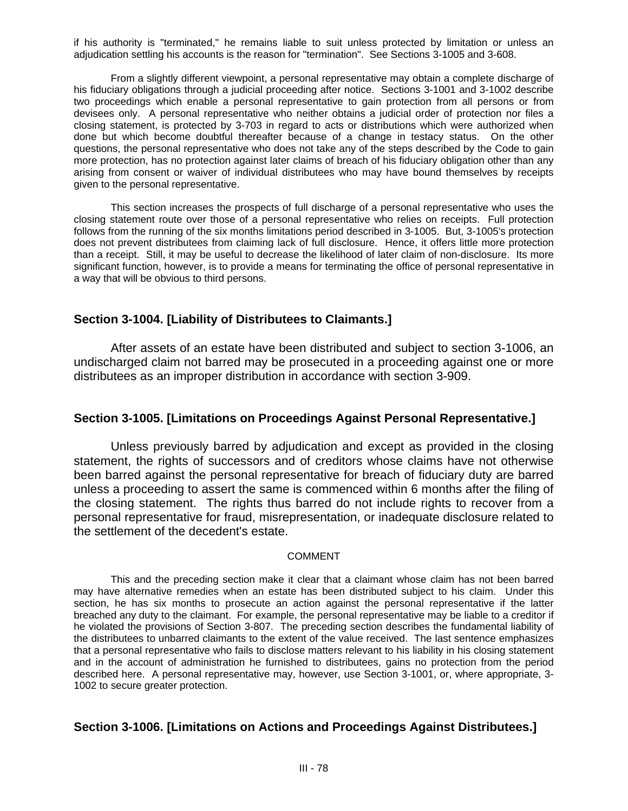if his authority is "terminated," he remains liable to suit unless protected by limitation or unless an adjudication settling his accounts is the reason for "termination". See Sections 3-1005 and 3-608.

 From a slightly different viewpoint, a personal representative may obtain a complete discharge of his fiduciary obligations through a judicial proceeding after notice. Sections 3-1001 and 3-1002 describe two proceedings which enable a personal representative to gain protection from all persons or from devisees only. A personal representative who neither obtains a judicial order of protection nor files a closing statement, is protected by 3-703 in regard to acts or distributions which were authorized when done but which become doubtful thereafter because of a change in testacy status. On the other questions, the personal representative who does not take any of the steps described by the Code to gain more protection, has no protection against later claims of breach of his fiduciary obligation other than any arising from consent or waiver of individual distributees who may have bound themselves by receipts given to the personal representative.

 This section increases the prospects of full discharge of a personal representative who uses the closing statement route over those of a personal representative who relies on receipts. Full protection follows from the running of the six months limitations period described in 3-1005. But, 3-1005's protection does not prevent distributees from claiming lack of full disclosure. Hence, it offers little more protection than a receipt. Still, it may be useful to decrease the likelihood of later claim of non-disclosure. Its more significant function, however, is to provide a means for terminating the office of personal representative in a way that will be obvious to third persons.

### **Section 3-1004. [Liability of Distributees to Claimants.]**

 After assets of an estate have been distributed and subject to section 3-1006, an undischarged claim not barred may be prosecuted in a proceeding against one or more distributees as an improper distribution in accordance with section 3-909.

#### **Section 3-1005. [Limitations on Proceedings Against Personal Representative.]**

 Unless previously barred by adjudication and except as provided in the closing statement, the rights of successors and of creditors whose claims have not otherwise been barred against the personal representative for breach of fiduciary duty are barred unless a proceeding to assert the same is commenced within 6 months after the filing of the closing statement. The rights thus barred do not include rights to recover from a personal representative for fraud, misrepresentation, or inadequate disclosure related to the settlement of the decedent's estate.

#### COMMENT

 This and the preceding section make it clear that a claimant whose claim has not been barred may have alternative remedies when an estate has been distributed subject to his claim. Under this section, he has six months to prosecute an action against the personal representative if the latter breached any duty to the claimant. For example, the personal representative may be liable to a creditor if he violated the provisions of Section 3-807. The preceding section describes the fundamental liability of the distributees to unbarred claimants to the extent of the value received. The last sentence emphasizes that a personal representative who fails to disclose matters relevant to his liability in his closing statement and in the account of administration he furnished to distributees, gains no protection from the period described here. A personal representative may, however, use Section 3-1001, or, where appropriate, 3- 1002 to secure greater protection.

# **Section 3-1006. [Limitations on Actions and Proceedings Against Distributees.]**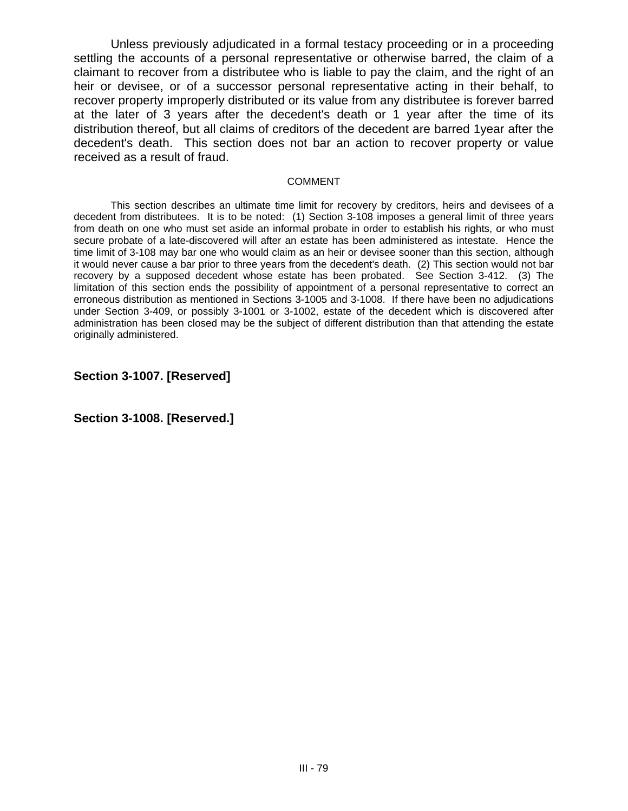Unless previously adjudicated in a formal testacy proceeding or in a proceeding settling the accounts of a personal representative or otherwise barred, the claim of a claimant to recover from a distributee who is liable to pay the claim, and the right of an heir or devisee, or of a successor personal representative acting in their behalf, to recover property improperly distributed or its value from any distributee is forever barred at the later of 3 years after the decedent's death or 1 year after the time of its distribution thereof, but all claims of creditors of the decedent are barred 1year after the decedent's death. This section does not bar an action to recover property or value received as a result of fraud.

#### COMMENT

 This section describes an ultimate time limit for recovery by creditors, heirs and devisees of a decedent from distributees. It is to be noted: (1) Section 3-108 imposes a general limit of three years from death on one who must set aside an informal probate in order to establish his rights, or who must secure probate of a late-discovered will after an estate has been administered as intestate. Hence the time limit of 3-108 may bar one who would claim as an heir or devisee sooner than this section, although it would never cause a bar prior to three years from the decedent's death. (2) This section would not bar recovery by a supposed decedent whose estate has been probated. See Section 3-412. (3) The limitation of this section ends the possibility of appointment of a personal representative to correct an erroneous distribution as mentioned in Sections 3-1005 and 3-1008. If there have been no adjudications under Section 3-409, or possibly 3-1001 or 3-1002, estate of the decedent which is discovered after administration has been closed may be the subject of different distribution than that attending the estate originally administered.

**Section 3-1007. [Reserved]**

**Section 3-1008. [Reserved.]**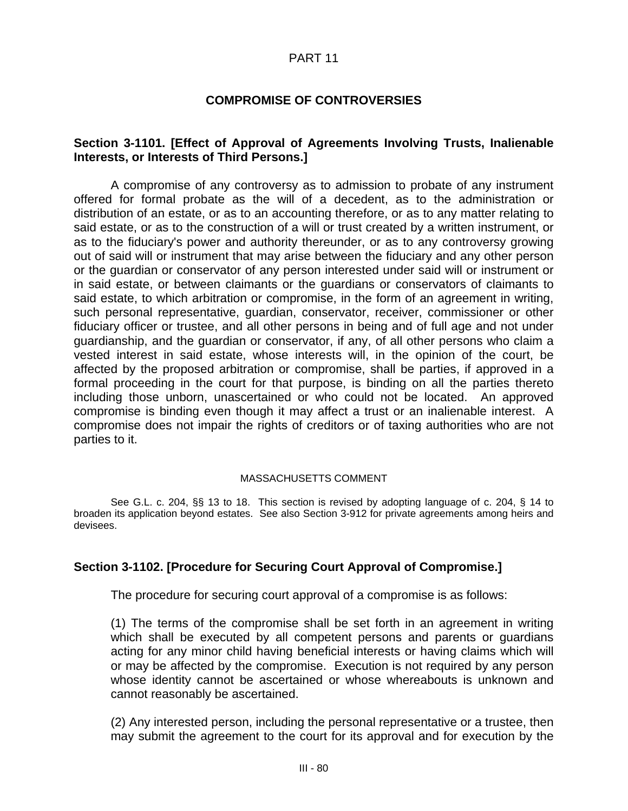### PART 11

# **COMPROMISE OF CONTROVERSIES**

### **Section 3-1101. [Effect of Approval of Agreements Involving Trusts, Inalienable Interests, or Interests of Third Persons.]**

 A compromise of any controversy as to admission to probate of any instrument offered for formal probate as the will of a decedent, as to the administration or distribution of an estate, or as to an accounting therefore, or as to any matter relating to said estate, or as to the construction of a will or trust created by a written instrument, or as to the fiduciary's power and authority thereunder, or as to any controversy growing out of said will or instrument that may arise between the fiduciary and any other person or the guardian or conservator of any person interested under said will or instrument or in said estate, or between claimants or the guardians or conservators of claimants to said estate, to which arbitration or compromise, in the form of an agreement in writing, such personal representative, guardian, conservator, receiver, commissioner or other fiduciary officer or trustee, and all other persons in being and of full age and not under guardianship, and the guardian or conservator, if any, of all other persons who claim a vested interest in said estate, whose interests will, in the opinion of the court, be affected by the proposed arbitration or compromise, shall be parties, if approved in a formal proceeding in the court for that purpose, is binding on all the parties thereto including those unborn, unascertained or who could not be located. An approved compromise is binding even though it may affect a trust or an inalienable interest. A compromise does not impair the rights of creditors or of taxing authorities who are not parties to it.

#### MASSACHUSETTS COMMENT

 See G.L. c. 204, §§ 13 to 18. This section is revised by adopting language of c. 204, § 14 to broaden its application beyond estates. See also Section 3-912 for private agreements among heirs and devisees.

# **Section 3-1102. [Procedure for Securing Court Approval of Compromise.]**

The procedure for securing court approval of a compromise is as follows:

(1) The terms of the compromise shall be set forth in an agreement in writing which shall be executed by all competent persons and parents or guardians acting for any minor child having beneficial interests or having claims which will or may be affected by the compromise. Execution is not required by any person whose identity cannot be ascertained or whose whereabouts is unknown and cannot reasonably be ascertained.

(2) Any interested person, including the personal representative or a trustee, then may submit the agreement to the court for its approval and for execution by the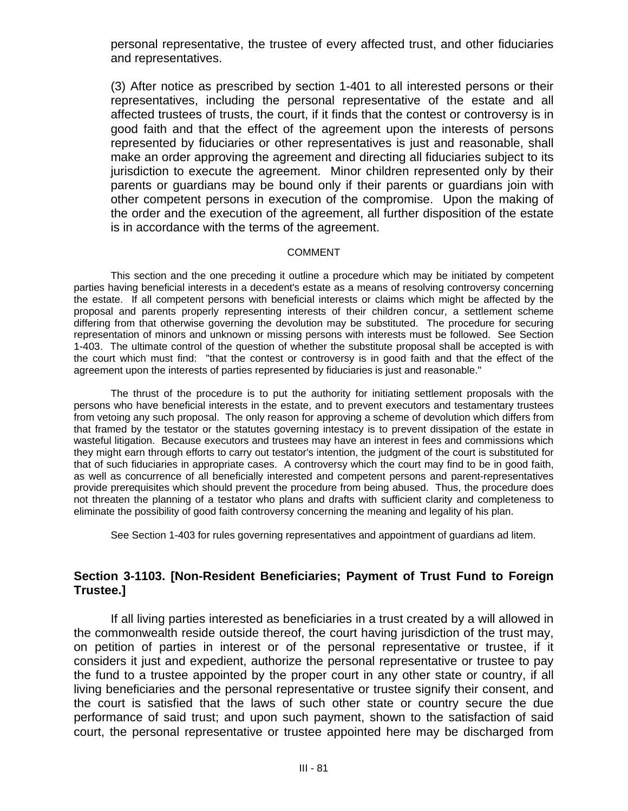personal representative, the trustee of every affected trust, and other fiduciaries and representatives.

(3) After notice as prescribed by section 1-401 to all interested persons or their representatives, including the personal representative of the estate and all affected trustees of trusts, the court, if it finds that the contest or controversy is in good faith and that the effect of the agreement upon the interests of persons represented by fiduciaries or other representatives is just and reasonable, shall make an order approving the agreement and directing all fiduciaries subject to its jurisdiction to execute the agreement. Minor children represented only by their parents or guardians may be bound only if their parents or guardians join with other competent persons in execution of the compromise. Upon the making of the order and the execution of the agreement, all further disposition of the estate is in accordance with the terms of the agreement.

#### COMMENT

 This section and the one preceding it outline a procedure which may be initiated by competent parties having beneficial interests in a decedent's estate as a means of resolving controversy concerning the estate. If all competent persons with beneficial interests or claims which might be affected by the proposal and parents properly representing interests of their children concur, a settlement scheme differing from that otherwise governing the devolution may be substituted. The procedure for securing representation of minors and unknown or missing persons with interests must be followed. See Section 1-403. The ultimate control of the question of whether the substitute proposal shall be accepted is with the court which must find: "that the contest or controversy is in good faith and that the effect of the agreement upon the interests of parties represented by fiduciaries is just and reasonable."

 The thrust of the procedure is to put the authority for initiating settlement proposals with the persons who have beneficial interests in the estate, and to prevent executors and testamentary trustees from vetoing any such proposal. The only reason for approving a scheme of devolution which differs from that framed by the testator or the statutes governing intestacy is to prevent dissipation of the estate in wasteful litigation. Because executors and trustees may have an interest in fees and commissions which they might earn through efforts to carry out testator's intention, the judgment of the court is substituted for that of such fiduciaries in appropriate cases. A controversy which the court may find to be in good faith, as well as concurrence of all beneficially interested and competent persons and parent-representatives provide prerequisites which should prevent the procedure from being abused. Thus, the procedure does not threaten the planning of a testator who plans and drafts with sufficient clarity and completeness to eliminate the possibility of good faith controversy concerning the meaning and legality of his plan.

See Section 1-403 for rules governing representatives and appointment of guardians ad litem.

# **Section 3-1103. [Non-Resident Beneficiaries; Payment of Trust Fund to Foreign Trustee.]**

 If all living parties interested as beneficiaries in a trust created by a will allowed in the commonwealth reside outside thereof, the court having jurisdiction of the trust may, on petition of parties in interest or of the personal representative or trustee, if it considers it just and expedient, authorize the personal representative or trustee to pay the fund to a trustee appointed by the proper court in any other state or country, if all living beneficiaries and the personal representative or trustee signify their consent, and the court is satisfied that the laws of such other state or country secure the due performance of said trust; and upon such payment, shown to the satisfaction of said court, the personal representative or trustee appointed here may be discharged from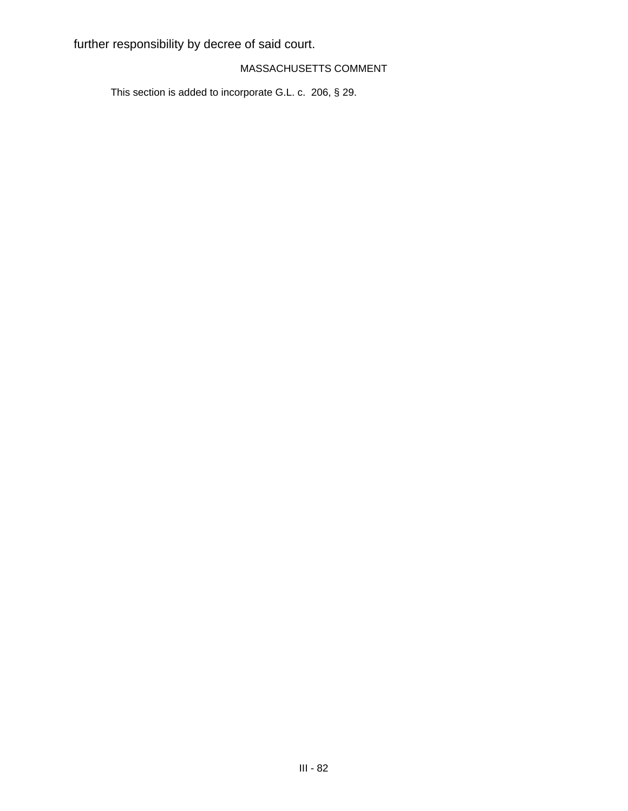further responsibility by decree of said court.

# MASSACHUSETTS COMMENT

This section is added to incorporate G.L. c. 206, § 29.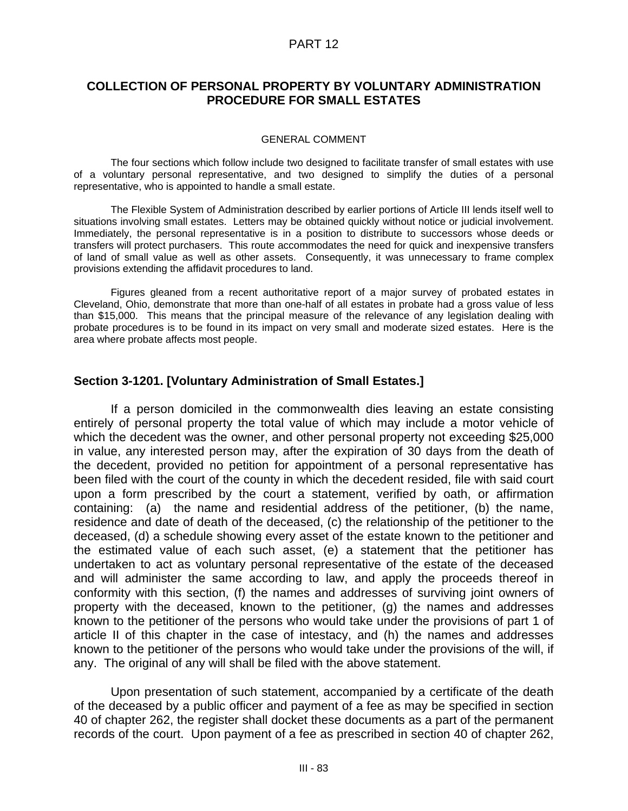### PART 12

### **COLLECTION OF PERSONAL PROPERTY BY VOLUNTARY ADMINISTRATION PROCEDURE FOR SMALL ESTATES**

#### GENERAL COMMENT

 The four sections which follow include two designed to facilitate transfer of small estates with use of a voluntary personal representative, and two designed to simplify the duties of a personal representative, who is appointed to handle a small estate.

 The Flexible System of Administration described by earlier portions of Article III lends itself well to situations involving small estates. Letters may be obtained quickly without notice or judicial involvement. Immediately, the personal representative is in a position to distribute to successors whose deeds or transfers will protect purchasers. This route accommodates the need for quick and inexpensive transfers of land of small value as well as other assets. Consequently, it was unnecessary to frame complex provisions extending the affidavit procedures to land.

 Figures gleaned from a recent authoritative report of a major survey of probated estates in Cleveland, Ohio, demonstrate that more than one-half of all estates in probate had a gross value of less than \$15,000. This means that the principal measure of the relevance of any legislation dealing with probate procedures is to be found in its impact on very small and moderate sized estates. Here is the area where probate affects most people.

#### **Section 3-1201. [Voluntary Administration of Small Estates.]**

 If a person domiciled in the commonwealth dies leaving an estate consisting entirely of personal property the total value of which may include a motor vehicle of which the decedent was the owner, and other personal property not exceeding \$25,000 in value, any interested person may, after the expiration of 30 days from the death of the decedent, provided no petition for appointment of a personal representative has been filed with the court of the county in which the decedent resided, file with said court upon a form prescribed by the court a statement, verified by oath, or affirmation containing: (a) the name and residential address of the petitioner, (b) the name, residence and date of death of the deceased, (c) the relationship of the petitioner to the deceased, (d) a schedule showing every asset of the estate known to the petitioner and the estimated value of each such asset, (e) a statement that the petitioner has undertaken to act as voluntary personal representative of the estate of the deceased and will administer the same according to law, and apply the proceeds thereof in conformity with this section, (f) the names and addresses of surviving joint owners of property with the deceased, known to the petitioner, (g) the names and addresses known to the petitioner of the persons who would take under the provisions of part 1 of article II of this chapter in the case of intestacy, and (h) the names and addresses known to the petitioner of the persons who would take under the provisions of the will, if any. The original of any will shall be filed with the above statement.

 Upon presentation of such statement, accompanied by a certificate of the death of the deceased by a public officer and payment of a fee as may be specified in section 40 of chapter 262, the register shall docket these documents as a part of the permanent records of the court. Upon payment of a fee as prescribed in section 40 of chapter 262,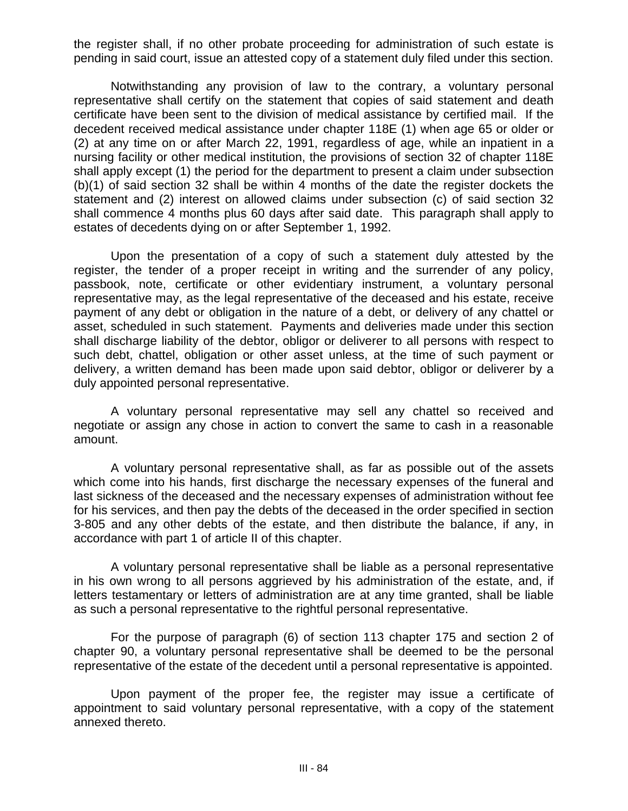the register shall, if no other probate proceeding for administration of such estate is pending in said court, issue an attested copy of a statement duly filed under this section.

 Notwithstanding any provision of law to the contrary, a voluntary personal representative shall certify on the statement that copies of said statement and death certificate have been sent to the division of medical assistance by certified mail. If the decedent received medical assistance under chapter 118E (1) when age 65 or older or (2) at any time on or after March 22, 1991, regardless of age, while an inpatient in a nursing facility or other medical institution, the provisions of section 32 of chapter 118E shall apply except (1) the period for the department to present a claim under subsection (b)(1) of said section 32 shall be within 4 months of the date the register dockets the statement and (2) interest on allowed claims under subsection (c) of said section 32 shall commence 4 months plus 60 days after said date. This paragraph shall apply to estates of decedents dying on or after September 1, 1992.

 Upon the presentation of a copy of such a statement duly attested by the register, the tender of a proper receipt in writing and the surrender of any policy, passbook, note, certificate or other evidentiary instrument, a voluntary personal representative may, as the legal representative of the deceased and his estate, receive payment of any debt or obligation in the nature of a debt, or delivery of any chattel or asset, scheduled in such statement. Payments and deliveries made under this section shall discharge liability of the debtor, obligor or deliverer to all persons with respect to such debt, chattel, obligation or other asset unless, at the time of such payment or delivery, a written demand has been made upon said debtor, obligor or deliverer by a duly appointed personal representative.

 A voluntary personal representative may sell any chattel so received and negotiate or assign any chose in action to convert the same to cash in a reasonable amount.

 A voluntary personal representative shall, as far as possible out of the assets which come into his hands, first discharge the necessary expenses of the funeral and last sickness of the deceased and the necessary expenses of administration without fee for his services, and then pay the debts of the deceased in the order specified in section 3-805 and any other debts of the estate, and then distribute the balance, if any, in accordance with part 1 of article II of this chapter.

 A voluntary personal representative shall be liable as a personal representative in his own wrong to all persons aggrieved by his administration of the estate, and, if letters testamentary or letters of administration are at any time granted, shall be liable as such a personal representative to the rightful personal representative.

 For the purpose of paragraph (6) of section 113 chapter 175 and section 2 of chapter 90, a voluntary personal representative shall be deemed to be the personal representative of the estate of the decedent until a personal representative is appointed.

 Upon payment of the proper fee, the register may issue a certificate of appointment to said voluntary personal representative, with a copy of the statement annexed thereto.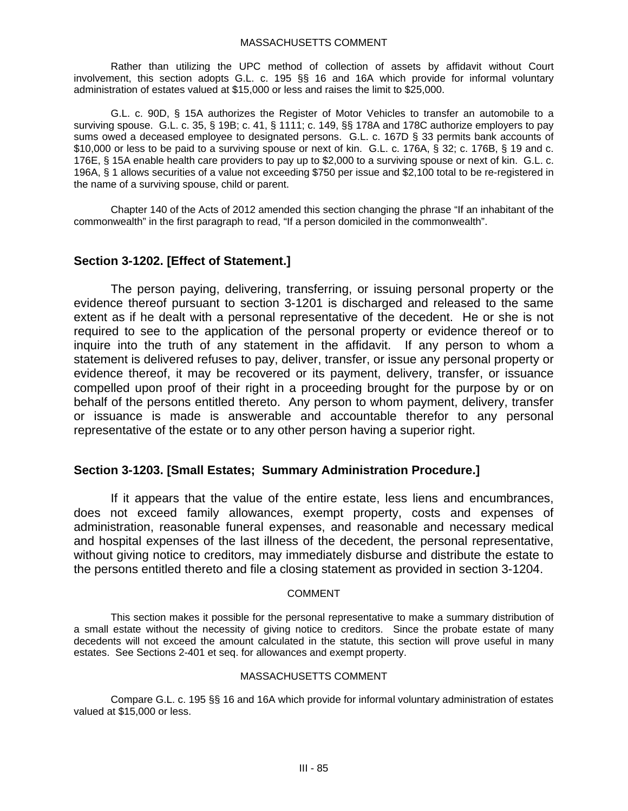#### MASSACHUSETTS COMMENT

 Rather than utilizing the UPC method of collection of assets by affidavit without Court involvement, this section adopts G.L. c. 195 §§ 16 and 16A which provide for informal voluntary administration of estates valued at \$15,000 or less and raises the limit to \$25,000.

 G.L. c. 90D, § 15A authorizes the Register of Motor Vehicles to transfer an automobile to a surviving spouse. G.L. c. 35, § 19B; c. 41, § 1111; c. 149, §§ 178A and 178C authorize employers to pay sums owed a deceased employee to designated persons. G.L. c. 167D § 33 permits bank accounts of \$10,000 or less to be paid to a surviving spouse or next of kin. G.L. c. 176A, § 32; c. 176B, § 19 and c. 176E, § 15A enable health care providers to pay up to \$2,000 to a surviving spouse or next of kin. G.L. c. 196A, § 1 allows securities of a value not exceeding \$750 per issue and \$2,100 total to be re-registered in the name of a surviving spouse, child or parent.

 Chapter 140 of the Acts of 2012 amended this section changing the phrase "If an inhabitant of the commonwealth" in the first paragraph to read, "If a person domiciled in the commonwealth".

#### **Section 3-1202. [Effect of Statement.]**

 The person paying, delivering, transferring, or issuing personal property or the evidence thereof pursuant to section 3-1201 is discharged and released to the same extent as if he dealt with a personal representative of the decedent. He or she is not required to see to the application of the personal property or evidence thereof or to inquire into the truth of any statement in the affidavit. If any person to whom a statement is delivered refuses to pay, deliver, transfer, or issue any personal property or evidence thereof, it may be recovered or its payment, delivery, transfer, or issuance compelled upon proof of their right in a proceeding brought for the purpose by or on behalf of the persons entitled thereto. Any person to whom payment, delivery, transfer or issuance is made is answerable and accountable therefor to any personal representative of the estate or to any other person having a superior right.

#### **Section 3-1203. [Small Estates; Summary Administration Procedure.]**

 If it appears that the value of the entire estate, less liens and encumbrances, does not exceed family allowances, exempt property, costs and expenses of administration, reasonable funeral expenses, and reasonable and necessary medical and hospital expenses of the last illness of the decedent, the personal representative, without giving notice to creditors, may immediately disburse and distribute the estate to the persons entitled thereto and file a closing statement as provided in section 3-1204.

#### COMMENT

 This section makes it possible for the personal representative to make a summary distribution of a small estate without the necessity of giving notice to creditors. Since the probate estate of many decedents will not exceed the amount calculated in the statute, this section will prove useful in many estates. See Sections 2-401 et seq. for allowances and exempt property.

#### MASSACHUSETTS COMMENT

 Compare G.L. c. 195 §§ 16 and 16A which provide for informal voluntary administration of estates valued at \$15,000 or less.